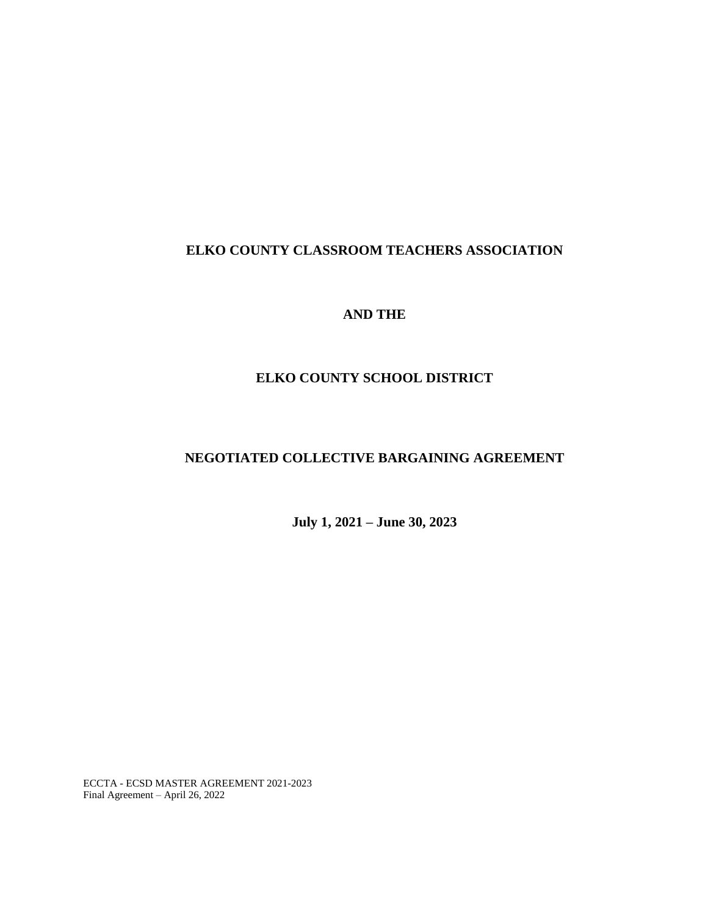# **ELKO COUNTY CLASSROOM TEACHERS ASSOCIATION**

## **AND THE**

## **ELKO COUNTY SCHOOL DISTRICT**

# **NEGOTIATED COLLECTIVE BARGAINING AGREEMENT**

**July 1, 2021 – June 30, 2023**

ECCTA - ECSD MASTER AGREEMENT 2021-2023 Final Agreement – April 26, 2022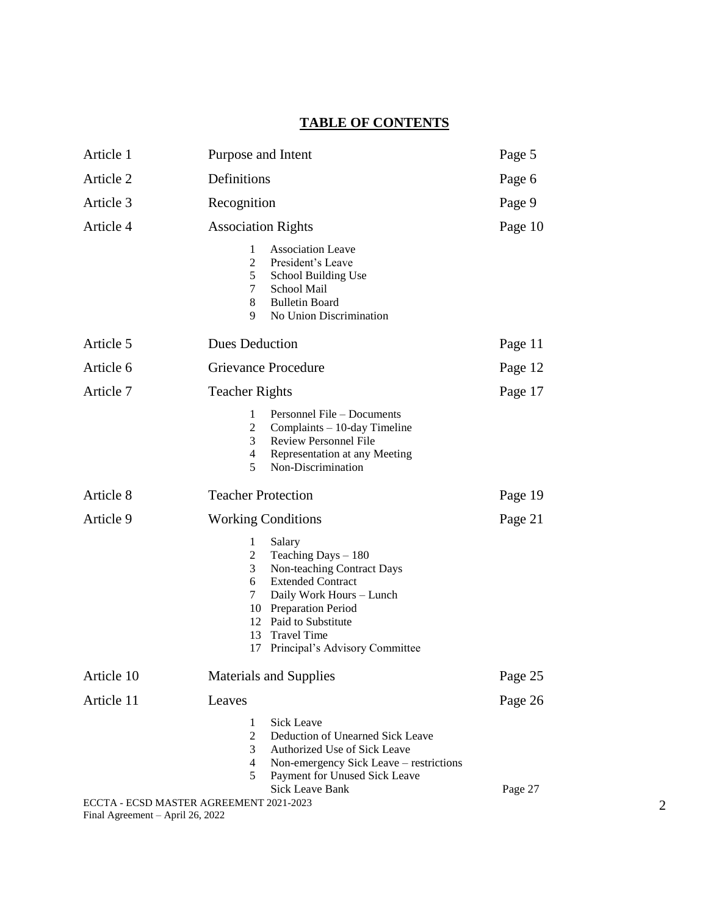# **TABLE OF CONTENTS**

| Article 1  | Purpose and Intent                                                                                                                                                                                                                                                                          | Page 5  |
|------------|---------------------------------------------------------------------------------------------------------------------------------------------------------------------------------------------------------------------------------------------------------------------------------------------|---------|
| Article 2  | Definitions                                                                                                                                                                                                                                                                                 | Page 6  |
| Article 3  | Recognition                                                                                                                                                                                                                                                                                 | Page 9  |
| Article 4  | <b>Association Rights</b>                                                                                                                                                                                                                                                                   | Page 10 |
|            | <b>Association Leave</b><br>1<br>$\overline{2}$<br>President's Leave<br>5<br>School Building Use<br>7<br>School Mail<br>8<br><b>Bulletin Board</b><br>9.<br>No Union Discrimination                                                                                                         |         |
| Article 5  | <b>Dues Deduction</b>                                                                                                                                                                                                                                                                       | Page 11 |
| Article 6  | <b>Grievance Procedure</b>                                                                                                                                                                                                                                                                  | Page 12 |
| Article 7  | <b>Teacher Rights</b>                                                                                                                                                                                                                                                                       | Page 17 |
|            | 1<br>Personnel File – Documents<br>$\overline{2}$<br>Complaints - 10-day Timeline<br>3<br><b>Review Personnel File</b><br>$\overline{4}$<br>Representation at any Meeting<br>5<br>Non-Discrimination                                                                                        |         |
| Article 8  | <b>Teacher Protection</b>                                                                                                                                                                                                                                                                   | Page 19 |
| Article 9  | <b>Working Conditions</b>                                                                                                                                                                                                                                                                   | Page 21 |
|            | $\mathbf{1}$<br>Salary<br>$\overline{2}$<br>Teaching Days $-180$<br>Non-teaching Contract Days<br>3<br><b>Extended Contract</b><br>6<br>7<br>Daily Work Hours - Lunch<br>10 Preparation Period<br>12 Paid to Substitute<br><b>Travel Time</b><br>13<br>Principal's Advisory Committee<br>17 |         |
| Article 10 | <b>Materials and Supplies</b>                                                                                                                                                                                                                                                               | Page 25 |
| Article 11 | Leaves                                                                                                                                                                                                                                                                                      | Page 26 |
|            | Sick Leave<br>1<br>$\overline{2}$<br>Deduction of Unearned Sick Leave<br>3<br>Authorized Use of Sick Leave<br>4<br>Non-emergency Sick Leave – restrictions<br>Payment for Unused Sick Leave<br>5<br><b>Sick Leave Bank</b><br>ECCTA - ECSD MASTER AGREEMENT 2021-2023                       | Page 27 |

Final Agreement – April 26, 2022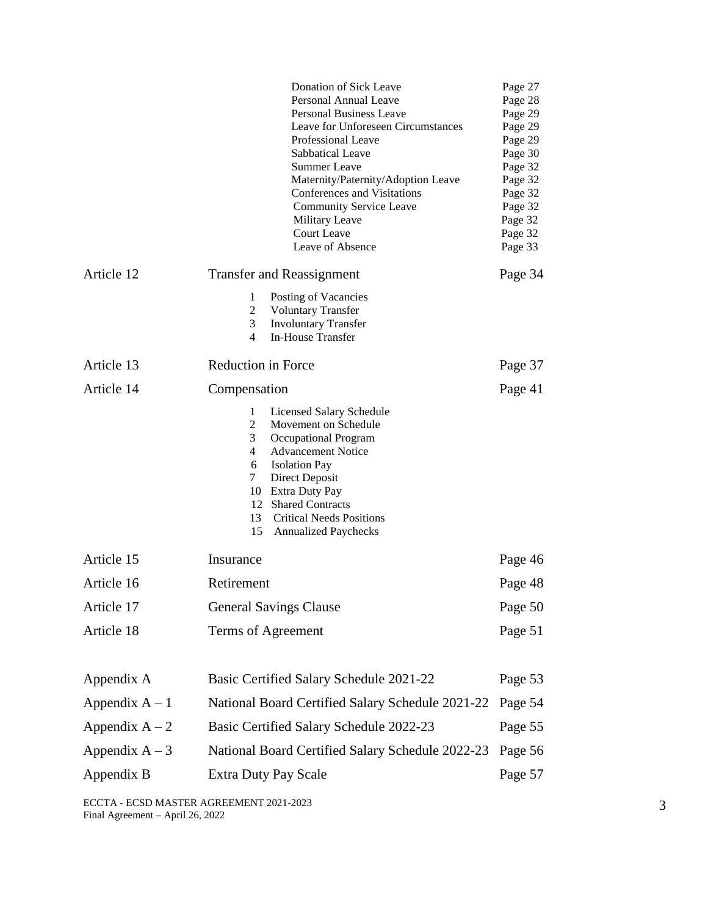|                  | Donation of Sick Leave                                                     | Page 27            |
|------------------|----------------------------------------------------------------------------|--------------------|
|                  | Personal Annual Leave                                                      | Page 28            |
|                  | Personal Business Leave                                                    | Page 29            |
|                  | Leave for Unforeseen Circumstances<br>Professional Leave                   | Page 29            |
|                  | Sabbatical Leave                                                           | Page 29<br>Page 30 |
|                  | <b>Summer Leave</b>                                                        | Page 32            |
|                  | Maternity/Paternity/Adoption Leave                                         | Page 32            |
|                  | Conferences and Visitations                                                | Page 32            |
|                  | <b>Community Service Leave</b>                                             | Page 32            |
|                  | Military Leave                                                             | Page 32            |
|                  | Court Leave                                                                | Page 32            |
|                  | Leave of Absence                                                           | Page 33            |
| Article 12       | <b>Transfer and Reassignment</b>                                           | Page 34            |
|                  | 1<br>Posting of Vacancies                                                  |                    |
|                  | 2<br><b>Voluntary Transfer</b>                                             |                    |
|                  | 3<br><b>Involuntary Transfer</b><br>In-House Transfer<br>4                 |                    |
| Article 13       | Reduction in Force                                                         | Page 37            |
| Article 14       | Compensation                                                               | Page 41            |
|                  | <b>Licensed Salary Schedule</b><br>1                                       |                    |
|                  | 2<br>Movement on Schedule                                                  |                    |
|                  | 3<br>Occupational Program                                                  |                    |
|                  | 4<br><b>Advancement Notice</b>                                             |                    |
|                  | 6<br><b>Isolation Pay</b>                                                  |                    |
|                  | $\tau$<br>Direct Deposit                                                   |                    |
|                  | 10 Extra Duty Pay                                                          |                    |
|                  | 12 Shared Contracts                                                        |                    |
|                  | 13<br><b>Critical Needs Positions</b><br>15<br><b>Annualized Paychecks</b> |                    |
| Article 15       | Insurance                                                                  | Page 46            |
| Article 16       | Retirement                                                                 | Page 48            |
| Article 17       | <b>General Savings Clause</b>                                              | Page 50            |
| Article 18       | Terms of Agreement                                                         | Page 51            |
|                  |                                                                            |                    |
| Appendix A       | Basic Certified Salary Schedule 2021-22                                    | Page 53            |
| Appendix $A - 1$ | National Board Certified Salary Schedule 2021-22                           | Page 54            |
| Appendix $A - 2$ | Basic Certified Salary Schedule 2022-23                                    | Page 55            |
| Appendix $A - 3$ | National Board Certified Salary Schedule 2022-23                           | Page 56            |
| Appendix B       | <b>Extra Duty Pay Scale</b>                                                | Page 57            |

ECCTA - ECSD MASTER AGREEMENT 2021-2023 Final Agreement – April 26, 2022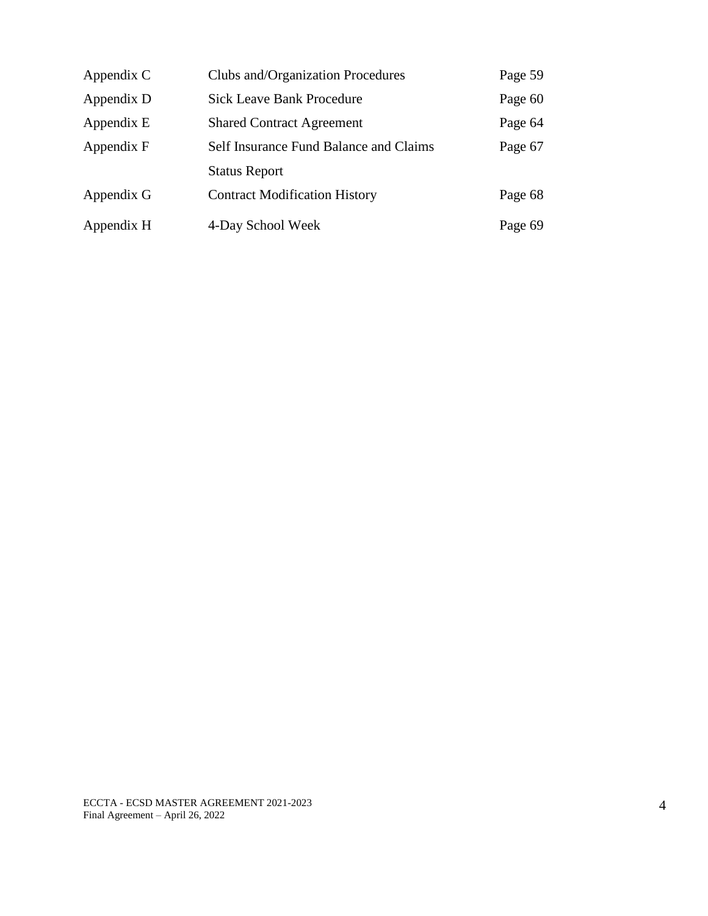| Appendix C | Clubs and/Organization Procedures      | Page 59 |
|------------|----------------------------------------|---------|
| Appendix D | <b>Sick Leave Bank Procedure</b>       | Page 60 |
| Appendix E | <b>Shared Contract Agreement</b>       | Page 64 |
| Appendix F | Self Insurance Fund Balance and Claims | Page 67 |
|            | <b>Status Report</b>                   |         |
| Appendix G | <b>Contract Modification History</b>   | Page 68 |
| Appendix H | 4-Day School Week                      | Page 69 |

ECCTA - ECSD MASTER AGREEMENT 2021-2023 Final Agreement – April 26, 2022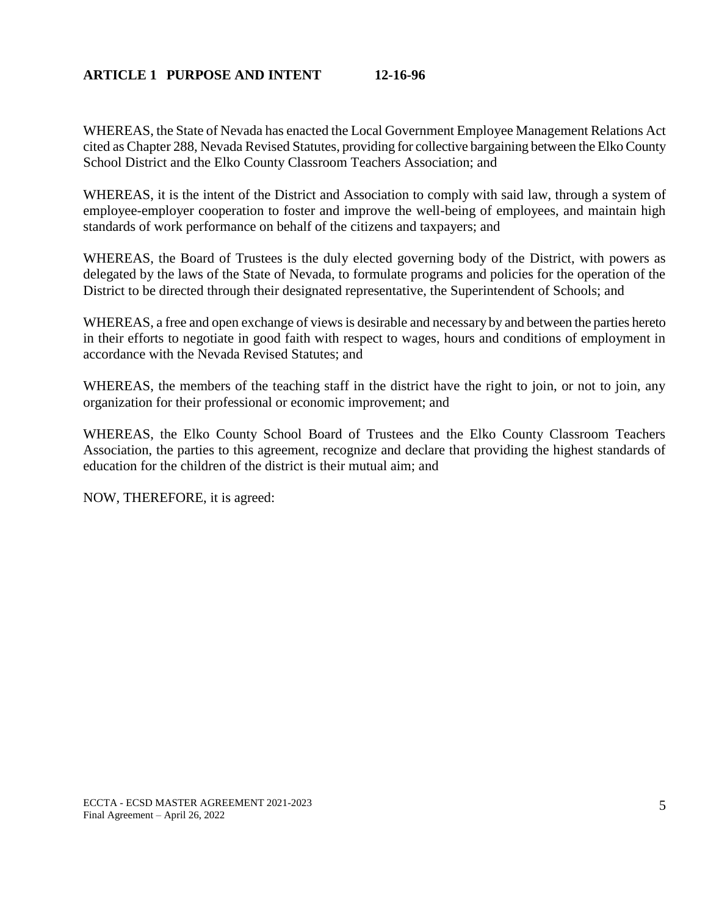### **ARTICLE 1 PURPOSE AND INTENT 12-16-96**

WHEREAS, the State of Nevada has enacted the Local Government Employee Management Relations Act cited as Chapter 288, Nevada Revised Statutes, providing for collective bargaining between the Elko County School District and the Elko County Classroom Teachers Association; and

WHEREAS, it is the intent of the District and Association to comply with said law, through a system of employee-employer cooperation to foster and improve the well-being of employees, and maintain high standards of work performance on behalf of the citizens and taxpayers; and

WHEREAS, the Board of Trustees is the duly elected governing body of the District, with powers as delegated by the laws of the State of Nevada, to formulate programs and policies for the operation of the District to be directed through their designated representative, the Superintendent of Schools; and

WHEREAS, a free and open exchange of views is desirable and necessary by and between the parties hereto in their efforts to negotiate in good faith with respect to wages, hours and conditions of employment in accordance with the Nevada Revised Statutes; and

WHEREAS, the members of the teaching staff in the district have the right to join, or not to join, any organization for their professional or economic improvement; and

WHEREAS, the Elko County School Board of Trustees and the Elko County Classroom Teachers Association, the parties to this agreement, recognize and declare that providing the highest standards of education for the children of the district is their mutual aim; and

NOW, THEREFORE, it is agreed: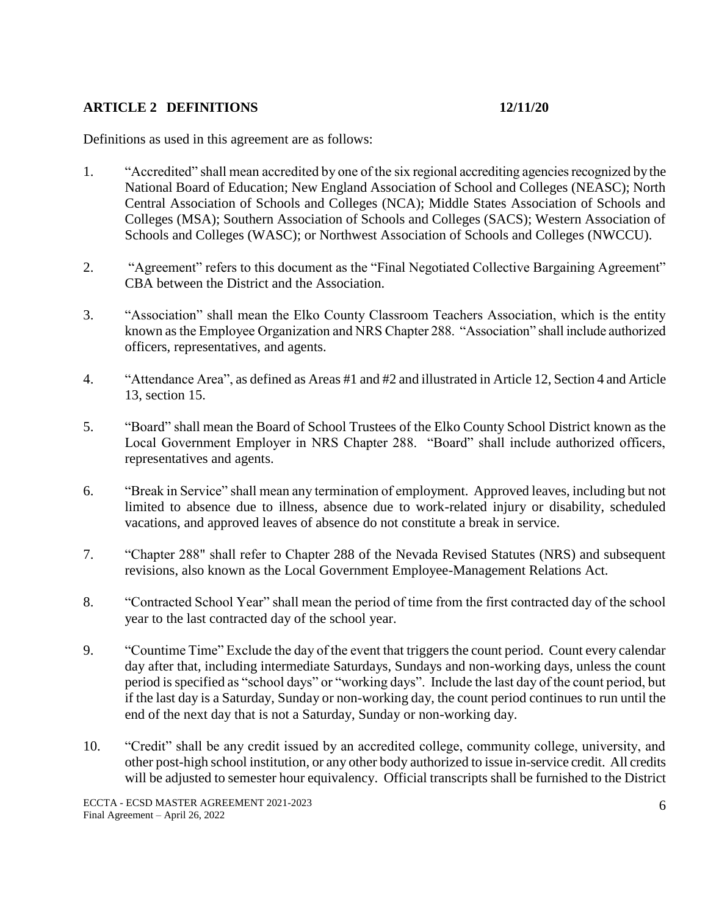## **ARTICLE 2 DEFINITIONS 12/11/20**

Definitions as used in this agreement are as follows:

- 1. "Accredited" shall mean accredited by one of the six regional accrediting agencies recognized by the National Board of Education; New England Association of School and Colleges (NEASC); North Central Association of Schools and Colleges (NCA); Middle States Association of Schools and Colleges (MSA); Southern Association of Schools and Colleges (SACS); Western Association of Schools and Colleges (WASC); or Northwest Association of Schools and Colleges (NWCCU).
- 2. "Agreement" refers to this document as the "Final Negotiated Collective Bargaining Agreement" CBA between the District and the Association.
- 3. "Association" shall mean the Elko County Classroom Teachers Association, which is the entity known as the Employee Organization and NRS Chapter 288. "Association" shall include authorized officers, representatives, and agents.
- 4. "Attendance Area", as defined as Areas #1 and #2 and illustrated in Article 12, Section 4 and Article 13, section 15.
- 5. "Board" shall mean the Board of School Trustees of the Elko County School District known as the Local Government Employer in NRS Chapter 288. "Board" shall include authorized officers, representatives and agents.
- 6. "Break in Service" shall mean any termination of employment. Approved leaves, including but not limited to absence due to illness, absence due to work-related injury or disability, scheduled vacations, and approved leaves of absence do not constitute a break in service.
- 7. "Chapter 288" shall refer to Chapter 288 of the Nevada Revised Statutes (NRS) and subsequent revisions, also known as the Local Government Employee-Management Relations Act.
- 8. "Contracted School Year" shall mean the period of time from the first contracted day of the school year to the last contracted day of the school year.
- 9. "Countime Time" Exclude the day of the event that triggers the count period. Count every calendar day after that, including intermediate Saturdays, Sundays and non-working days, unless the count period is specified as "school days" or "working days". Include the last day of the count period, but if the last day is a Saturday, Sunday or non-working day, the count period continues to run until the end of the next day that is not a Saturday, Sunday or non-working day.
- 10. "Credit" shall be any credit issued by an accredited college, community college, university, and other post-high school institution, or any other body authorized to issue in-service credit. All credits will be adjusted to semester hour equivalency. Official transcripts shall be furnished to the District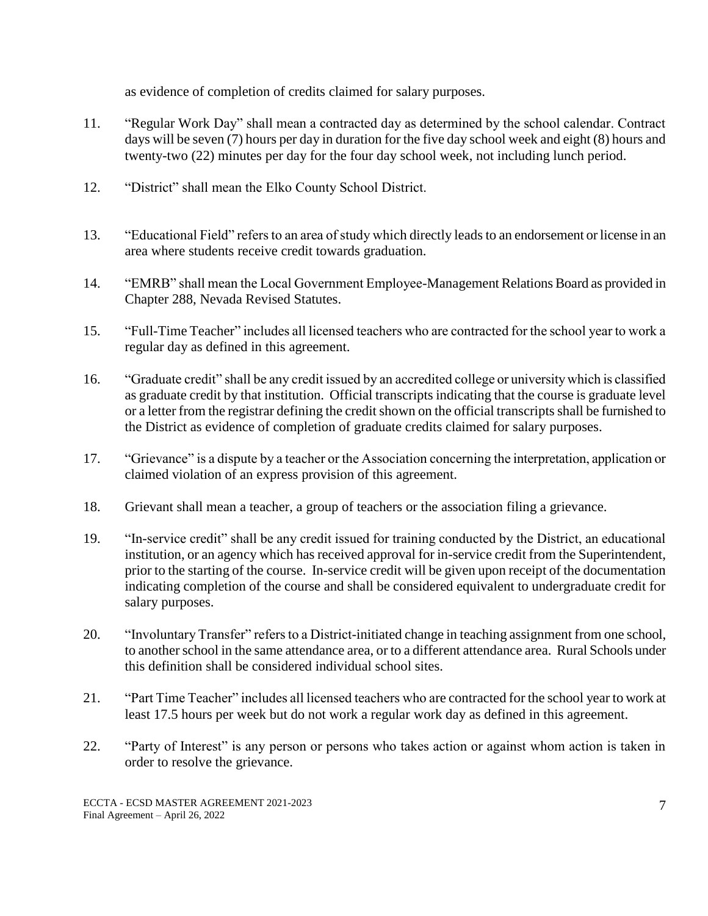as evidence of completion of credits claimed for salary purposes.

- 11. "Regular Work Day" shall mean a contracted day as determined by the school calendar. Contract days will be seven (7) hours per day in duration for the five day school week and eight (8) hours and twenty-two (22) minutes per day for the four day school week, not including lunch period.
- 12. "District" shall mean the Elko County School District.
- 13. "Educational Field" refers to an area of study which directly leads to an endorsement or license in an area where students receive credit towards graduation.
- 14. "EMRB" shall mean the Local Government Employee-Management Relations Board as provided in Chapter 288, Nevada Revised Statutes.
- 15. "Full-Time Teacher" includes all licensed teachers who are contracted for the school year to work a regular day as defined in this agreement.
- 16. "Graduate credit" shall be any credit issued by an accredited college or university which is classified as graduate credit by that institution. Official transcripts indicating that the course is graduate level or a letter from the registrar defining the credit shown on the official transcripts shall be furnished to the District as evidence of completion of graduate credits claimed for salary purposes.
- 17. "Grievance" is a dispute by a teacher or the Association concerning the interpretation, application or claimed violation of an express provision of this agreement.
- 18. Grievant shall mean a teacher, a group of teachers or the association filing a grievance.
- 19. "In-service credit" shall be any credit issued for training conducted by the District, an educational institution, or an agency which has received approval for in-service credit from the Superintendent, prior to the starting of the course. In-service credit will be given upon receipt of the documentation indicating completion of the course and shall be considered equivalent to undergraduate credit for salary purposes.
- 20. "Involuntary Transfer" refers to a District-initiated change in teaching assignment from one school, to another school in the same attendance area, or to a different attendance area. Rural Schools under this definition shall be considered individual school sites.
- 21. "Part Time Teacher" includes all licensed teachers who are contracted for the school year to work at least 17.5 hours per week but do not work a regular work day as defined in this agreement.
- 22. "Party of Interest" is any person or persons who takes action or against whom action is taken in order to resolve the grievance.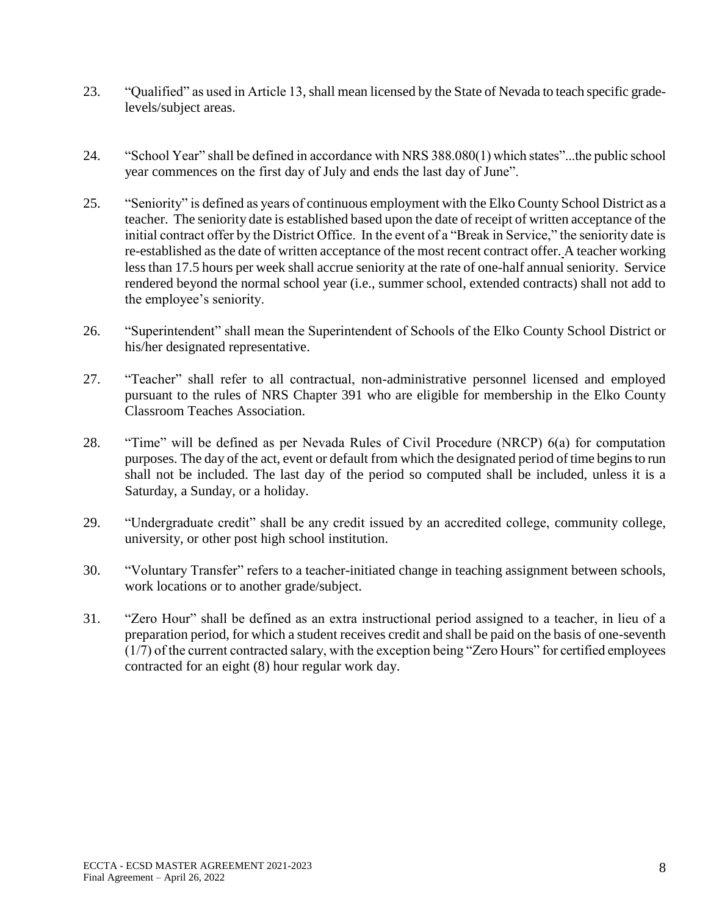- 23. "Qualified" as used in Article 13,shall mean licensed by the State of Nevada to teach specific gradelevels/subject areas.
- 24. "School Year" shall be defined in accordance with NRS 388.080(1) which states"...the public school year commences on the first day of July and ends the last day of June".
- 25. "Seniority" is defined as years of continuous employment with the Elko County School District as a teacher. The seniority date is established based upon the date of receipt of written acceptance of the initial contract offer by the District Office. In the event of a "Break in Service," the seniority date is re-established as the date of written acceptance of the most recent contract offer. A teacher working less than 17.5 hours per week shall accrue seniority at the rate of one-half annual seniority. Service rendered beyond the normal school year (i.e., summer school, extended contracts) shall not add to the employee's seniority.
- 26. "Superintendent" shall mean the Superintendent of Schools of the Elko County School District or his/her designated representative.
- 27. "Teacher" shall refer to all contractual, non-administrative personnel licensed and employed pursuant to the rules of NRS Chapter 391 who are eligible for membership in the Elko County Classroom Teaches Association.
- 28. "Time" will be defined as per Nevada Rules of Civil Procedure (NRCP) 6(a) for computation purposes. The day of the act, event or default from which the designated period of time begins to run shall not be included. The last day of the period so computed shall be included, unless it is a Saturday, a Sunday, or a holiday.
- 29. "Undergraduate credit" shall be any credit issued by an accredited college, community college, university, or other post high school institution.
- 30. "Voluntary Transfer" refers to a teacher-initiated change in teaching assignment between schools, work locations or to another grade/subject.
- 31. "Zero Hour" shall be defined as an extra instructional period assigned to a teacher, in lieu of a preparation period, for which a student receives credit and shall be paid on the basis of one-seventh (1/7) of the current contracted salary, with the exception being "Zero Hours" for certified employees contracted for an eight (8) hour regular work day.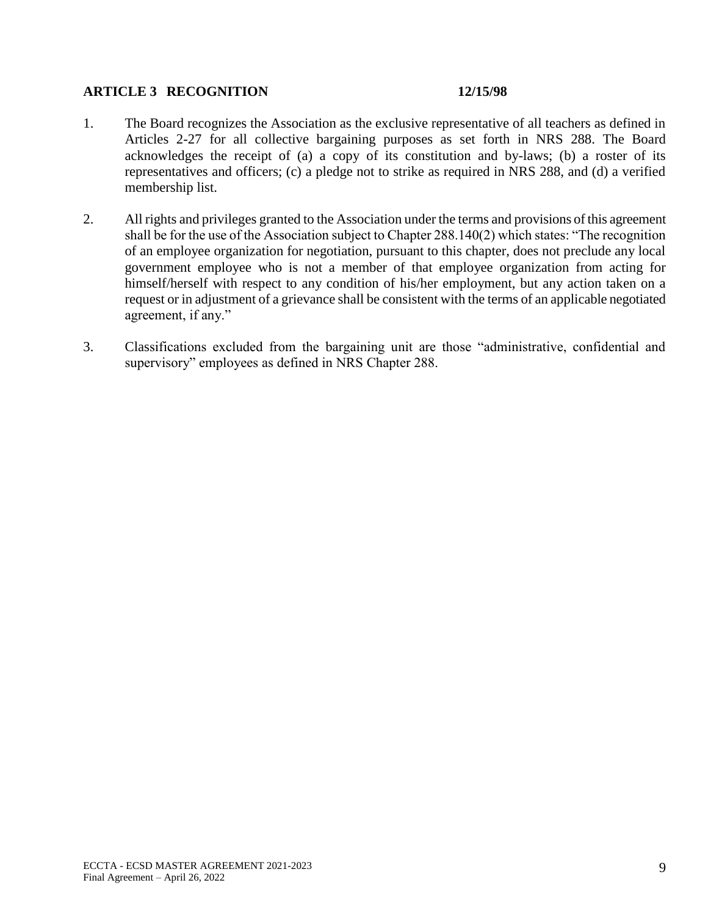### **ARTICLE 3 RECOGNITION 12/15/98**

- 1. The Board recognizes the Association as the exclusive representative of all teachers as defined in Articles 2-27 for all collective bargaining purposes as set forth in NRS 288. The Board acknowledges the receipt of (a) a copy of its constitution and by-laws; (b) a roster of its representatives and officers; (c) a pledge not to strike as required in NRS 288, and (d) a verified membership list.
- 2. All rights and privileges granted to the Association under the terms and provisions of this agreement shall be for the use of the Association subject to Chapter 288.140(2) which states: "The recognition of an employee organization for negotiation, pursuant to this chapter, does not preclude any local government employee who is not a member of that employee organization from acting for himself/herself with respect to any condition of his/her employment, but any action taken on a request or in adjustment of a grievance shall be consistent with the terms of an applicable negotiated agreement, if any."
- 3. Classifications excluded from the bargaining unit are those "administrative, confidential and supervisory" employees as defined in NRS Chapter 288.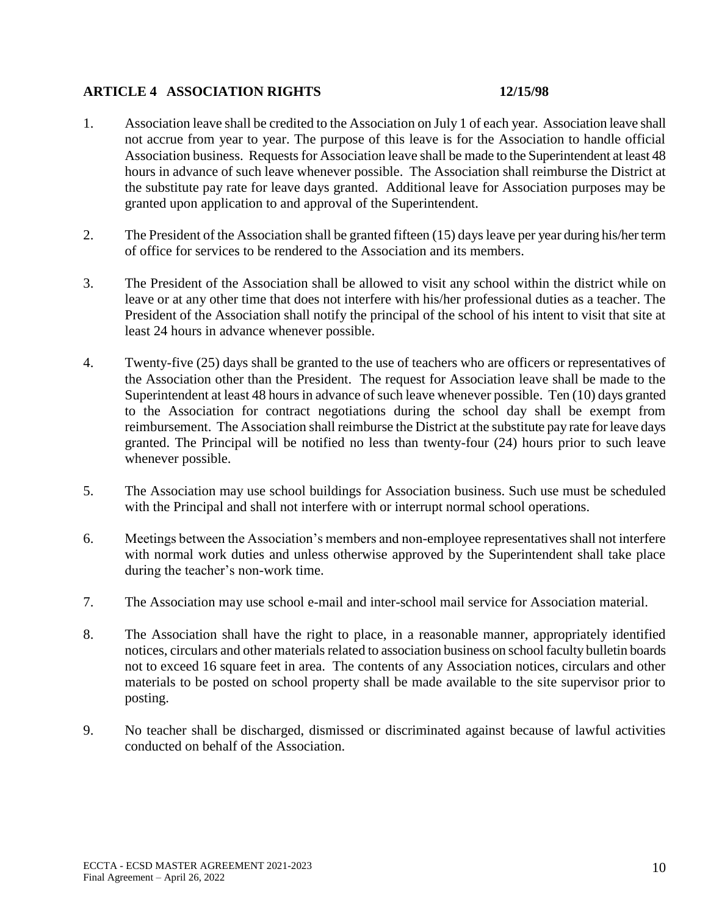## **ARTICLE 4 ASSOCIATION RIGHTS 12/15/98**

- 1. Association leave shall be credited to the Association on July 1 of each year. Association leave shall not accrue from year to year. The purpose of this leave is for the Association to handle official Association business. Requests for Association leave shall be made to the Superintendent at least 48 hours in advance of such leave whenever possible. The Association shall reimburse the District at the substitute pay rate for leave days granted. Additional leave for Association purposes may be granted upon application to and approval of the Superintendent.
- 2. The President of the Association shall be granted fifteen (15) days leave per year during his/her term of office for services to be rendered to the Association and its members.
- 3. The President of the Association shall be allowed to visit any school within the district while on leave or at any other time that does not interfere with his/her professional duties as a teacher. The President of the Association shall notify the principal of the school of his intent to visit that site at least 24 hours in advance whenever possible.
- 4. Twenty-five (25) days shall be granted to the use of teachers who are officers or representatives of the Association other than the President. The request for Association leave shall be made to the Superintendent at least 48 hours in advance of such leave whenever possible. Ten (10) days granted to the Association for contract negotiations during the school day shall be exempt from reimbursement. The Association shall reimburse the District at the substitute pay rate for leave days granted. The Principal will be notified no less than twenty-four (24) hours prior to such leave whenever possible.
- 5. The Association may use school buildings for Association business. Such use must be scheduled with the Principal and shall not interfere with or interrupt normal school operations.
- 6. Meetings between the Association's members and non-employee representatives shall not interfere with normal work duties and unless otherwise approved by the Superintendent shall take place during the teacher's non-work time.
- 7. The Association may use school e-mail and inter-school mail service for Association material.
- 8. The Association shall have the right to place, in a reasonable manner, appropriately identified notices, circulars and other materials related to association business on school faculty bulletin boards not to exceed 16 square feet in area. The contents of any Association notices, circulars and other materials to be posted on school property shall be made available to the site supervisor prior to posting.
- 9. No teacher shall be discharged, dismissed or discriminated against because of lawful activities conducted on behalf of the Association.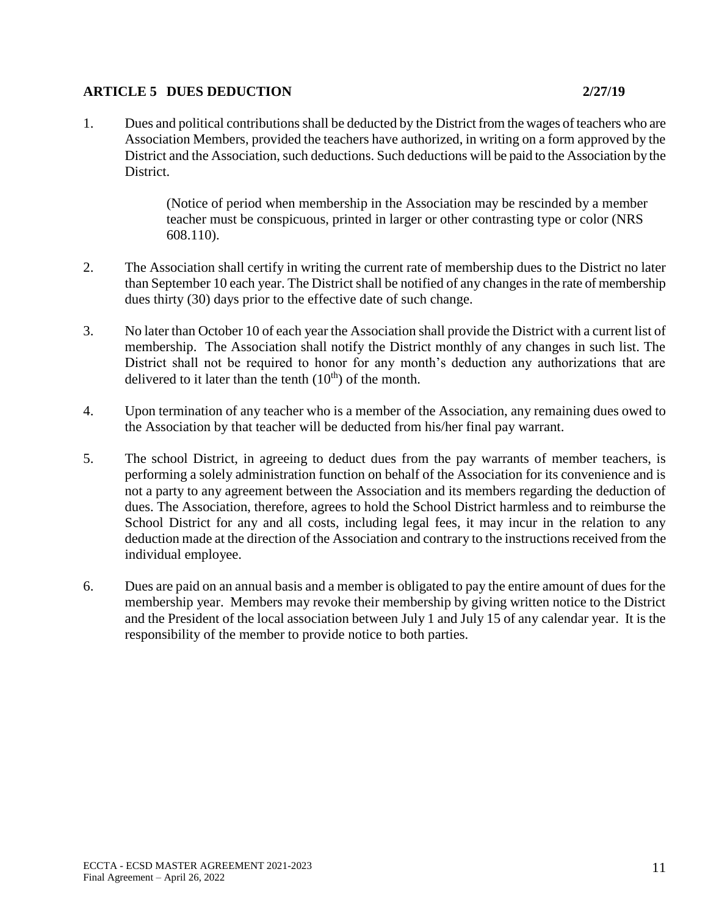## **ARTICLE 5 DUES DEDUCTION 2/27/19**

(Notice of period when membership in the Association may be rescinded by a member teacher must be conspicuous, printed in larger or other contrasting type or color (NRS 608.110).

- 2. The Association shall certify in writing the current rate of membership dues to the District no later than September 10 each year. The District shall be notified of any changes in the rate of membership dues thirty (30) days prior to the effective date of such change.
- 3. No later than October 10 of each year the Association shall provide the District with a current list of membership. The Association shall notify the District monthly of any changes in such list. The District shall not be required to honor for any month's deduction any authorizations that are delivered to it later than the tenth  $(10<sup>th</sup>)$  of the month.
- 4. Upon termination of any teacher who is a member of the Association, any remaining dues owed to the Association by that teacher will be deducted from his/her final pay warrant.
- 5. The school District, in agreeing to deduct dues from the pay warrants of member teachers, is performing a solely administration function on behalf of the Association for its convenience and is not a party to any agreement between the Association and its members regarding the deduction of dues. The Association, therefore, agrees to hold the School District harmless and to reimburse the School District for any and all costs, including legal fees, it may incur in the relation to any deduction made at the direction of the Association and contrary to the instructions received from the individual employee.
- 6. Dues are paid on an annual basis and a member is obligated to pay the entire amount of dues for the membership year. Members may revoke their membership by giving written notice to the District and the President of the local association between July 1 and July 15 of any calendar year. It is the responsibility of the member to provide notice to both parties.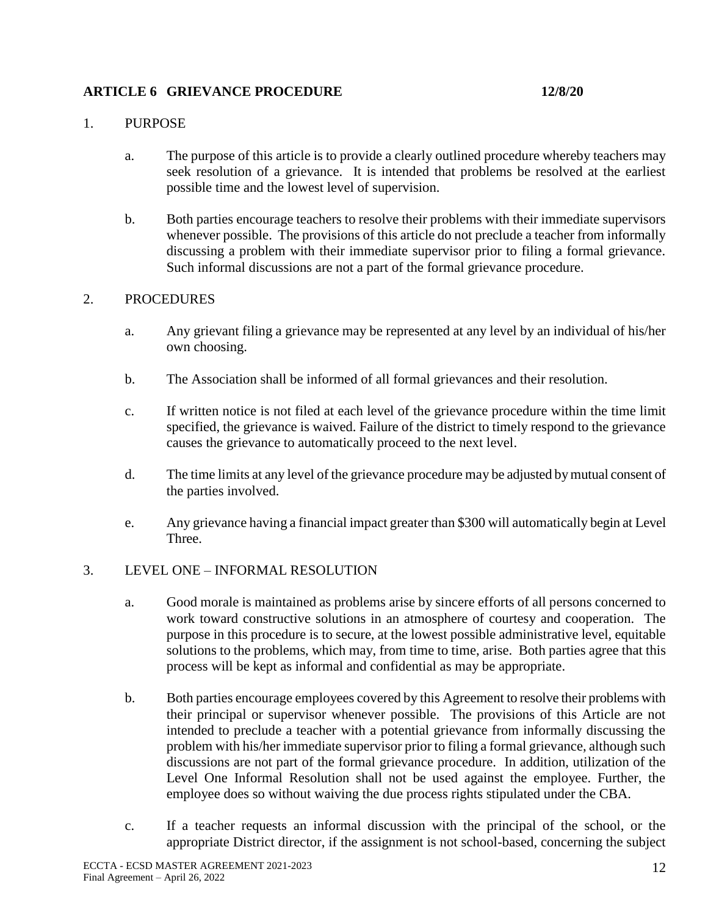## **ARTICLE 6 GRIEVANCE PROCEDURE 12/8/20**

#### 1. PURPOSE

- a. The purpose of this article is to provide a clearly outlined procedure whereby teachers may seek resolution of a grievance. It is intended that problems be resolved at the earliest possible time and the lowest level of supervision.
- b. Both parties encourage teachers to resolve their problems with their immediate supervisors whenever possible. The provisions of this article do not preclude a teacher from informally discussing a problem with their immediate supervisor prior to filing a formal grievance. Such informal discussions are not a part of the formal grievance procedure.

#### 2. PROCEDURES

- a. Any grievant filing a grievance may be represented at any level by an individual of his/her own choosing.
- b. The Association shall be informed of all formal grievances and their resolution.
- c. If written notice is not filed at each level of the grievance procedure within the time limit specified, the grievance is waived. Failure of the district to timely respond to the grievance causes the grievance to automatically proceed to the next level.
- d. The time limits at any level of the grievance procedure may be adjusted by mutual consent of the parties involved.
- e. Any grievance having a financial impact greater than \$300 will automatically begin at Level Three.

## 3. LEVEL ONE – INFORMAL RESOLUTION

- a. Good morale is maintained as problems arise by sincere efforts of all persons concerned to work toward constructive solutions in an atmosphere of courtesy and cooperation. The purpose in this procedure is to secure, at the lowest possible administrative level, equitable solutions to the problems, which may, from time to time, arise. Both parties agree that this process will be kept as informal and confidential as may be appropriate.
- b. Both parties encourage employees covered by this Agreement to resolve their problems with their principal or supervisor whenever possible. The provisions of this Article are not intended to preclude a teacher with a potential grievance from informally discussing the problem with his/her immediate supervisor prior to filing a formal grievance, although such discussions are not part of the formal grievance procedure. In addition, utilization of the Level One Informal Resolution shall not be used against the employee. Further, the employee does so without waiving the due process rights stipulated under the CBA.
- c. If a teacher requests an informal discussion with the principal of the school, or the appropriate District director, if the assignment is not school-based, concerning the subject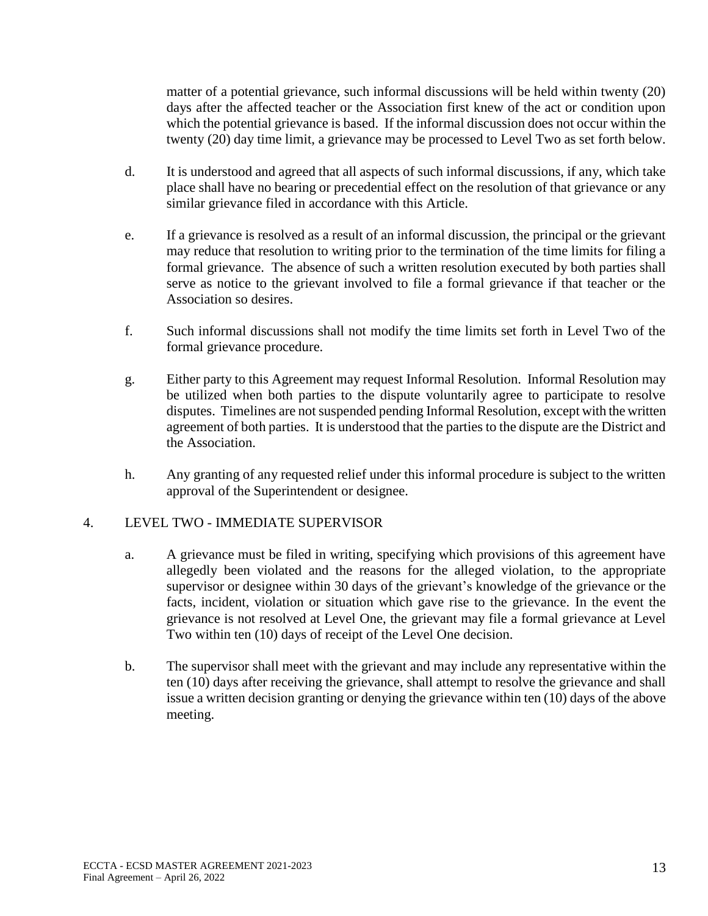matter of a potential grievance, such informal discussions will be held within twenty (20) days after the affected teacher or the Association first knew of the act or condition upon which the potential grievance is based. If the informal discussion does not occur within the twenty (20) day time limit, a grievance may be processed to Level Two as set forth below.

- d. It is understood and agreed that all aspects of such informal discussions, if any, which take place shall have no bearing or precedential effect on the resolution of that grievance or any similar grievance filed in accordance with this Article.
- e. If a grievance is resolved as a result of an informal discussion, the principal or the grievant may reduce that resolution to writing prior to the termination of the time limits for filing a formal grievance. The absence of such a written resolution executed by both parties shall serve as notice to the grievant involved to file a formal grievance if that teacher or the Association so desires.
- f. Such informal discussions shall not modify the time limits set forth in Level Two of the formal grievance procedure.
- g. Either party to this Agreement may request Informal Resolution. Informal Resolution may be utilized when both parties to the dispute voluntarily agree to participate to resolve disputes. Timelines are not suspended pending Informal Resolution, except with the written agreement of both parties. It is understood that the parties to the dispute are the District and the Association.
- h. Any granting of any requested relief under this informal procedure is subject to the written approval of the Superintendent or designee.

## 4. LEVEL TWO - IMMEDIATE SUPERVISOR

- a. A grievance must be filed in writing, specifying which provisions of this agreement have allegedly been violated and the reasons for the alleged violation, to the appropriate supervisor or designee within 30 days of the grievant's knowledge of the grievance or the facts, incident, violation or situation which gave rise to the grievance. In the event the grievance is not resolved at Level One, the grievant may file a formal grievance at Level Two within ten (10) days of receipt of the Level One decision.
- b. The supervisor shall meet with the grievant and may include any representative within the ten (10) days after receiving the grievance, shall attempt to resolve the grievance and shall issue a written decision granting or denying the grievance within ten (10) days of the above meeting.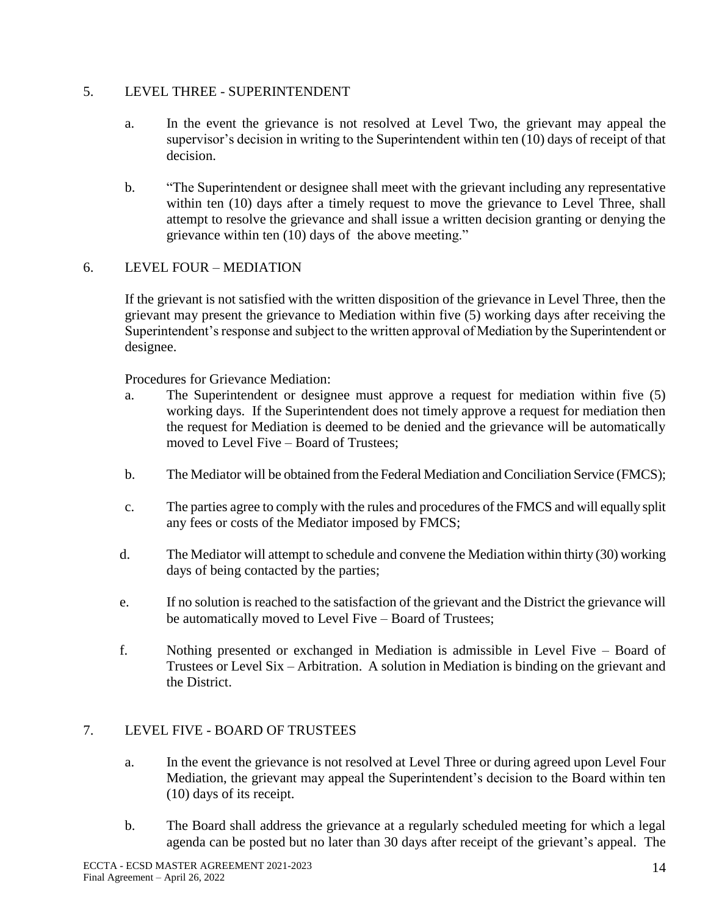## 5. LEVEL THREE - SUPERINTENDENT

- a. In the event the grievance is not resolved at Level Two, the grievant may appeal the supervisor's decision in writing to the Superintendent within ten (10) days of receipt of that decision.
- b. "The Superintendent or designee shall meet with the grievant including any representative within ten (10) days after a timely request to move the grievance to Level Three, shall attempt to resolve the grievance and shall issue a written decision granting or denying the grievance within ten (10) days of the above meeting."

## 6. LEVEL FOUR – MEDIATION

If the grievant is not satisfied with the written disposition of the grievance in Level Three, then the grievant may present the grievance to Mediation within five (5) working days after receiving the Superintendent's response and subject to the written approval of Mediation by the Superintendent or designee.

Procedures for Grievance Mediation:

- a. The Superintendent or designee must approve a request for mediation within five (5) working days. If the Superintendent does not timely approve a request for mediation then the request for Mediation is deemed to be denied and the grievance will be automatically moved to Level Five – Board of Trustees;
- b. The Mediator will be obtained from the Federal Mediation and Conciliation Service (FMCS);
- c. The parties agree to comply with the rules and procedures of the FMCS and will equally split any fees or costs of the Mediator imposed by FMCS;
- d. The Mediator will attempt to schedule and convene the Mediation within thirty (30) working days of being contacted by the parties;
- e. If no solution is reached to the satisfaction of the grievant and the District the grievance will be automatically moved to Level Five – Board of Trustees;
- f. Nothing presented or exchanged in Mediation is admissible in Level Five Board of Trustees or Level Six – Arbitration. A solution in Mediation is binding on the grievant and the District.

## 7. LEVEL FIVE - BOARD OF TRUSTEES

- a. In the event the grievance is not resolved at Level Three or during agreed upon Level Four Mediation, the grievant may appeal the Superintendent's decision to the Board within ten (10) days of its receipt.
- b. The Board shall address the grievance at a regularly scheduled meeting for which a legal agenda can be posted but no later than 30 days after receipt of the grievant's appeal. The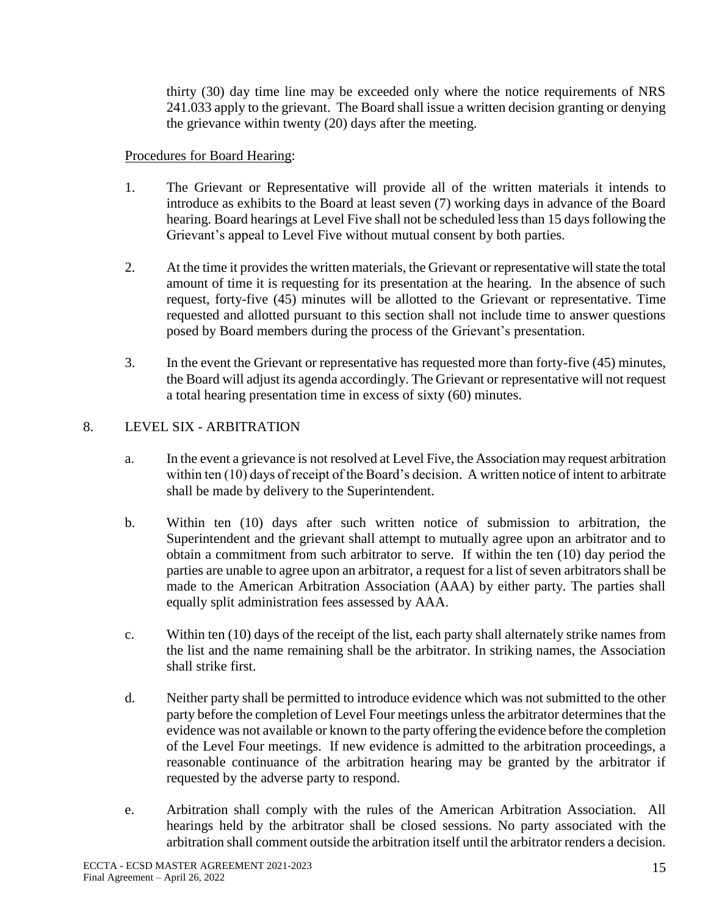thirty (30) day time line may be exceeded only where the notice requirements of NRS 241.033 apply to the grievant. The Board shall issue a written decision granting or denying the grievance within twenty (20) days after the meeting.

## Procedures for Board Hearing:

- 1. The Grievant or Representative will provide all of the written materials it intends to introduce as exhibits to the Board at least seven (7) working days in advance of the Board hearing. Board hearings at Level Five shall not be scheduled less than 15 days following the Grievant's appeal to Level Five without mutual consent by both parties.
- 2. At the time it provides the written materials, the Grievant or representative will state the total amount of time it is requesting for its presentation at the hearing. In the absence of such request, forty-five (45) minutes will be allotted to the Grievant or representative. Time requested and allotted pursuant to this section shall not include time to answer questions posed by Board members during the process of the Grievant's presentation.
- 3. In the event the Grievant or representative has requested more than forty-five (45) minutes, the Board will adjust its agenda accordingly. The Grievant or representative will not request a total hearing presentation time in excess of sixty (60) minutes.

## 8. LEVEL SIX - ARBITRATION

- a. In the event a grievance is not resolved at Level Five, the Association may request arbitration within ten (10) days of receipt of the Board's decision. A written notice of intent to arbitrate shall be made by delivery to the Superintendent.
- b. Within ten (10) days after such written notice of submission to arbitration, the Superintendent and the grievant shall attempt to mutually agree upon an arbitrator and to obtain a commitment from such arbitrator to serve. If within the ten (10) day period the parties are unable to agree upon an arbitrator, a request for a list of seven arbitrators shall be made to the American Arbitration Association (AAA) by either party. The parties shall equally split administration fees assessed by AAA.
- c. Within ten (10) days of the receipt of the list, each party shall alternately strike names from the list and the name remaining shall be the arbitrator. In striking names, the Association shall strike first.
- d. Neither party shall be permitted to introduce evidence which was not submitted to the other party before the completion of Level Four meetings unless the arbitrator determines that the evidence was not available or known to the party offering the evidence before the completion of the Level Four meetings. If new evidence is admitted to the arbitration proceedings, a reasonable continuance of the arbitration hearing may be granted by the arbitrator if requested by the adverse party to respond.
- e. Arbitration shall comply with the rules of the American Arbitration Association. All hearings held by the arbitrator shall be closed sessions. No party associated with the arbitration shall comment outside the arbitration itself until the arbitrator renders a decision.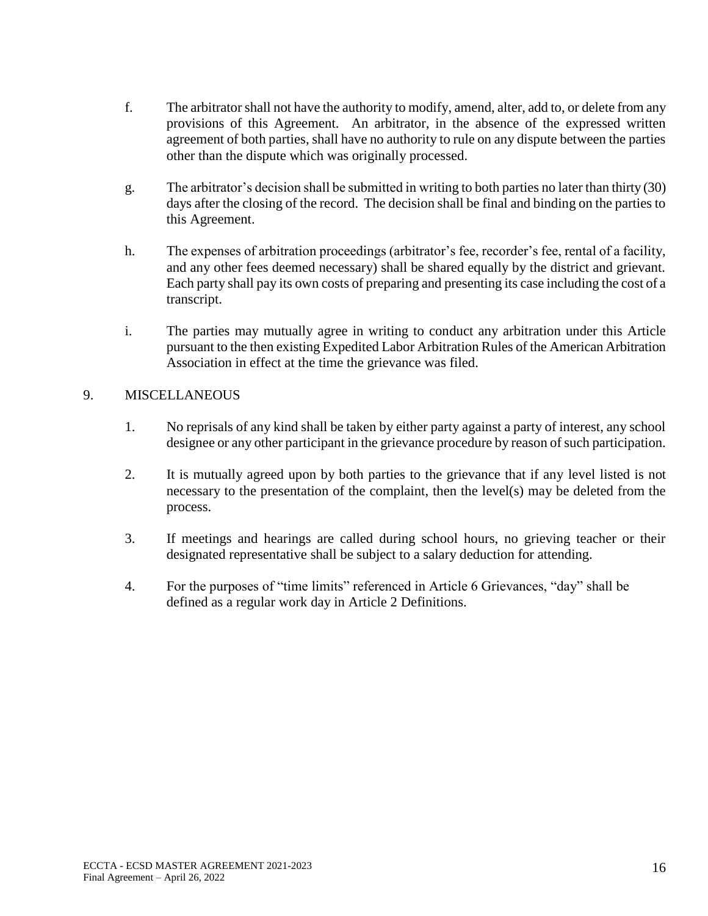- f. The arbitrator shall not have the authority to modify, amend, alter, add to, or delete from any provisions of this Agreement. An arbitrator, in the absence of the expressed written agreement of both parties, shall have no authority to rule on any dispute between the parties other than the dispute which was originally processed.
- g. The arbitrator's decision shall be submitted in writing to both parties no later than thirty (30) days after the closing of the record. The decision shall be final and binding on the parties to this Agreement.
- h. The expenses of arbitration proceedings (arbitrator's fee, recorder's fee, rental of a facility, and any other fees deemed necessary) shall be shared equally by the district and grievant. Each party shall pay its own costs of preparing and presenting its case including the cost of a transcript.
- i. The parties may mutually agree in writing to conduct any arbitration under this Article pursuant to the then existing Expedited Labor Arbitration Rules of the American Arbitration Association in effect at the time the grievance was filed.

## 9. MISCELLANEOUS

- 1. No reprisals of any kind shall be taken by either party against a party of interest, any school designee or any other participant in the grievance procedure by reason of such participation.
- 2. It is mutually agreed upon by both parties to the grievance that if any level listed is not necessary to the presentation of the complaint, then the level(s) may be deleted from the process.
- 3. If meetings and hearings are called during school hours, no grieving teacher or their designated representative shall be subject to a salary deduction for attending.
- 4. For the purposes of "time limits" referenced in Article 6 Grievances, "day" shall be defined as a regular work day in Article 2 Definitions.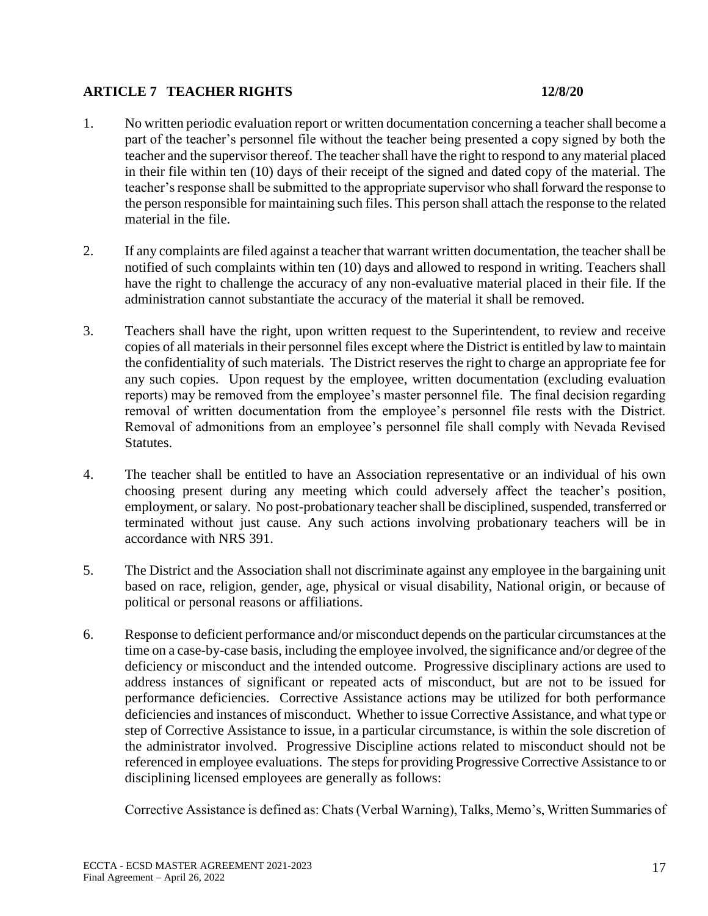## **ARTICLE 7 TEACHER RIGHTS 12/8/20**

- 1. No written periodic evaluation report or written documentation concerning a teacher shall become a part of the teacher's personnel file without the teacher being presented a copy signed by both the teacher and the supervisor thereof. The teacher shall have the right to respond to any material placed in their file within ten (10) days of their receipt of the signed and dated copy of the material. The teacher's response shall be submitted to the appropriate supervisor who shall forward the response to the person responsible for maintaining such files. This person shall attach the response to the related material in the file.
- 2. If any complaints are filed against a teacher that warrant written documentation, the teacher shall be notified of such complaints within ten (10) days and allowed to respond in writing. Teachers shall have the right to challenge the accuracy of any non-evaluative material placed in their file. If the administration cannot substantiate the accuracy of the material it shall be removed.
- 3. Teachers shall have the right, upon written request to the Superintendent, to review and receive copies of all materials in their personnel files except where the District is entitled by law to maintain the confidentiality of such materials. The District reserves the right to charge an appropriate fee for any such copies. Upon request by the employee, written documentation (excluding evaluation reports) may be removed from the employee's master personnel file. The final decision regarding removal of written documentation from the employee's personnel file rests with the District. Removal of admonitions from an employee's personnel file shall comply with Nevada Revised Statutes.
- 4. The teacher shall be entitled to have an Association representative or an individual of his own choosing present during any meeting which could adversely affect the teacher's position, employment, or salary. No post-probationary teacher shall be disciplined, suspended, transferred or terminated without just cause. Any such actions involving probationary teachers will be in accordance with NRS 391.
- 5. The District and the Association shall not discriminate against any employee in the bargaining unit based on race, religion, gender, age, physical or visual disability, National origin, or because of political or personal reasons or affiliations.
- 6. Response to deficient performance and/or misconduct depends on the particular circumstances at the time on a case-by-case basis, including the employee involved, the significance and/or degree of the deficiency or misconduct and the intended outcome. Progressive disciplinary actions are used to address instances of significant or repeated acts of misconduct, but are not to be issued for performance deficiencies. Corrective Assistance actions may be utilized for both performance deficiencies and instances of misconduct. Whether to issue Corrective Assistance, and what type or step of Corrective Assistance to issue, in a particular circumstance, is within the sole discretion of the administrator involved. Progressive Discipline actions related to misconduct should not be referenced in employee evaluations. The steps for providing Progressive Corrective Assistance to or disciplining licensed employees are generally as follows:

Corrective Assistance is defined as: Chats (Verbal Warning), Talks, Memo's, Written Summaries of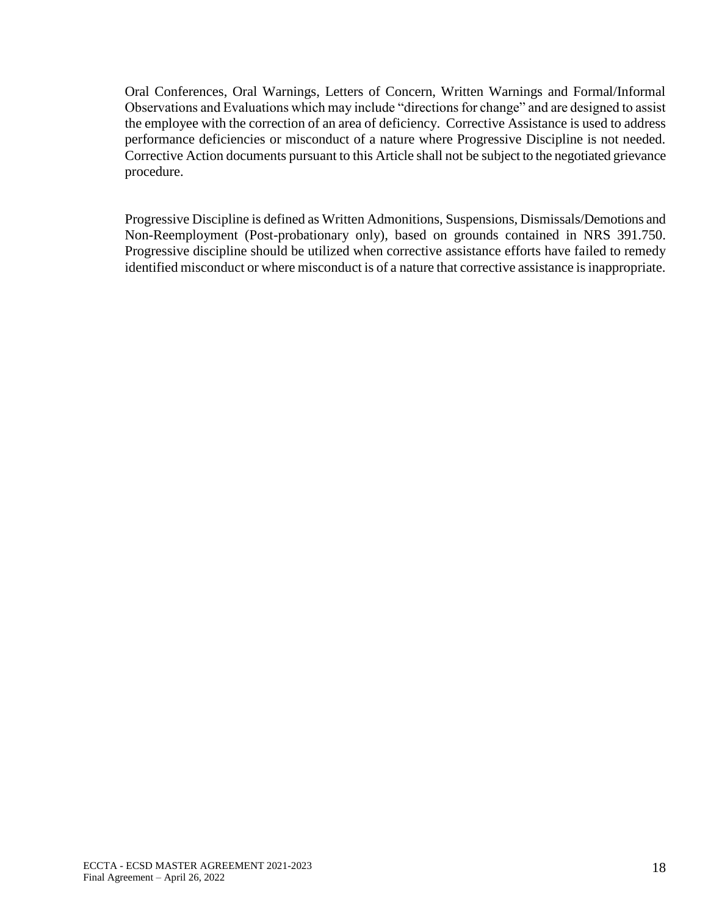Oral Conferences, Oral Warnings, Letters of Concern, Written Warnings and Formal/Informal Observations and Evaluations which may include "directions for change" and are designed to assist the employee with the correction of an area of deficiency. Corrective Assistance is used to address performance deficiencies or misconduct of a nature where Progressive Discipline is not needed. Corrective Action documents pursuant to this Article shall not be subject to the negotiated grievance procedure.

Progressive Discipline is defined as Written Admonitions, Suspensions, Dismissals/Demotions and Non-Reemployment (Post-probationary only), based on grounds contained in NRS 391.750. Progressive discipline should be utilized when corrective assistance efforts have failed to remedy identified misconduct or where misconduct is of a nature that corrective assistance is inappropriate.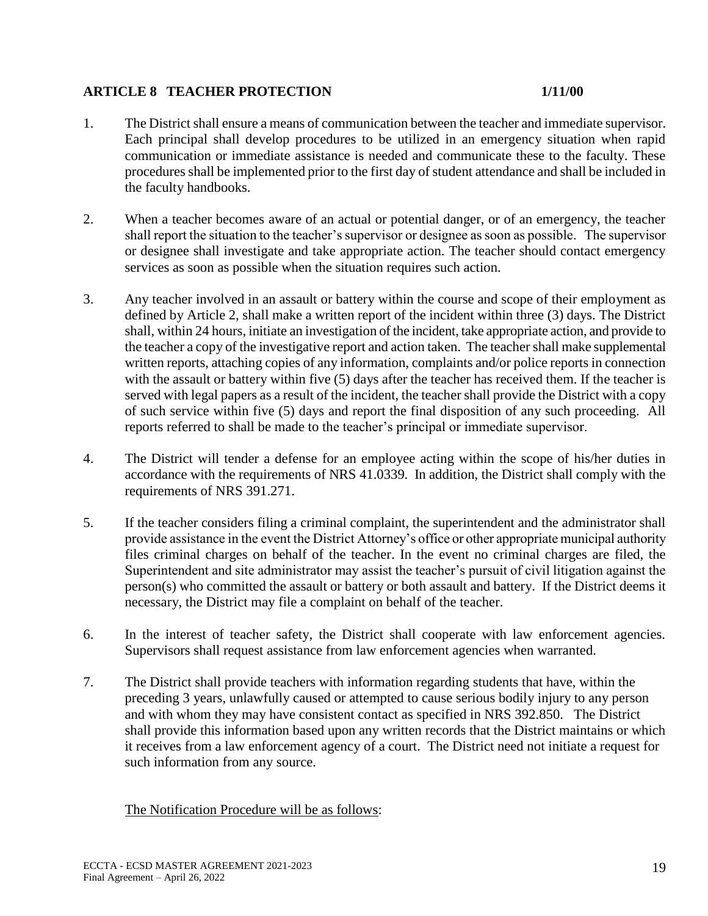## **ARTICLE 8 TEACHER PROTECTION 1/11/00**

- 1. The District shall ensure a means of communication between the teacher and immediate supervisor. Each principal shall develop procedures to be utilized in an emergency situation when rapid communication or immediate assistance is needed and communicate these to the faculty. These procedures shall be implemented prior to the first day of student attendance and shall be included in the faculty handbooks.
- 2. When a teacher becomes aware of an actual or potential danger, or of an emergency, the teacher shall report the situation to the teacher's supervisor or designee as soon as possible. The supervisor or designee shall investigate and take appropriate action. The teacher should contact emergency services as soon as possible when the situation requires such action.
- 3. Any teacher involved in an assault or battery within the course and scope of their employment as defined by Article 2, shall make a written report of the incident within three (3) days. The District shall, within 24 hours, initiate an investigation of the incident, take appropriate action, and provide to the teacher a copy of the investigative report and action taken. The teacher shall make supplemental written reports, attaching copies of any information, complaints and/or police reports in connection with the assault or battery within five (5) days after the teacher has received them. If the teacher is served with legal papers as a result of the incident, the teacher shall provide the District with a copy of such service within five (5) days and report the final disposition of any such proceeding. All reports referred to shall be made to the teacher's principal or immediate supervisor.
- 4. The District will tender a defense for an employee acting within the scope of his/her duties in accordance with the requirements of NRS 41.0339. In addition, the District shall comply with the requirements of NRS 391.271.
- 5. If the teacher considers filing a criminal complaint, the superintendent and the administrator shall provide assistance in the event the District Attorney's office or other appropriate municipal authority files criminal charges on behalf of the teacher. In the event no criminal charges are filed, the Superintendent and site administrator may assist the teacher's pursuit of civil litigation against the person(s) who committed the assault or battery or both assault and battery. If the District deems it necessary, the District may file a complaint on behalf of the teacher.
- 6. In the interest of teacher safety, the District shall cooperate with law enforcement agencies. Supervisors shall request assistance from law enforcement agencies when warranted.
- 7. The District shall provide teachers with information regarding students that have, within the preceding 3 years, unlawfully caused or attempted to cause serious bodily injury to any person and with whom they may have consistent contact as specified in NRS 392.850. The District shall provide this information based upon any written records that the District maintains or which it receives from a law enforcement agency of a court. The District need not initiate a request for such information from any source.

The Notification Procedure will be as follows: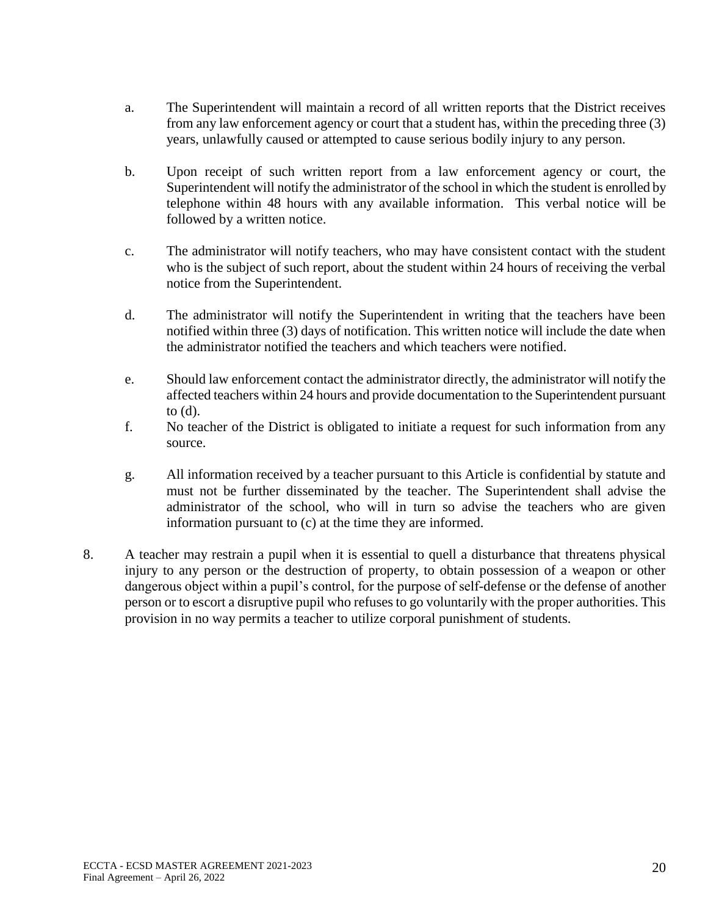- a. The Superintendent will maintain a record of all written reports that the District receives from any law enforcement agency or court that a student has, within the preceding three (3) years, unlawfully caused or attempted to cause serious bodily injury to any person.
- b. Upon receipt of such written report from a law enforcement agency or court, the Superintendent will notify the administrator of the school in which the student is enrolled by telephone within 48 hours with any available information. This verbal notice will be followed by a written notice.
- c. The administrator will notify teachers, who may have consistent contact with the student who is the subject of such report, about the student within 24 hours of receiving the verbal notice from the Superintendent.
- d. The administrator will notify the Superintendent in writing that the teachers have been notified within three (3) days of notification. This written notice will include the date when the administrator notified the teachers and which teachers were notified.
- e. Should law enforcement contact the administrator directly, the administrator will notify the affected teachers within 24 hours and provide documentation to the Superintendent pursuant to (d).
- f. No teacher of the District is obligated to initiate a request for such information from any source.
- g. All information received by a teacher pursuant to this Article is confidential by statute and must not be further disseminated by the teacher. The Superintendent shall advise the administrator of the school, who will in turn so advise the teachers who are given information pursuant to (c) at the time they are informed.
- 8. A teacher may restrain a pupil when it is essential to quell a disturbance that threatens physical injury to any person or the destruction of property, to obtain possession of a weapon or other dangerous object within a pupil's control, for the purpose of self-defense or the defense of another person or to escort a disruptive pupil who refuses to go voluntarily with the proper authorities. This provision in no way permits a teacher to utilize corporal punishment of students.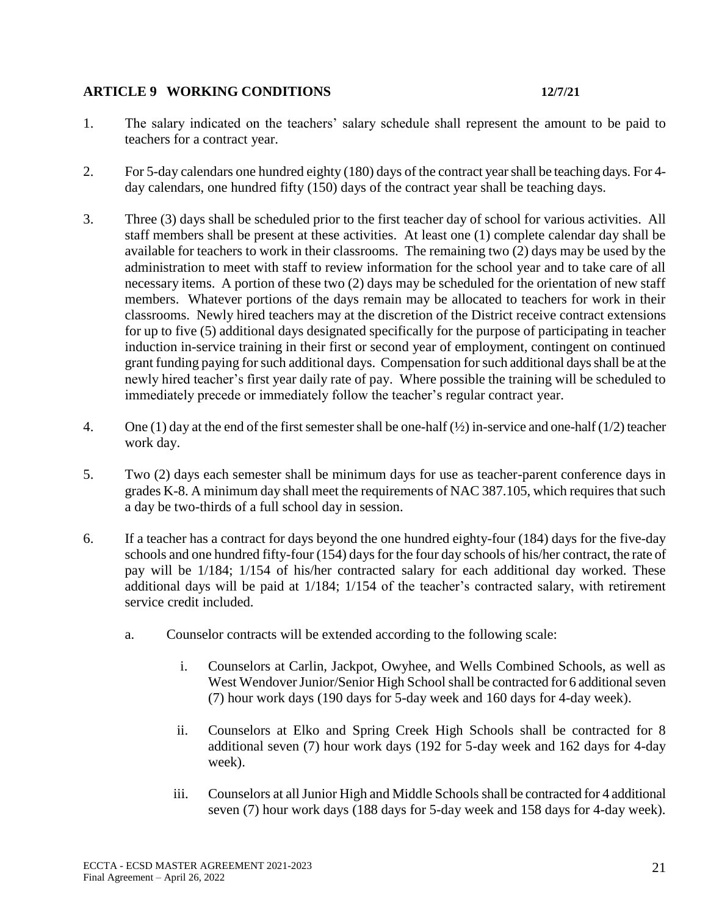## **ARTICLE 9 WORKING CONDITIONS 12/7/21**

- 1. The salary indicated on the teachers' salary schedule shall represent the amount to be paid to teachers for a contract year.
- 2. For 5-day calendars one hundred eighty (180) days of the contract year shall be teaching days. For 4 day calendars, one hundred fifty (150) days of the contract year shall be teaching days.
- 3. Three (3) days shall be scheduled prior to the first teacher day of school for various activities. All staff members shall be present at these activities. At least one (1) complete calendar day shall be available for teachers to work in their classrooms. The remaining two (2) days may be used by the administration to meet with staff to review information for the school year and to take care of all necessary items. A portion of these two (2) days may be scheduled for the orientation of new staff members. Whatever portions of the days remain may be allocated to teachers for work in their classrooms. Newly hired teachers may at the discretion of the District receive contract extensions for up to five (5) additional days designated specifically for the purpose of participating in teacher induction in-service training in their first or second year of employment, contingent on continued grant funding paying for such additional days. Compensation for such additional days shall be at the newly hired teacher's first year daily rate of pay. Where possible the training will be scheduled to immediately precede or immediately follow the teacher's regular contract year.
- 4. One (1) day at the end of the first semester shall be one-half  $(\frac{1}{2})$  in-service and one-half (1/2) teacher work day.
- 5. Two (2) days each semester shall be minimum days for use as teacher-parent conference days in grades K-8. A minimum day shall meet the requirements of NAC 387.105, which requires that such a day be two-thirds of a full school day in session.
- 6. If a teacher has a contract for days beyond the one hundred eighty-four (184) days for the five-day schools and one hundred fifty-four (154) days for the four day schools of his/her contract, the rate of pay will be 1/184; 1/154 of his/her contracted salary for each additional day worked. These additional days will be paid at 1/184; 1/154 of the teacher's contracted salary, with retirement service credit included.
	- a. Counselor contracts will be extended according to the following scale:
		- i. Counselors at Carlin, Jackpot, Owyhee, and Wells Combined Schools, as well as West Wendover Junior/Senior High School shall be contracted for 6 additional seven (7) hour work days (190 days for 5-day week and 160 days for 4-day week).
		- ii. Counselors at Elko and Spring Creek High Schools shall be contracted for 8 additional seven (7) hour work days (192 for 5-day week and 162 days for 4-day week).
		- iii. Counselors at all Junior High and Middle Schools shall be contracted for 4 additional seven (7) hour work days (188 days for 5-day week and 158 days for 4-day week).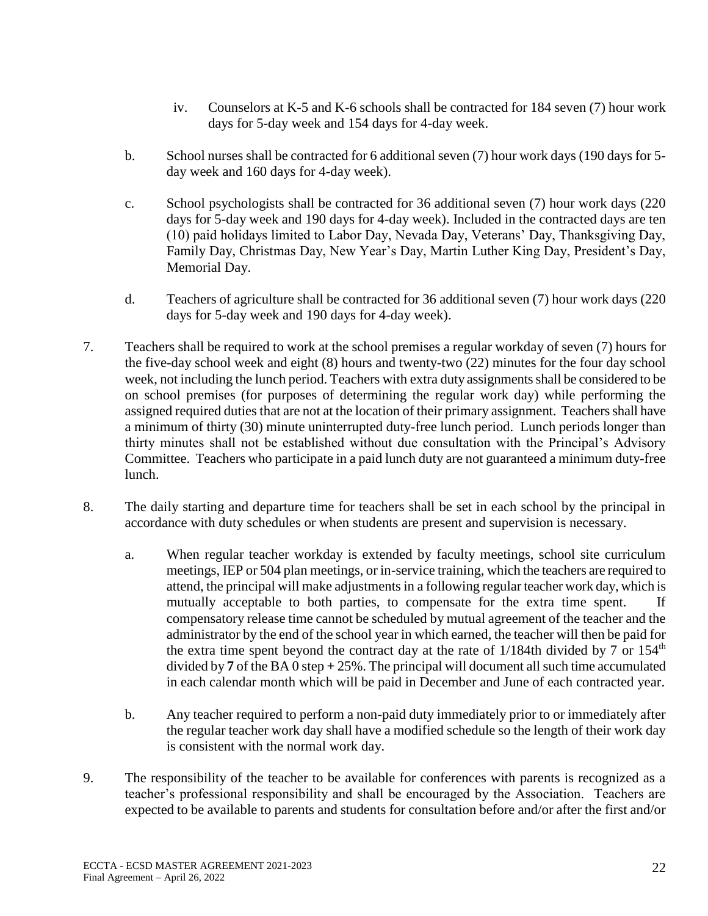- iv. Counselors at K-5 and K-6 schools shall be contracted for 184 seven (7) hour work days for 5-day week and 154 days for 4-day week.
- b. School nurses shall be contracted for 6 additional seven (7) hour work days (190 days for 5 day week and 160 days for 4-day week).
- c. School psychologists shall be contracted for 36 additional seven (7) hour work days (220 days for 5-day week and 190 days for 4-day week). Included in the contracted days are ten (10) paid holidays limited to Labor Day, Nevada Day, Veterans' Day, Thanksgiving Day, Family Day, Christmas Day, New Year's Day, Martin Luther King Day, President's Day, Memorial Day.
- d. Teachers of agriculture shall be contracted for 36 additional seven (7) hour work days (220 days for 5-day week and 190 days for 4-day week).
- 7. Teachers shall be required to work at the school premises a regular workday of seven (7) hours for the five-day school week and eight (8) hours and twenty-two (22) minutes for the four day school week, not including the lunch period. Teachers with extra duty assignments shall be considered to be on school premises (for purposes of determining the regular work day) while performing the assigned required duties that are not at the location of their primary assignment. Teachers shall have a minimum of thirty (30) minute uninterrupted duty-free lunch period. Lunch periods longer than thirty minutes shall not be established without due consultation with the Principal's Advisory Committee. Teachers who participate in a paid lunch duty are not guaranteed a minimum duty-free lunch.
- 8. The daily starting and departure time for teachers shall be set in each school by the principal in accordance with duty schedules or when students are present and supervision is necessary.
	- a. When regular teacher workday is extended by faculty meetings, school site curriculum meetings, IEP or 504 plan meetings, or in-service training, which the teachers are required to attend, the principal will make adjustments in a following regular teacher work day, which is mutually acceptable to both parties, to compensate for the extra time spent. If compensatory release time cannot be scheduled by mutual agreement of the teacher and the administrator by the end of the school year in which earned, the teacher will then be paid for the extra time spent beyond the contract day at the rate of  $1/184$ th divided by 7 or  $154<sup>th</sup>$ divided by **7** of the BA 0 step **+** 25%. The principal will document all such time accumulated in each calendar month which will be paid in December and June of each contracted year.
	- b. Any teacher required to perform a non-paid duty immediately prior to or immediately after the regular teacher work day shall have a modified schedule so the length of their work day is consistent with the normal work day.
- 9. The responsibility of the teacher to be available for conferences with parents is recognized as a teacher's professional responsibility and shall be encouraged by the Association. Teachers are expected to be available to parents and students for consultation before and/or after the first and/or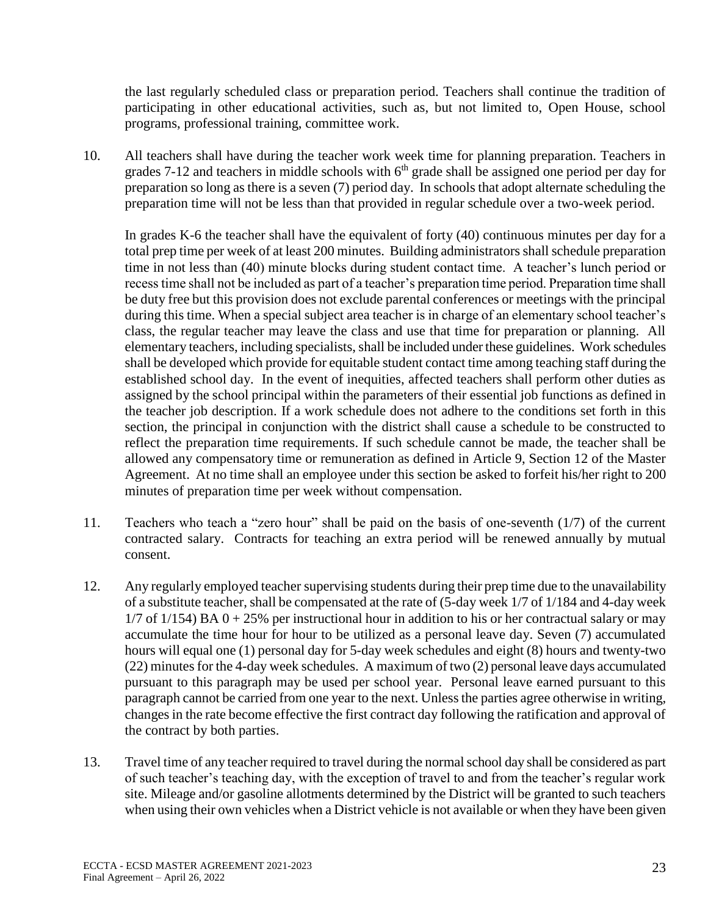the last regularly scheduled class or preparation period. Teachers shall continue the tradition of participating in other educational activities, such as, but not limited to, Open House, school programs, professional training, committee work.

10. All teachers shall have during the teacher work week time for planning preparation. Teachers in grades 7-12 and teachers in middle schools with  $6<sup>th</sup>$  grade shall be assigned one period per day for preparation so long as there is a seven (7) period day. In schools that adopt alternate scheduling the preparation time will not be less than that provided in regular schedule over a two-week period.

In grades K-6 the teacher shall have the equivalent of forty (40) continuous minutes per day for a total prep time per week of at least 200 minutes. Building administrators shall schedule preparation time in not less than (40) minute blocks during student contact time. A teacher's lunch period or recess time shall not be included as part of a teacher's preparation time period. Preparation time shall be duty free but this provision does not exclude parental conferences or meetings with the principal during this time. When a special subject area teacher is in charge of an elementary school teacher's class, the regular teacher may leave the class and use that time for preparation or planning. All elementary teachers, including specialists, shall be included under these guidelines. Work schedules shall be developed which provide for equitable student contact time among teaching staff during the established school day. In the event of inequities, affected teachers shall perform other duties as assigned by the school principal within the parameters of their essential job functions as defined in the teacher job description. If a work schedule does not adhere to the conditions set forth in this section, the principal in conjunction with the district shall cause a schedule to be constructed to reflect the preparation time requirements. If such schedule cannot be made, the teacher shall be allowed any compensatory time or remuneration as defined in Article 9, Section 12 of the Master Agreement. At no time shall an employee under this section be asked to forfeit his/her right to 200 minutes of preparation time per week without compensation.

- 11. Teachers who teach a "zero hour" shall be paid on the basis of one-seventh (1/7) of the current contracted salary. Contracts for teaching an extra period will be renewed annually by mutual consent.
- 12. Any regularly employed teacher supervising students during their prep time due to the unavailability of a substitute teacher, shall be compensated at the rate of (5-day week 1/7 of 1/184 and 4-day week  $1/7$  of  $1/154$ ) BA  $0 + 25%$  per instructional hour in addition to his or her contractual salary or may accumulate the time hour for hour to be utilized as a personal leave day. Seven (7) accumulated hours will equal one (1) personal day for 5-day week schedules and eight (8) hours and twenty-two (22) minutes for the 4-day week schedules. A maximum of two (2) personal leave days accumulated pursuant to this paragraph may be used per school year. Personal leave earned pursuant to this paragraph cannot be carried from one year to the next. Unless the parties agree otherwise in writing, changes in the rate become effective the first contract day following the ratification and approval of the contract by both parties.
- 13. Travel time of any teacher required to travel during the normal school day shall be considered as part of such teacher's teaching day, with the exception of travel to and from the teacher's regular work site. Mileage and/or gasoline allotments determined by the District will be granted to such teachers when using their own vehicles when a District vehicle is not available or when they have been given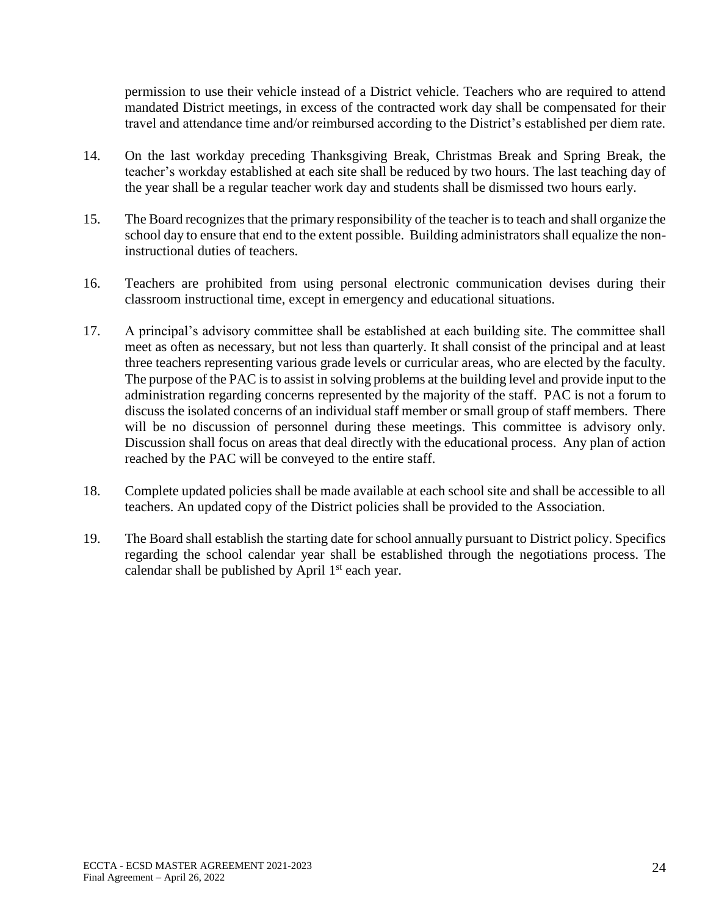permission to use their vehicle instead of a District vehicle. Teachers who are required to attend mandated District meetings, in excess of the contracted work day shall be compensated for their travel and attendance time and/or reimbursed according to the District's established per diem rate.

- 14. On the last workday preceding Thanksgiving Break, Christmas Break and Spring Break, the teacher's workday established at each site shall be reduced by two hours. The last teaching day of the year shall be a regular teacher work day and students shall be dismissed two hours early.
- 15. The Board recognizes that the primary responsibility of the teacher is to teach and shall organize the school day to ensure that end to the extent possible. Building administrators shall equalize the noninstructional duties of teachers.
- 16. Teachers are prohibited from using personal electronic communication devises during their classroom instructional time, except in emergency and educational situations.
- 17. A principal's advisory committee shall be established at each building site. The committee shall meet as often as necessary, but not less than quarterly. It shall consist of the principal and at least three teachers representing various grade levels or curricular areas, who are elected by the faculty. The purpose of the PAC is to assist in solving problems at the building level and provide input to the administration regarding concerns represented by the majority of the staff. PAC is not a forum to discuss the isolated concerns of an individual staff member or small group of staff members. There will be no discussion of personnel during these meetings. This committee is advisory only. Discussion shall focus on areas that deal directly with the educational process. Any plan of action reached by the PAC will be conveyed to the entire staff.
- 18. Complete updated policies shall be made available at each school site and shall be accessible to all teachers. An updated copy of the District policies shall be provided to the Association.
- 19. The Board shall establish the starting date for school annually pursuant to District policy. Specifics regarding the school calendar year shall be established through the negotiations process. The calendar shall be published by April  $1<sup>st</sup>$  each year.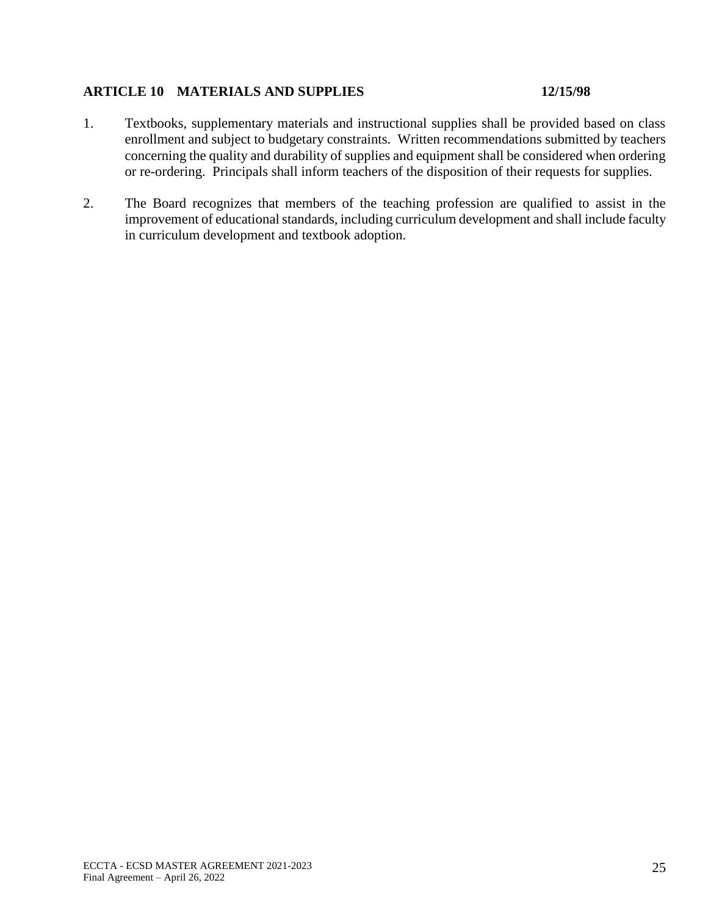### **ARTICLE 10 MATERIALS AND SUPPLIES 12/15/98**

- 1. Textbooks, supplementary materials and instructional supplies shall be provided based on class enrollment and subject to budgetary constraints. Written recommendations submitted by teachers concerning the quality and durability of supplies and equipment shall be considered when ordering or re-ordering. Principals shall inform teachers of the disposition of their requests for supplies.
- 2. The Board recognizes that members of the teaching profession are qualified to assist in the improvement of educational standards, including curriculum development and shall include faculty in curriculum development and textbook adoption.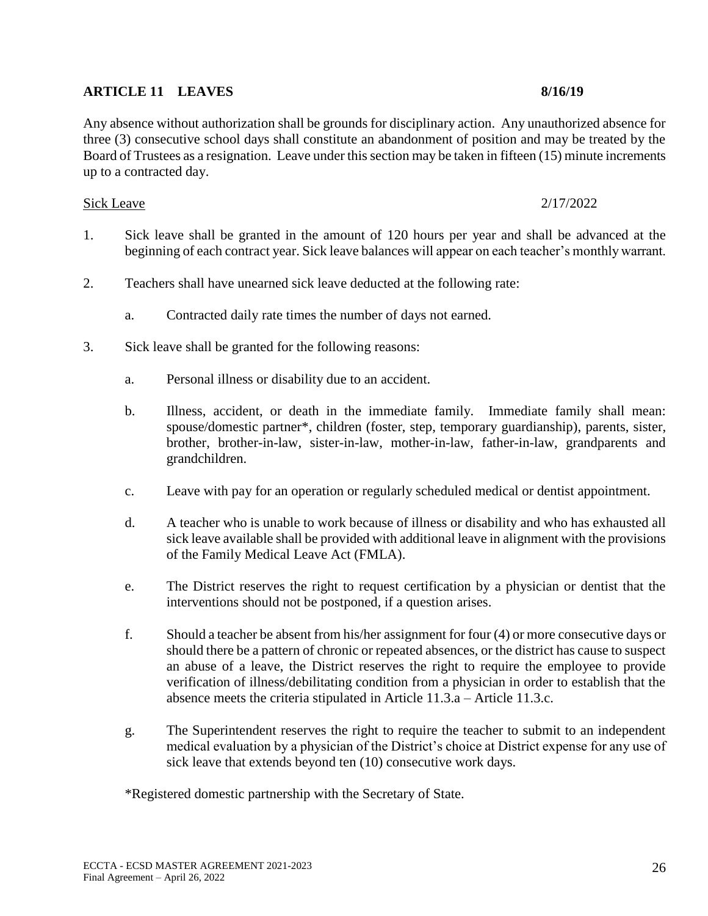## **ARTICLE 11 LEAVES 8/16/19**

Any absence without authorization shall be grounds for disciplinary action. Any unauthorized absence for three (3) consecutive school days shall constitute an abandonment of position and may be treated by the Board of Trustees as a resignation. Leave under this section may be taken in fifteen (15) minute increments up to a contracted day.

#### Sick Leave 2/17/2022

- 1. Sick leave shall be granted in the amount of 120 hours per year and shall be advanced at the beginning of each contract year. Sick leave balances will appear on each teacher's monthly warrant.
- 2. Teachers shall have unearned sick leave deducted at the following rate:
	- a. Contracted daily rate times the number of days not earned.
- 3. Sick leave shall be granted for the following reasons:
	- a. Personal illness or disability due to an accident.
	- b. Illness, accident, or death in the immediate family. Immediate family shall mean: spouse/domestic partner\*, children (foster, step, temporary guardianship), parents, sister, brother, brother-in-law, sister-in-law, mother-in-law, father-in-law, grandparents and grandchildren.
	- c. Leave with pay for an operation or regularly scheduled medical or dentist appointment.
	- d. A teacher who is unable to work because of illness or disability and who has exhausted all sick leave available shall be provided with additional leave in alignment with the provisions of the Family Medical Leave Act (FMLA).
	- e. The District reserves the right to request certification by a physician or dentist that the interventions should not be postponed, if a question arises.
	- f. Should a teacher be absent from his/her assignment for four (4) or more consecutive days or should there be a pattern of chronic or repeated absences, or the district has cause to suspect an abuse of a leave, the District reserves the right to require the employee to provide verification of illness/debilitating condition from a physician in order to establish that the absence meets the criteria stipulated in Article 11.3.a – Article 11.3.c.
	- g. The Superintendent reserves the right to require the teacher to submit to an independent medical evaluation by a physician of the District's choice at District expense for any use of sick leave that extends beyond ten  $(10)$  consecutive work days.

\*Registered domestic partnership with the Secretary of State.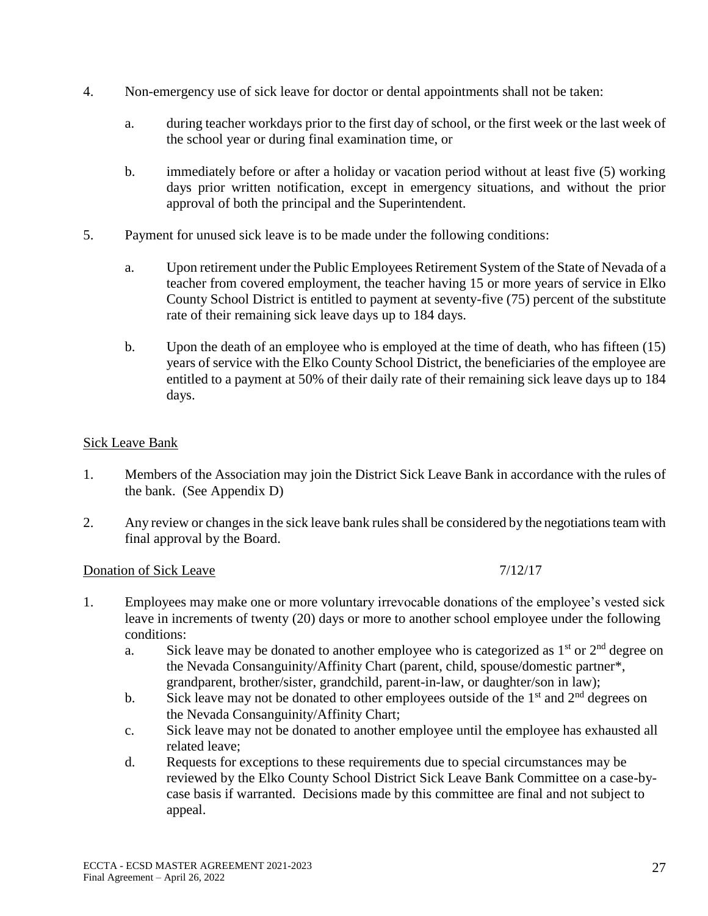- 4. Non-emergency use of sick leave for doctor or dental appointments shall not be taken:
	- a. during teacher workdays prior to the first day of school, or the first week or the last week of the school year or during final examination time, or
	- b. immediately before or after a holiday or vacation period without at least five (5) working days prior written notification, except in emergency situations, and without the prior approval of both the principal and the Superintendent.
- 5. Payment for unused sick leave is to be made under the following conditions:
	- a. Upon retirement under the Public Employees Retirement System of the State of Nevada of a teacher from covered employment, the teacher having 15 or more years of service in Elko County School District is entitled to payment at seventy-five (75) percent of the substitute rate of their remaining sick leave days up to 184 days.
	- b. Upon the death of an employee who is employed at the time of death, who has fifteen (15) years of service with the Elko County School District, the beneficiaries of the employee are entitled to a payment at 50% of their daily rate of their remaining sick leave days up to 184 days.

## Sick Leave Bank

- 1. Members of the Association may join the District Sick Leave Bank in accordance with the rules of the bank. (See Appendix D)
- 2. Any review or changes in the sick leave bank rules shall be considered by the negotiations team with final approval by the Board.

## Donation of Sick Leave 7/12/17

- 1. Employees may make one or more voluntary irrevocable donations of the employee's vested sick leave in increments of twenty (20) days or more to another school employee under the following conditions:
	- a. Sick leave may be donated to another employee who is categorized as  $1<sup>st</sup>$  or  $2<sup>nd</sup>$  degree on the Nevada Consanguinity/Affinity Chart (parent, child, spouse/domestic partner\*, grandparent, brother/sister, grandchild, parent-in-law, or daughter/son in law);
	- b. Sick leave may not be donated to other employees outside of the  $1<sup>st</sup>$  and  $2<sup>nd</sup>$  degrees on the Nevada Consanguinity/Affinity Chart;
	- c. Sick leave may not be donated to another employee until the employee has exhausted all related leave;
	- d. Requests for exceptions to these requirements due to special circumstances may be reviewed by the Elko County School District Sick Leave Bank Committee on a case-bycase basis if warranted. Decisions made by this committee are final and not subject to appeal.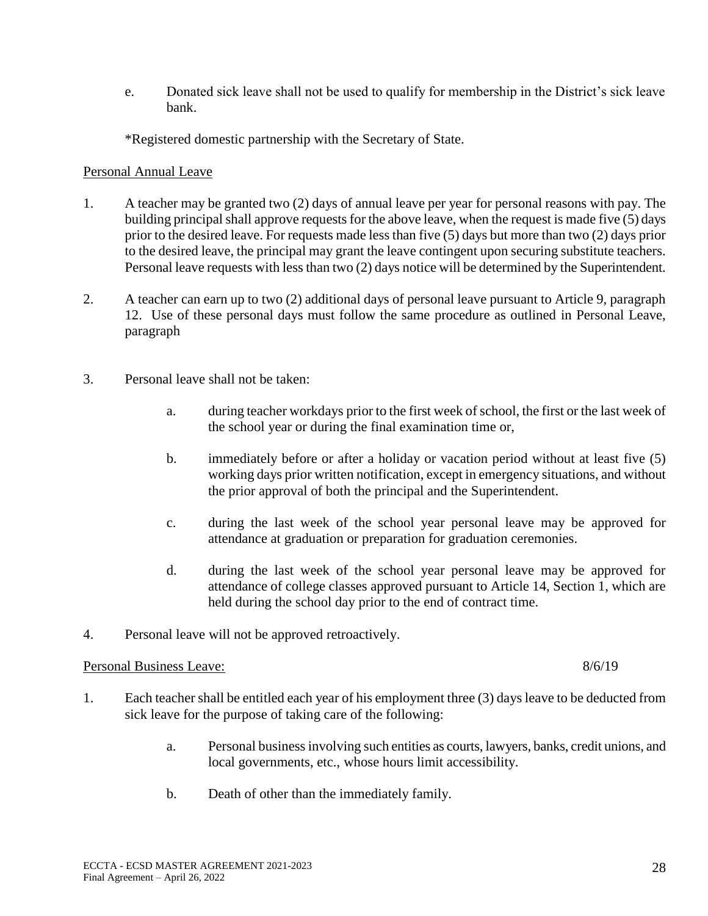e. Donated sick leave shall not be used to qualify for membership in the District's sick leave bank.

\*Registered domestic partnership with the Secretary of State.

### Personal Annual Leave

- 1. A teacher may be granted two (2) days of annual leave per year for personal reasons with pay. The building principal shall approve requests for the above leave, when the request is made five (5) days prior to the desired leave. For requests made less than five (5) days but more than two (2) days prior to the desired leave, the principal may grant the leave contingent upon securing substitute teachers. Personal leave requests with less than two (2) days notice will be determined by the Superintendent.
- 2. A teacher can earn up to two (2) additional days of personal leave pursuant to Article 9, paragraph 12. Use of these personal days must follow the same procedure as outlined in Personal Leave, paragraph
- 3. Personal leave shall not be taken:
	- a. during teacher workdays prior to the first week of school, the first or the last week of the school year or during the final examination time or,
	- b. immediately before or after a holiday or vacation period without at least five (5) working days prior written notification, except in emergency situations, and without the prior approval of both the principal and the Superintendent.
	- c. during the last week of the school year personal leave may be approved for attendance at graduation or preparation for graduation ceremonies.
	- d. during the last week of the school year personal leave may be approved for attendance of college classes approved pursuant to Article 14, Section 1, which are held during the school day prior to the end of contract time.
- 4. Personal leave will not be approved retroactively.

## Personal Business Leave: 8/6/19

- 1. Each teacher shall be entitled each year of his employment three (3) days leave to be deducted from sick leave for the purpose of taking care of the following:
	- a. Personal business involving such entities as courts, lawyers, banks, credit unions, and local governments, etc., whose hours limit accessibility.
	- b. Death of other than the immediately family.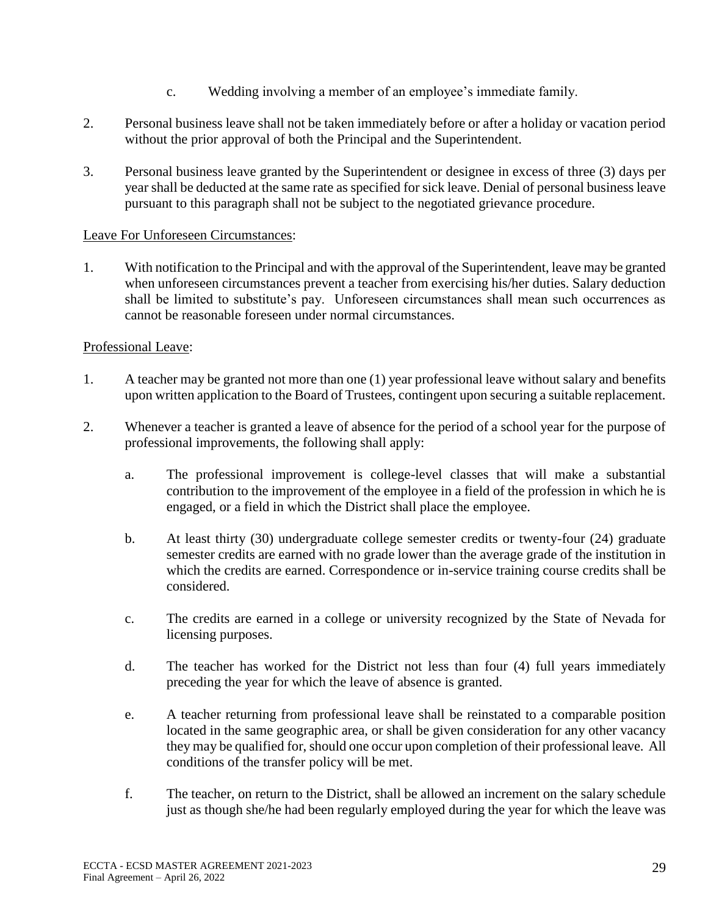- c. Wedding involving a member of an employee's immediate family.
- 2. Personal business leave shall not be taken immediately before or after a holiday or vacation period without the prior approval of both the Principal and the Superintendent.
- 3. Personal business leave granted by the Superintendent or designee in excess of three (3) days per year shall be deducted at the same rate as specified for sick leave. Denial of personal business leave pursuant to this paragraph shall not be subject to the negotiated grievance procedure.

### Leave For Unforeseen Circumstances:

1. With notification to the Principal and with the approval of the Superintendent, leave may be granted when unforeseen circumstances prevent a teacher from exercising his/her duties. Salary deduction shall be limited to substitute's pay. Unforeseen circumstances shall mean such occurrences as cannot be reasonable foreseen under normal circumstances.

### Professional Leave:

- 1. A teacher may be granted not more than one (1) year professional leave without salary and benefits upon written application to the Board of Trustees, contingent upon securing a suitable replacement.
- 2. Whenever a teacher is granted a leave of absence for the period of a school year for the purpose of professional improvements, the following shall apply:
	- a. The professional improvement is college-level classes that will make a substantial contribution to the improvement of the employee in a field of the profession in which he is engaged, or a field in which the District shall place the employee.
	- b. At least thirty (30) undergraduate college semester credits or twenty-four (24) graduate semester credits are earned with no grade lower than the average grade of the institution in which the credits are earned. Correspondence or in-service training course credits shall be considered.
	- c. The credits are earned in a college or university recognized by the State of Nevada for licensing purposes.
	- d. The teacher has worked for the District not less than four (4) full years immediately preceding the year for which the leave of absence is granted.
	- e. A teacher returning from professional leave shall be reinstated to a comparable position located in the same geographic area, or shall be given consideration for any other vacancy they may be qualified for, should one occur upon completion of their professional leave. All conditions of the transfer policy will be met.
	- f. The teacher, on return to the District, shall be allowed an increment on the salary schedule just as though she/he had been regularly employed during the year for which the leave was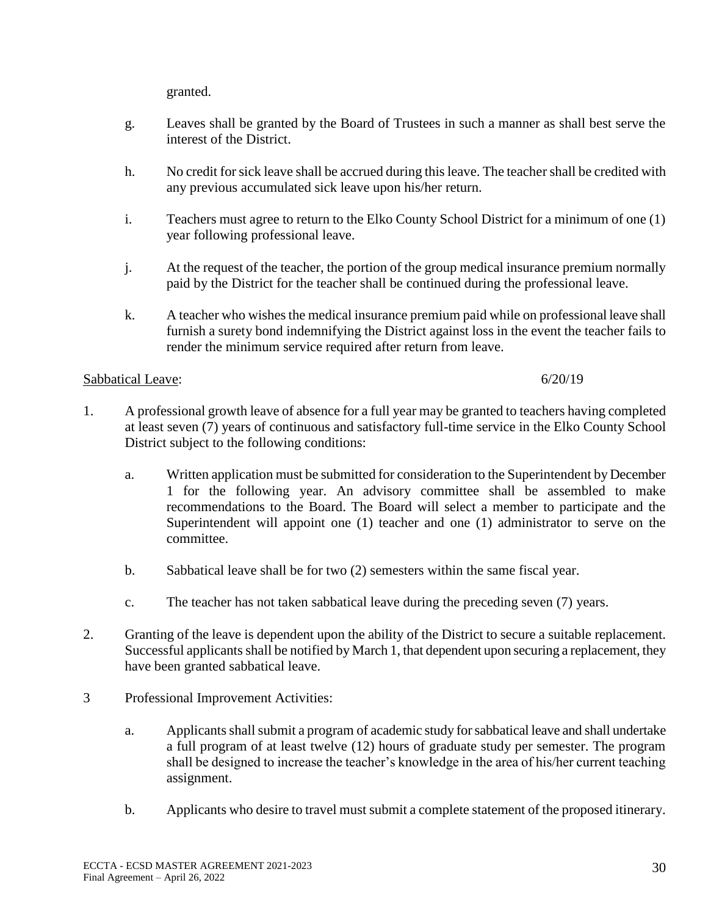granted.

- g. Leaves shall be granted by the Board of Trustees in such a manner as shall best serve the interest of the District.
- h. No credit for sick leave shall be accrued during this leave. The teacher shall be credited with any previous accumulated sick leave upon his/her return.
- i. Teachers must agree to return to the Elko County School District for a minimum of one (1) year following professional leave.
- j. At the request of the teacher, the portion of the group medical insurance premium normally paid by the District for the teacher shall be continued during the professional leave.
- k. A teacher who wishes the medical insurance premium paid while on professional leave shall furnish a surety bond indemnifying the District against loss in the event the teacher fails to render the minimum service required after return from leave.

## Sabbatical Leave: 6/20/19

- 1. A professional growth leave of absence for a full year may be granted to teachers having completed at least seven (7) years of continuous and satisfactory full-time service in the Elko County School District subject to the following conditions:
	- a. Written application must be submitted for consideration to the Superintendent by December 1 for the following year. An advisory committee shall be assembled to make recommendations to the Board. The Board will select a member to participate and the Superintendent will appoint one (1) teacher and one (1) administrator to serve on the committee.
	- b. Sabbatical leave shall be for two (2) semesters within the same fiscal year.
	- c. The teacher has not taken sabbatical leave during the preceding seven (7) years.
- 2. Granting of the leave is dependent upon the ability of the District to secure a suitable replacement. Successful applicants shall be notified by March 1, that dependent upon securing a replacement, they have been granted sabbatical leave.
- 3 Professional Improvement Activities:
	- a. Applicants shall submit a program of academic study for sabbatical leave and shall undertake a full program of at least twelve (12) hours of graduate study per semester. The program shall be designed to increase the teacher's knowledge in the area of his/her current teaching assignment.
	- b. Applicants who desire to travel must submit a complete statement of the proposed itinerary.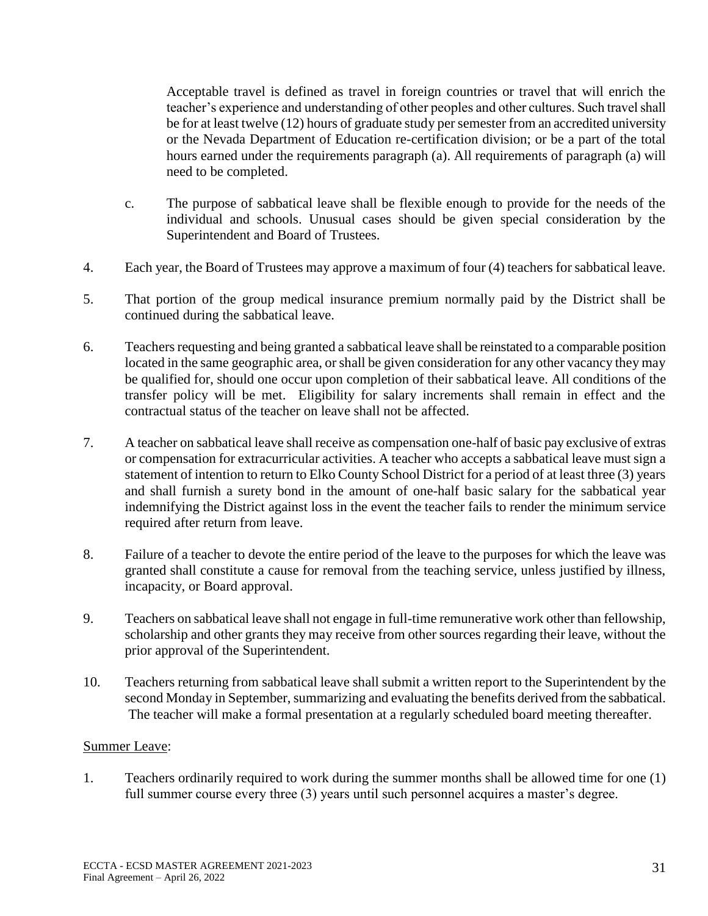Acceptable travel is defined as travel in foreign countries or travel that will enrich the teacher's experience and understanding of other peoples and other cultures. Such travel shall be for at least twelve (12) hours of graduate study per semester from an accredited university or the Nevada Department of Education re-certification division; or be a part of the total hours earned under the requirements paragraph (a). All requirements of paragraph (a) will need to be completed.

- c. The purpose of sabbatical leave shall be flexible enough to provide for the needs of the individual and schools. Unusual cases should be given special consideration by the Superintendent and Board of Trustees.
- 4. Each year, the Board of Trustees may approve a maximum of four (4) teachers for sabbatical leave.
- 5. That portion of the group medical insurance premium normally paid by the District shall be continued during the sabbatical leave.
- 6. Teachers requesting and being granted a sabbatical leave shall be reinstated to a comparable position located in the same geographic area, or shall be given consideration for any other vacancy they may be qualified for, should one occur upon completion of their sabbatical leave. All conditions of the transfer policy will be met. Eligibility for salary increments shall remain in effect and the contractual status of the teacher on leave shall not be affected.
- 7. A teacher on sabbatical leave shall receive as compensation one-half of basic pay exclusive of extras or compensation for extracurricular activities. A teacher who accepts a sabbatical leave must sign a statement of intention to return to Elko County School District for a period of at least three (3) years and shall furnish a surety bond in the amount of one-half basic salary for the sabbatical year indemnifying the District against loss in the event the teacher fails to render the minimum service required after return from leave.
- 8. Failure of a teacher to devote the entire period of the leave to the purposes for which the leave was granted shall constitute a cause for removal from the teaching service, unless justified by illness, incapacity, or Board approval.
- 9. Teachers on sabbatical leave shall not engage in full-time remunerative work other than fellowship, scholarship and other grants they may receive from other sources regarding their leave, without the prior approval of the Superintendent.
- 10. Teachers returning from sabbatical leave shall submit a written report to the Superintendent by the second Monday in September, summarizing and evaluating the benefits derived from the sabbatical. The teacher will make a formal presentation at a regularly scheduled board meeting thereafter.

## Summer Leave:

1. Teachers ordinarily required to work during the summer months shall be allowed time for one (1) full summer course every three (3) years until such personnel acquires a master's degree.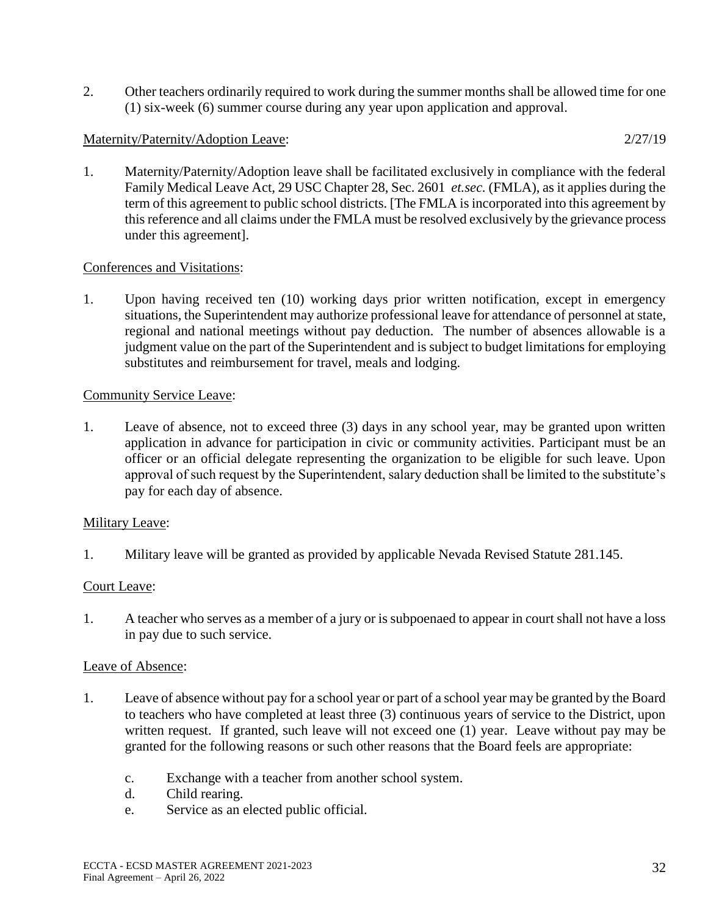2. Other teachers ordinarily required to work during the summer months shall be allowed time for one (1) six-week (6) summer course during any year upon application and approval.

### Maternity/Paternity/Adoption Leave: 2/27/19

1. Maternity/Paternity/Adoption leave shall be facilitated exclusively in compliance with the federal Family Medical Leave Act, 29 USC Chapter 28, Sec. 2601 *et.sec.* (FMLA), as it applies during the term of this agreement to public school districts. [The FMLA is incorporated into this agreement by this reference and all claims under the FMLA must be resolved exclusively by the grievance process under this agreement].

### Conferences and Visitations:

1. Upon having received ten (10) working days prior written notification, except in emergency situations, the Superintendent may authorize professional leave for attendance of personnel at state, regional and national meetings without pay deduction. The number of absences allowable is a judgment value on the part of the Superintendent and is subject to budget limitations for employing substitutes and reimbursement for travel, meals and lodging.

### Community Service Leave:

1. Leave of absence, not to exceed three (3) days in any school year, may be granted upon written application in advance for participation in civic or community activities. Participant must be an officer or an official delegate representing the organization to be eligible for such leave. Upon approval of such request by the Superintendent, salary deduction shall be limited to the substitute's pay for each day of absence.

## Military Leave:

1. Military leave will be granted as provided by applicable Nevada Revised Statute 281.145.

## Court Leave:

1. A teacher who serves as a member of a jury or is subpoenaed to appear in court shall not have a loss in pay due to such service.

#### Leave of Absence:

- 1. Leave of absence without pay for a school year or part of a school year may be granted by the Board to teachers who have completed at least three (3) continuous years of service to the District, upon written request. If granted, such leave will not exceed one (1) year. Leave without pay may be granted for the following reasons or such other reasons that the Board feels are appropriate:
	- c. Exchange with a teacher from another school system.
	- d. Child rearing.
	- e. Service as an elected public official.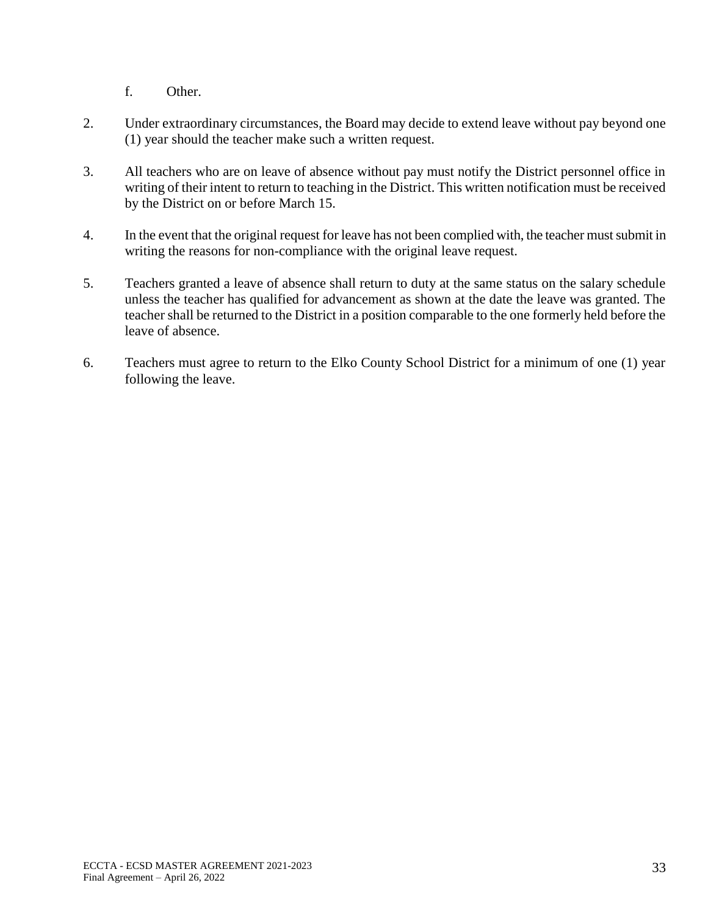f. Other.

- 2. Under extraordinary circumstances, the Board may decide to extend leave without pay beyond one (1) year should the teacher make such a written request.
- 3. All teachers who are on leave of absence without pay must notify the District personnel office in writing of their intent to return to teaching in the District. This written notification must be received by the District on or before March 15.
- 4. In the event that the original request for leave has not been complied with, the teacher must submit in writing the reasons for non-compliance with the original leave request.
- 5. Teachers granted a leave of absence shall return to duty at the same status on the salary schedule unless the teacher has qualified for advancement as shown at the date the leave was granted. The teacher shall be returned to the District in a position comparable to the one formerly held before the leave of absence.
- 6. Teachers must agree to return to the Elko County School District for a minimum of one (1) year following the leave.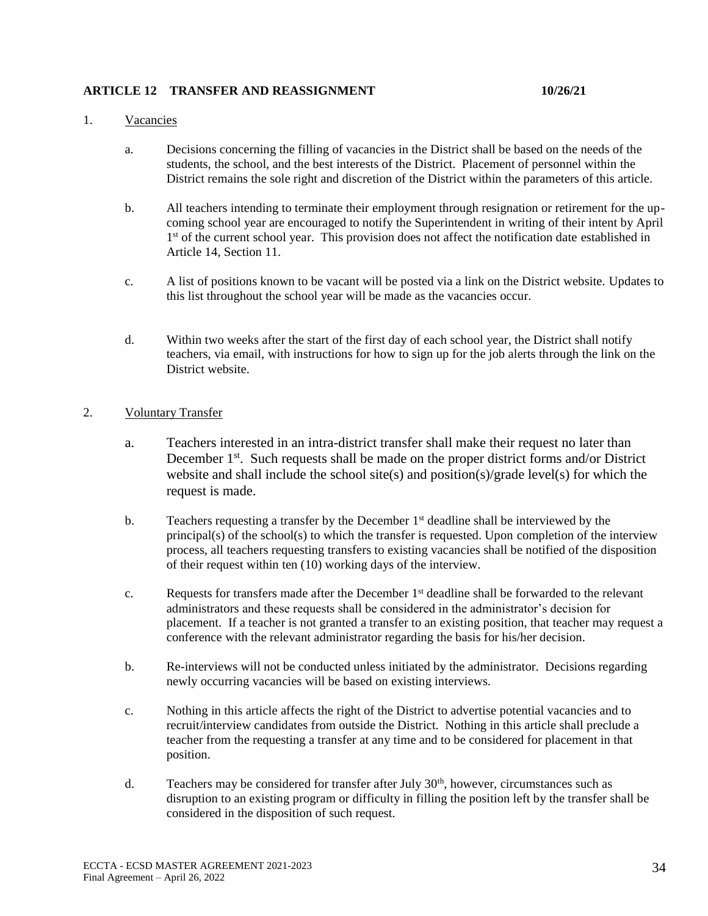#### **ARTICLE 12 TRANSFER AND REASSIGNMENT 10/26/21**

#### 1. Vacancies

- a. Decisions concerning the filling of vacancies in the District shall be based on the needs of the students, the school, and the best interests of the District. Placement of personnel within the District remains the sole right and discretion of the District within the parameters of this article.
- b. All teachers intending to terminate their employment through resignation or retirement for the upcoming school year are encouraged to notify the Superintendent in writing of their intent by April 1<sup>st</sup> of the current school year. This provision does not affect the notification date established in Article 14, Section 11.
- c. A list of positions known to be vacant will be posted via a link on the District website. Updates to this list throughout the school year will be made as the vacancies occur.
- d. Within two weeks after the start of the first day of each school year, the District shall notify teachers, via email, with instructions for how to sign up for the job alerts through the link on the District website.

#### 2. Voluntary Transfer

- a. Teachers interested in an intra-district transfer shall make their request no later than December 1<sup>st</sup>. Such requests shall be made on the proper district forms and/or District website and shall include the school site(s) and position(s)/grade level(s) for which the request is made.
- b. Teachers requesting a transfer by the December 1<sup>st</sup> deadline shall be interviewed by the principal(s) of the school(s) to which the transfer is requested. Upon completion of the interview process, all teachers requesting transfers to existing vacancies shall be notified of the disposition of their request within ten (10) working days of the interview.
- c. Requests for transfers made after the December 1<sup>st</sup> deadline shall be forwarded to the relevant administrators and these requests shall be considered in the administrator's decision for placement. If a teacher is not granted a transfer to an existing position, that teacher may request a conference with the relevant administrator regarding the basis for his/her decision.
- b. Re-interviews will not be conducted unless initiated by the administrator. Decisions regarding newly occurring vacancies will be based on existing interviews.
- c. Nothing in this article affects the right of the District to advertise potential vacancies and to recruit/interview candidates from outside the District. Nothing in this article shall preclude a teacher from the requesting a transfer at any time and to be considered for placement in that position.
- d. Teachers may be considered for transfer after July  $30<sup>th</sup>$ , however, circumstances such as disruption to an existing program or difficulty in filling the position left by the transfer shall be considered in the disposition of such request.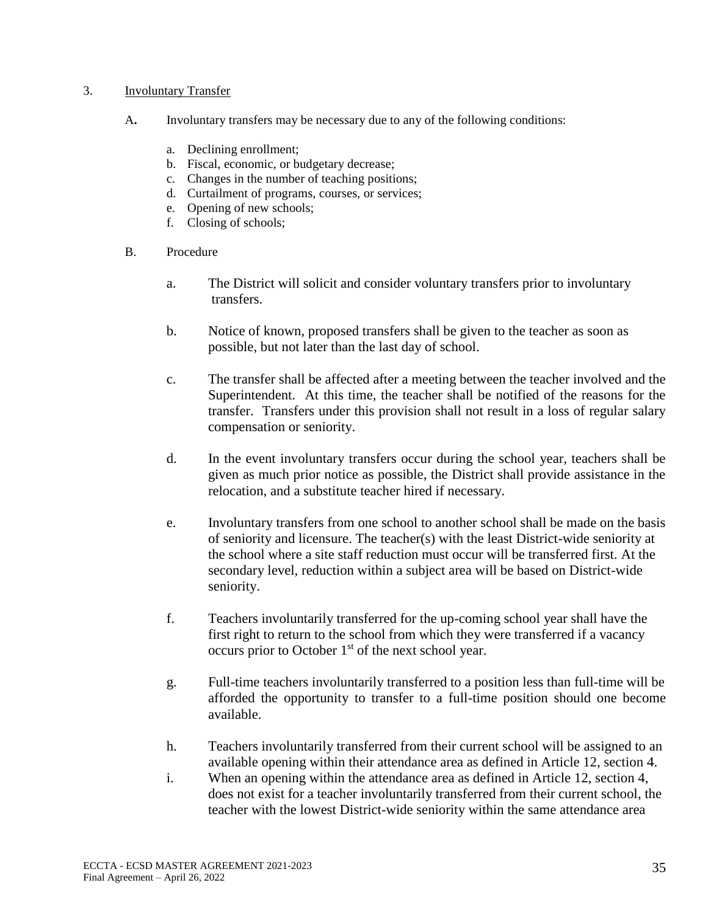#### 3. Involuntary Transfer

- A**.** Involuntary transfers may be necessary due to any of the following conditions:
	- a. Declining enrollment;
	- b. Fiscal, economic, or budgetary decrease;
	- c. Changes in the number of teaching positions;
	- d. Curtailment of programs, courses, or services;
	- e. Opening of new schools;
	- f. Closing of schools;
- B. Procedure
	- a. The District will solicit and consider voluntary transfers prior to involuntary transfers.
	- b. Notice of known, proposed transfers shall be given to the teacher as soon as possible, but not later than the last day of school.
	- c. The transfer shall be affected after a meeting between the teacher involved and the Superintendent. At this time, the teacher shall be notified of the reasons for the transfer. Transfers under this provision shall not result in a loss of regular salary compensation or seniority.
	- d. In the event involuntary transfers occur during the school year, teachers shall be given as much prior notice as possible, the District shall provide assistance in the relocation, and a substitute teacher hired if necessary.
	- e. Involuntary transfers from one school to another school shall be made on the basis of seniority and licensure. The teacher(s) with the least District-wide seniority at the school where a site staff reduction must occur will be transferred first. At the secondary level, reduction within a subject area will be based on District-wide seniority.
	- f. Teachers involuntarily transferred for the up-coming school year shall have the first right to return to the school from which they were transferred if a vacancy occurs prior to October  $1<sup>st</sup>$  of the next school year.
	- g. Full-time teachers involuntarily transferred to a position less than full-time will be afforded the opportunity to transfer to a full-time position should one become available.
	- h. Teachers involuntarily transferred from their current school will be assigned to an available opening within their attendance area as defined in Article 12, section 4.
	- i. When an opening within the attendance area as defined in Article 12, section 4, does not exist for a teacher involuntarily transferred from their current school, the teacher with the lowest District-wide seniority within the same attendance area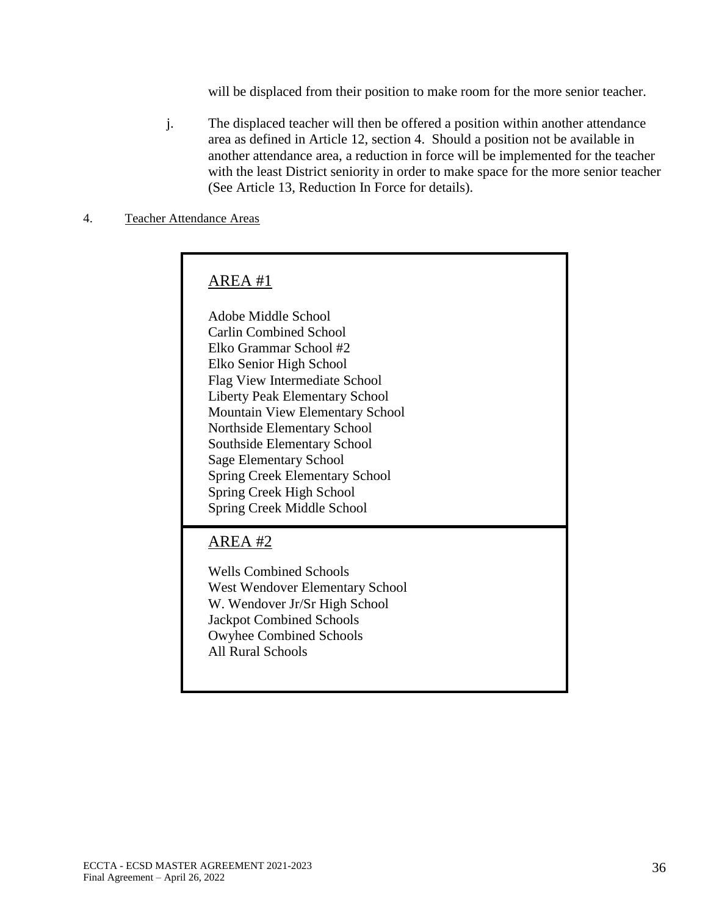will be displaced from their position to make room for the more senior teacher.

j. The displaced teacher will then be offered a position within another attendance area as defined in Article 12, section 4. Should a position not be available in another attendance area, a reduction in force will be implemented for the teacher with the least District seniority in order to make space for the more senior teacher (See Article 13, Reduction In Force for details).

#### 4. Teacher Attendance Areas

# AREA #1

Adobe Middle School Carlin Combined School Elko Grammar School #2 Elko Senior High School Flag View Intermediate School Liberty Peak Elementary School Mountain View Elementary School Northside Elementary School Southside Elementary School Sage Elementary School Spring Creek Elementary School Spring Creek High School Spring Creek Middle School

# AREA #2

Wells Combined Schools West Wendover Elementary School W. Wendover Jr/Sr High School Jackpot Combined Schools Owyhee Combined Schools All Rural Schools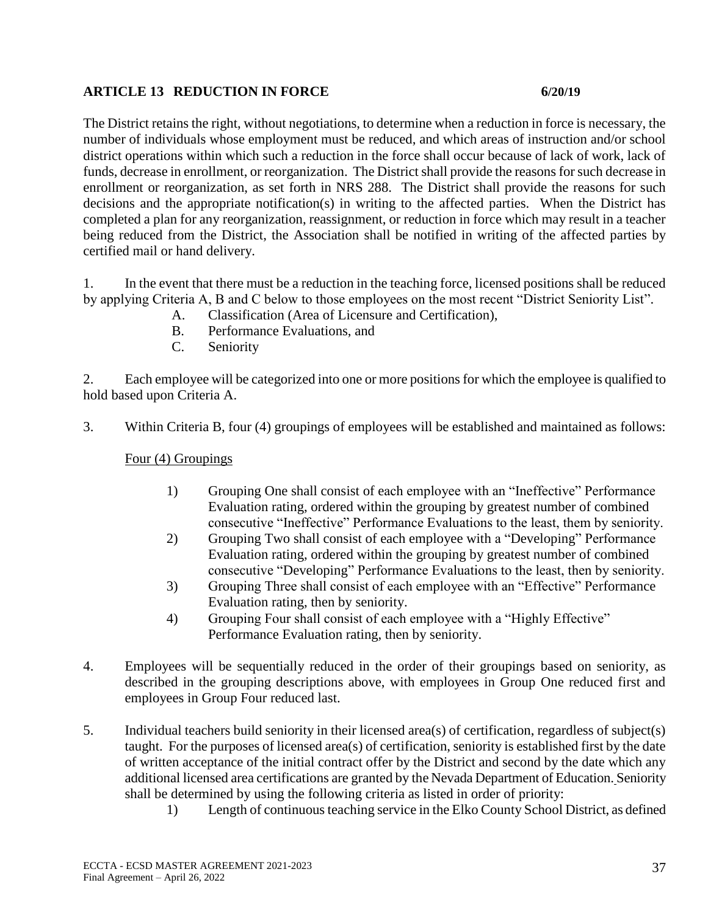## **ARTICLE 13 REDUCTION IN FORCE 6/20/19**

The District retains the right, without negotiations, to determine when a reduction in force is necessary, the number of individuals whose employment must be reduced, and which areas of instruction and/or school district operations within which such a reduction in the force shall occur because of lack of work, lack of funds, decrease in enrollment, or reorganization. The District shall provide the reasons for such decrease in enrollment or reorganization, as set forth in NRS 288. The District shall provide the reasons for such decisions and the appropriate notification(s) in writing to the affected parties. When the District has completed a plan for any reorganization, reassignment, or reduction in force which may result in a teacher being reduced from the District, the Association shall be notified in writing of the affected parties by certified mail or hand delivery.

1. In the event that there must be a reduction in the teaching force, licensed positions shall be reduced by applying Criteria A, B and C below to those employees on the most recent "District Seniority List".

- A. Classification (Area of Licensure and Certification),
- B. Performance Evaluations, and
- C. Seniority

2. Each employee will be categorized into one or more positions for which the employee is qualified to hold based upon Criteria A.

3. Within Criteria B, four (4) groupings of employees will be established and maintained as follows:

Four (4) Groupings

- 1) Grouping One shall consist of each employee with an "Ineffective" Performance Evaluation rating, ordered within the grouping by greatest number of combined consecutive "Ineffective" Performance Evaluations to the least, them by seniority.
- 2) Grouping Two shall consist of each employee with a "Developing" Performance Evaluation rating, ordered within the grouping by greatest number of combined consecutive "Developing" Performance Evaluations to the least, then by seniority.
- 3) Grouping Three shall consist of each employee with an "Effective" Performance Evaluation rating, then by seniority.
- 4) Grouping Four shall consist of each employee with a "Highly Effective" Performance Evaluation rating, then by seniority.
- 4. Employees will be sequentially reduced in the order of their groupings based on seniority, as described in the grouping descriptions above, with employees in Group One reduced first and employees in Group Four reduced last.
- 5. Individual teachers build seniority in their licensed area(s) of certification, regardless of subject(s) taught. For the purposes of licensed area(s) of certification, seniority is established first by the date of written acceptance of the initial contract offer by the District and second by the date which any additional licensed area certifications are granted by the Nevada Department of Education. Seniority shall be determined by using the following criteria as listed in order of priority:
	- 1) Length of continuous teaching service in the Elko County School District, as defined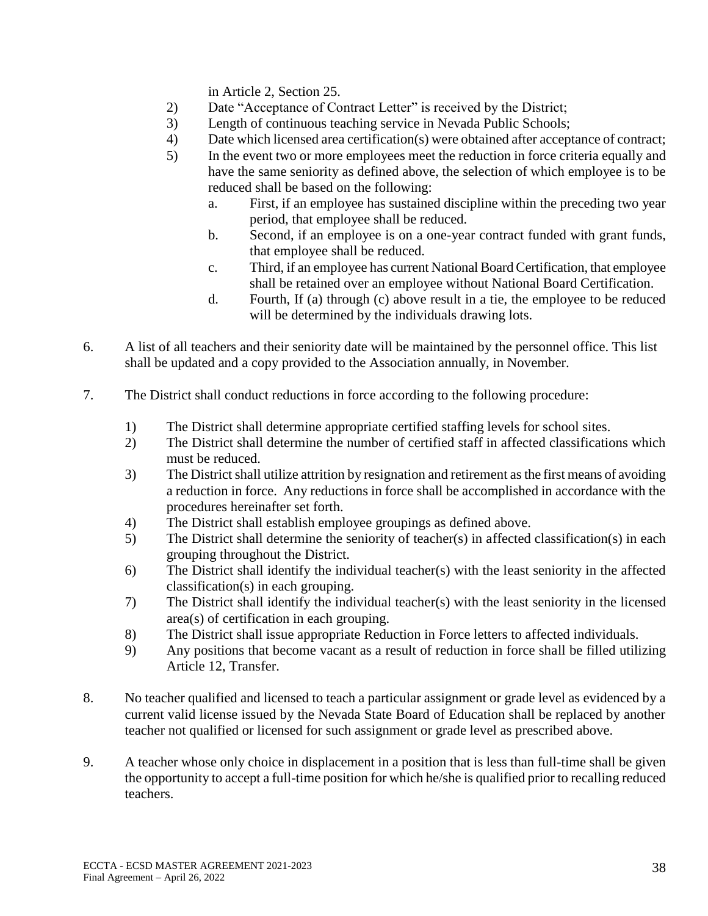in Article 2, Section 25.

- 2) Date "Acceptance of Contract Letter" is received by the District;
- 3) Length of continuous teaching service in Nevada Public Schools;
- 4) Date which licensed area certification(s) were obtained after acceptance of contract;
- 5) In the event two or more employees meet the reduction in force criteria equally and have the same seniority as defined above, the selection of which employee is to be reduced shall be based on the following:
	- a. First, if an employee has sustained discipline within the preceding two year period, that employee shall be reduced.
	- b. Second, if an employee is on a one-year contract funded with grant funds, that employee shall be reduced.
	- c. Third, if an employee has current National Board Certification, that employee shall be retained over an employee without National Board Certification.
	- d. Fourth, If (a) through (c) above result in a tie, the employee to be reduced will be determined by the individuals drawing lots.
- 6. A list of all teachers and their seniority date will be maintained by the personnel office. This list shall be updated and a copy provided to the Association annually, in November.
- 7. The District shall conduct reductions in force according to the following procedure:
	- 1) The District shall determine appropriate certified staffing levels for school sites.
	- 2) The District shall determine the number of certified staff in affected classifications which must be reduced.
	- 3) The District shall utilize attrition by resignation and retirement as the first means of avoiding a reduction in force. Any reductions in force shall be accomplished in accordance with the procedures hereinafter set forth.
	- 4) The District shall establish employee groupings as defined above.
	- 5) The District shall determine the seniority of teacher(s) in affected classification(s) in each grouping throughout the District.
	- 6) The District shall identify the individual teacher(s) with the least seniority in the affected classification(s) in each grouping.
	- 7) The District shall identify the individual teacher(s) with the least seniority in the licensed area(s) of certification in each grouping.
	- 8) The District shall issue appropriate Reduction in Force letters to affected individuals.
	- 9) Any positions that become vacant as a result of reduction in force shall be filled utilizing Article 12, Transfer.
- 8. No teacher qualified and licensed to teach a particular assignment or grade level as evidenced by a current valid license issued by the Nevada State Board of Education shall be replaced by another teacher not qualified or licensed for such assignment or grade level as prescribed above.
- 9. A teacher whose only choice in displacement in a position that is less than full-time shall be given the opportunity to accept a full-time position for which he/she is qualified prior to recalling reduced teachers.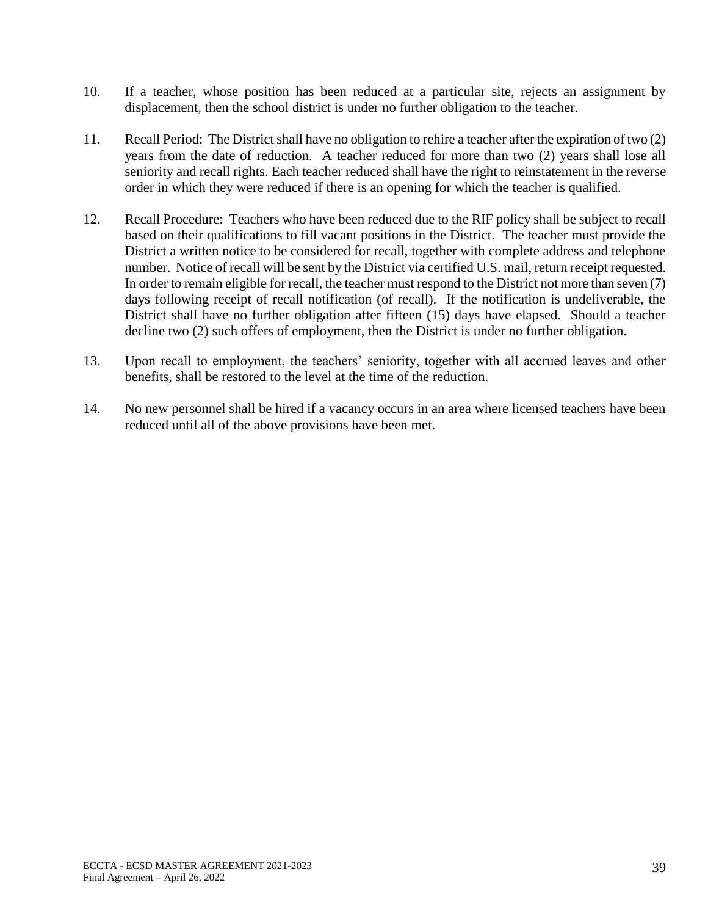- 10. If a teacher, whose position has been reduced at a particular site, rejects an assignment by displacement, then the school district is under no further obligation to the teacher.
- 11. Recall Period: The District shall have no obligation to rehire a teacher after the expiration of two (2) years from the date of reduction. A teacher reduced for more than two (2) years shall lose all seniority and recall rights. Each teacher reduced shall have the right to reinstatement in the reverse order in which they were reduced if there is an opening for which the teacher is qualified.
- 12. Recall Procedure: Teachers who have been reduced due to the RIF policy shall be subject to recall based on their qualifications to fill vacant positions in the District. The teacher must provide the District a written notice to be considered for recall, together with complete address and telephone number. Notice of recall will be sent by the District via certified U.S. mail, return receipt requested. In order to remain eligible for recall, the teacher must respond to the District not more than seven (7) days following receipt of recall notification (of recall). If the notification is undeliverable, the District shall have no further obligation after fifteen (15) days have elapsed. Should a teacher decline two (2) such offers of employment, then the District is under no further obligation.
- 13. Upon recall to employment, the teachers' seniority, together with all accrued leaves and other benefits, shall be restored to the level at the time of the reduction.
- 14. No new personnel shall be hired if a vacancy occurs in an area where licensed teachers have been reduced until all of the above provisions have been met.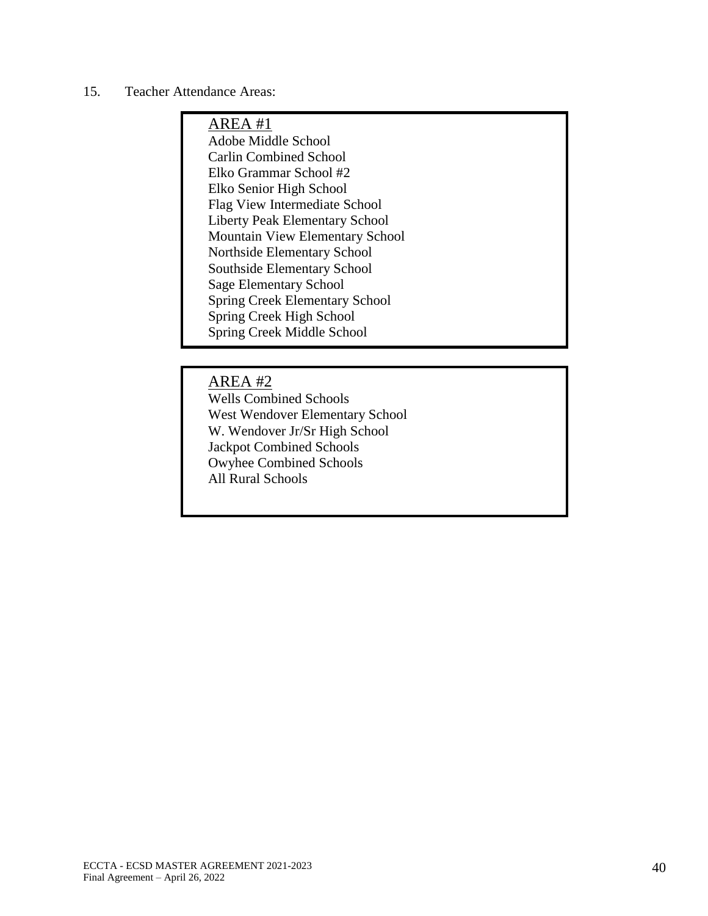## 15. Teacher Attendance Areas:

# AREA #1

Adobe Middle School Carlin Combined School Elko Grammar School #2 Elko Senior High School Flag View Intermediate School Liberty Peak Elementary School Mountain View Elementary School Northside Elementary School Southside Elementary School Sage Elementary School Spring Creek Elementary School Spring Creek High School Spring Creek Middle School

## AREA #2

Wells Combined Schools West Wendover Elementary School W. Wendover Jr/Sr High School Jackpot Combined Schools Owyhee Combined Schools All Rural Schools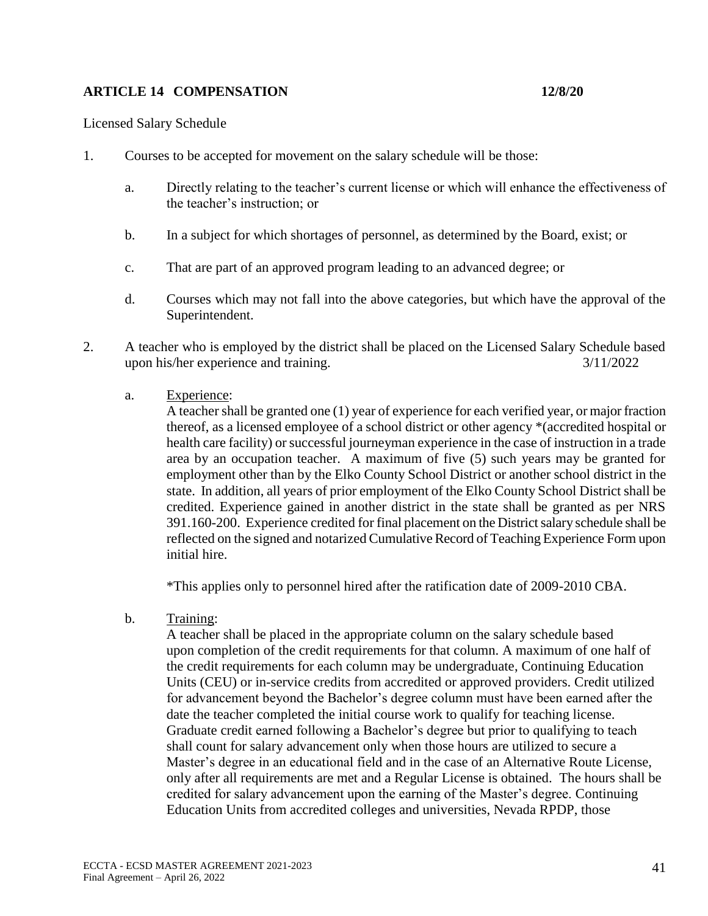### **ARTICLE 14 COMPENSATION 12/8/20**

Licensed Salary Schedule

- 1. Courses to be accepted for movement on the salary schedule will be those:
	- a. Directly relating to the teacher's current license or which will enhance the effectiveness of the teacher's instruction; or
	- b. In a subject for which shortages of personnel, as determined by the Board, exist; or
	- c. That are part of an approved program leading to an advanced degree; or
	- d. Courses which may not fall into the above categories, but which have the approval of the Superintendent.
- 2. A teacher who is employed by the district shall be placed on the Licensed Salary Schedule based upon his/her experience and training. 3/11/2022
	- a. Experience:

A teacher shall be granted one (1) year of experience for each verified year, or major fraction thereof, as a licensed employee of a school district or other agency \*(accredited hospital or health care facility) or successful journeyman experience in the case of instruction in a trade area by an occupation teacher. A maximum of five (5) such years may be granted for employment other than by the Elko County School District or another school district in the state. In addition, all years of prior employment of the Elko County School District shall be credited. Experience gained in another district in the state shall be granted as per NRS 391.160-200. Experience credited for final placement on the District salary schedule shall be reflected on the signed and notarized Cumulative Record of Teaching Experience Form upon initial hire.

\*This applies only to personnel hired after the ratification date of 2009-2010 CBA.

b. Training:

A teacher shall be placed in the appropriate column on the salary schedule based upon completion of the credit requirements for that column. A maximum of one half of the credit requirements for each column may be undergraduate, Continuing Education Units (CEU) or in-service credits from accredited or approved providers. Credit utilized for advancement beyond the Bachelor's degree column must have been earned after the date the teacher completed the initial course work to qualify for teaching license. Graduate credit earned following a Bachelor's degree but prior to qualifying to teach shall count for salary advancement only when those hours are utilized to secure a Master's degree in an educational field and in the case of an Alternative Route License, only after all requirements are met and a Regular License is obtained. The hours shall be credited for salary advancement upon the earning of the Master's degree. Continuing Education Units from accredited colleges and universities, Nevada RPDP, those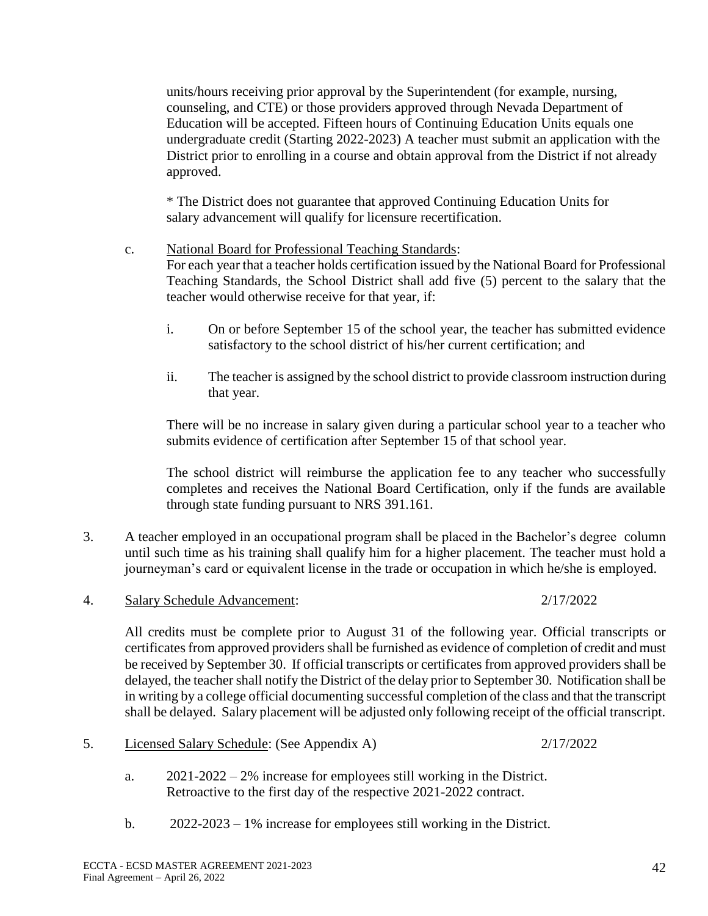units/hours receiving prior approval by the Superintendent (for example, nursing, counseling, and CTE) or those providers approved through Nevada Department of Education will be accepted. Fifteen hours of Continuing Education Units equals one undergraduate credit (Starting 2022-2023) A teacher must submit an application with the District prior to enrolling in a course and obtain approval from the District if not already approved.

\* The District does not guarantee that approved Continuing Education Units for salary advancement will qualify for licensure recertification.

### c. National Board for Professional Teaching Standards:

For each year that a teacher holds certification issued by the National Board for Professional Teaching Standards, the School District shall add five (5) percent to the salary that the teacher would otherwise receive for that year, if:

- i. On or before September 15 of the school year, the teacher has submitted evidence satisfactory to the school district of his/her current certification; and
- ii. The teacher is assigned by the school district to provide classroom instruction during that year.

There will be no increase in salary given during a particular school year to a teacher who submits evidence of certification after September 15 of that school year.

The school district will reimburse the application fee to any teacher who successfully completes and receives the National Board Certification, only if the funds are available through state funding pursuant to NRS 391.161.

- 3. A teacher employed in an occupational program shall be placed in the Bachelor's degree column until such time as his training shall qualify him for a higher placement. The teacher must hold a journeyman's card or equivalent license in the trade or occupation in which he/she is employed.
- 4. Salary Schedule Advancement: 2/17/2022

All credits must be complete prior to August 31 of the following year. Official transcripts or certificates from approved providers shall be furnished as evidence of completion of credit and must be received by September 30. If official transcripts or certificates from approved providers shall be delayed, the teacher shall notify the District of the delay prior to September 30. Notification shall be in writing by a college official documenting successful completion of the class and that the transcript shall be delayed. Salary placement will be adjusted only following receipt of the official transcript.

- 5. Licensed Salary Schedule: (See Appendix A) 2/17/2022
	- a. 2021-2022 2% increase for employees still working in the District. Retroactive to the first day of the respective 2021-2022 contract.
	- b. 2022-2023 1% increase for employees still working in the District.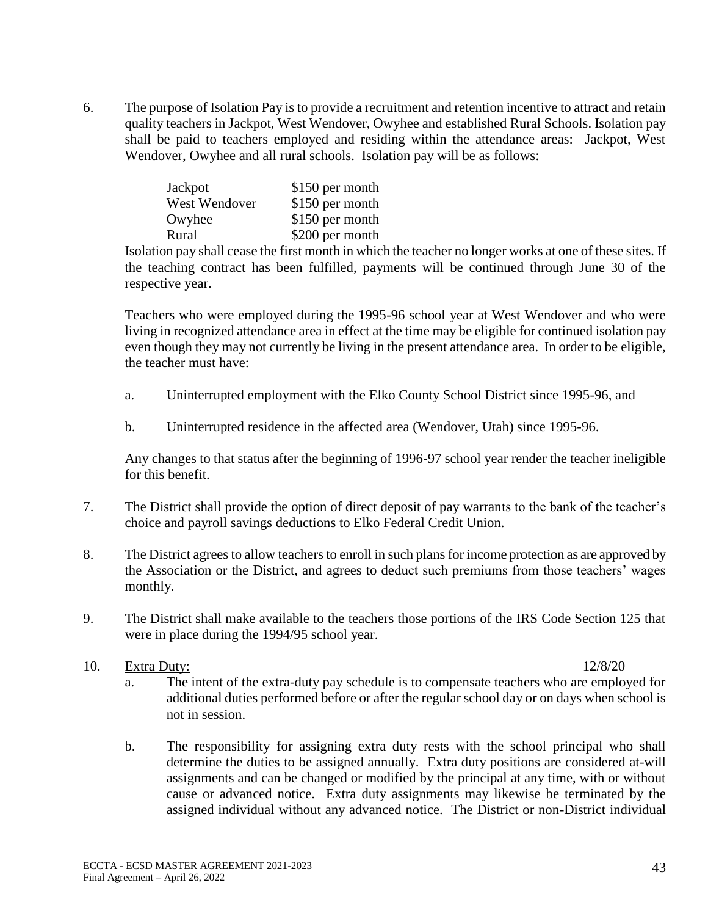6. The purpose of Isolation Pay is to provide a recruitment and retention incentive to attract and retain quality teachers in Jackpot, West Wendover, Owyhee and established Rural Schools. Isolation pay shall be paid to teachers employed and residing within the attendance areas: Jackpot, West Wendover, Owyhee and all rural schools. Isolation pay will be as follows:

| Jackpot       | \$150 per month |
|---------------|-----------------|
| West Wendover | \$150 per month |
| Owyhee        | \$150 per month |
| Rural         | \$200 per month |

Isolation pay shall cease the first month in which the teacher no longer works at one of these sites. If the teaching contract has been fulfilled, payments will be continued through June 30 of the respective year.

Teachers who were employed during the 1995-96 school year at West Wendover and who were living in recognized attendance area in effect at the time may be eligible for continued isolation pay even though they may not currently be living in the present attendance area. In order to be eligible, the teacher must have:

- a. Uninterrupted employment with the Elko County School District since 1995-96, and
- b. Uninterrupted residence in the affected area (Wendover, Utah) since 1995-96.

Any changes to that status after the beginning of 1996-97 school year render the teacher ineligible for this benefit.

- 7. The District shall provide the option of direct deposit of pay warrants to the bank of the teacher's choice and payroll savings deductions to Elko Federal Credit Union.
- 8. The District agrees to allow teachers to enroll in such plans for income protection as are approved by the Association or the District, and agrees to deduct such premiums from those teachers' wages monthly.
- 9. The District shall make available to the teachers those portions of the IRS Code Section 125 that were in place during the 1994/95 school year.

#### 10. Extra Duty: 12/8/20

- a. The intent of the extra-duty pay schedule is to compensate teachers who are employed for additional duties performed before or after the regular school day or on days when school is not in session.
- b. The responsibility for assigning extra duty rests with the school principal who shall determine the duties to be assigned annually. Extra duty positions are considered at-will assignments and can be changed or modified by the principal at any time, with or without cause or advanced notice. Extra duty assignments may likewise be terminated by the assigned individual without any advanced notice. The District or non-District individual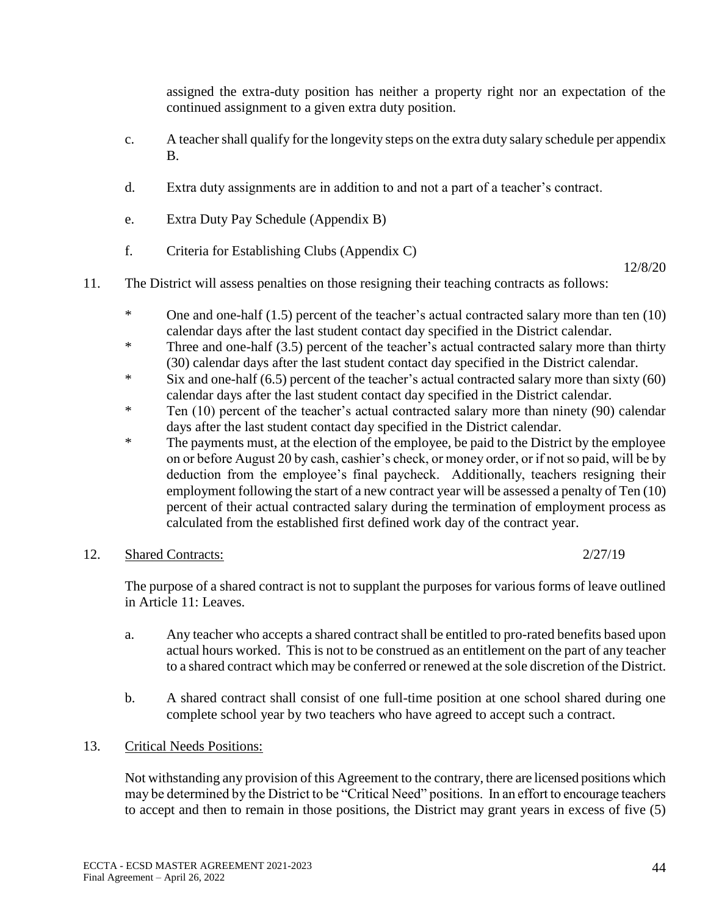assigned the extra-duty position has neither a property right nor an expectation of the continued assignment to a given extra duty position.

- c. A teacher shall qualify for the longevity steps on the extra duty salary schedule per appendix B.
- d. Extra duty assignments are in addition to and not a part of a teacher's contract.
- e. Extra Duty Pay Schedule (Appendix B)
- f. Criteria for Establishing Clubs (Appendix C)

12/8/20

- 11. The District will assess penalties on those resigning their teaching contracts as follows:
	- \* One and one-half (1.5) percent of the teacher's actual contracted salary more than ten (10) calendar days after the last student contact day specified in the District calendar.
	- \* Three and one-half (3.5) percent of the teacher's actual contracted salary more than thirty (30) calendar days after the last student contact day specified in the District calendar.
	- \* Six and one-half (6.5) percent of the teacher's actual contracted salary more than sixty (60) calendar days after the last student contact day specified in the District calendar.
	- \* Ten (10) percent of the teacher's actual contracted salary more than ninety (90) calendar days after the last student contact day specified in the District calendar.
	- \* The payments must, at the election of the employee, be paid to the District by the employee on or before August 20 by cash, cashier's check, or money order, or if not so paid, will be by deduction from the employee's final paycheck. Additionally, teachers resigning their employment following the start of a new contract year will be assessed a penalty of Ten (10) percent of their actual contracted salary during the termination of employment process as calculated from the established first defined work day of the contract year.

#### 12. Shared Contracts: 2/27/19

The purpose of a shared contract is not to supplant the purposes for various forms of leave outlined in Article 11: Leaves.

- a. Any teacher who accepts a shared contract shall be entitled to pro-rated benefits based upon actual hours worked. This is not to be construed as an entitlement on the part of any teacher to a shared contract which may be conferred or renewed at the sole discretion of the District.
- b. A shared contract shall consist of one full-time position at one school shared during one complete school year by two teachers who have agreed to accept such a contract.
- 13. Critical Needs Positions:

Not withstanding any provision of this Agreement to the contrary, there are licensed positions which may be determined by the District to be "Critical Need" positions. In an effort to encourage teachers to accept and then to remain in those positions, the District may grant years in excess of five (5)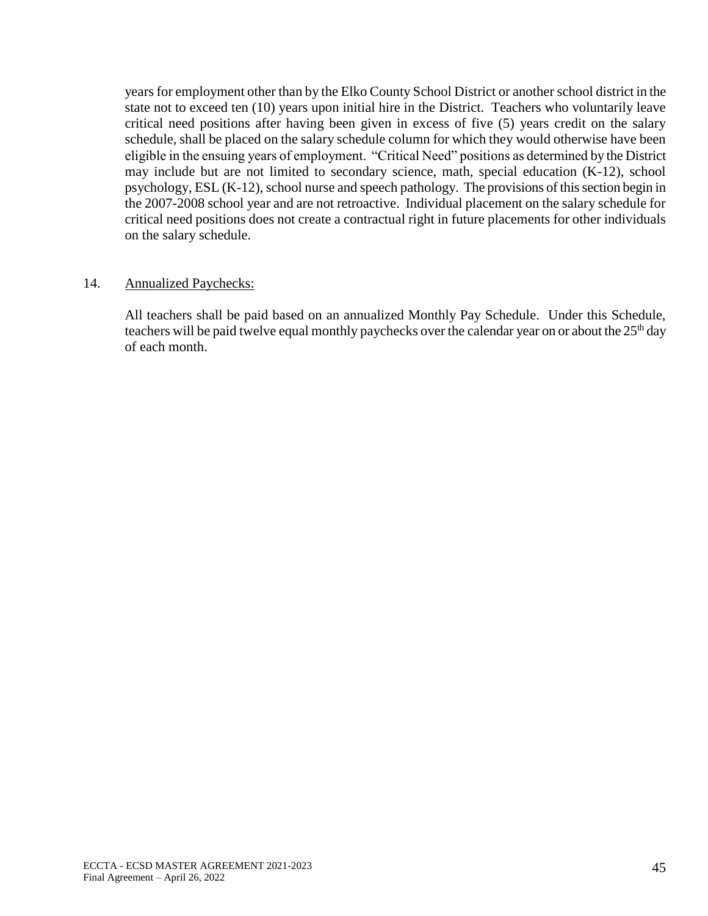years for employment other than by the Elko County School District or another school district in the state not to exceed ten (10) years upon initial hire in the District. Teachers who voluntarily leave critical need positions after having been given in excess of five (5) years credit on the salary schedule, shall be placed on the salary schedule column for which they would otherwise have been eligible in the ensuing years of employment. "Critical Need" positions as determined by the District may include but are not limited to secondary science, math, special education (K-12), school psychology, ESL (K-12), school nurse and speech pathology. The provisions of this section begin in the 2007-2008 school year and are not retroactive. Individual placement on the salary schedule for critical need positions does not create a contractual right in future placements for other individuals on the salary schedule.

#### 14. Annualized Paychecks:

All teachers shall be paid based on an annualized Monthly Pay Schedule. Under this Schedule, teachers will be paid twelve equal monthly paychecks over the calendar year on or about the  $25<sup>th</sup>$  day of each month.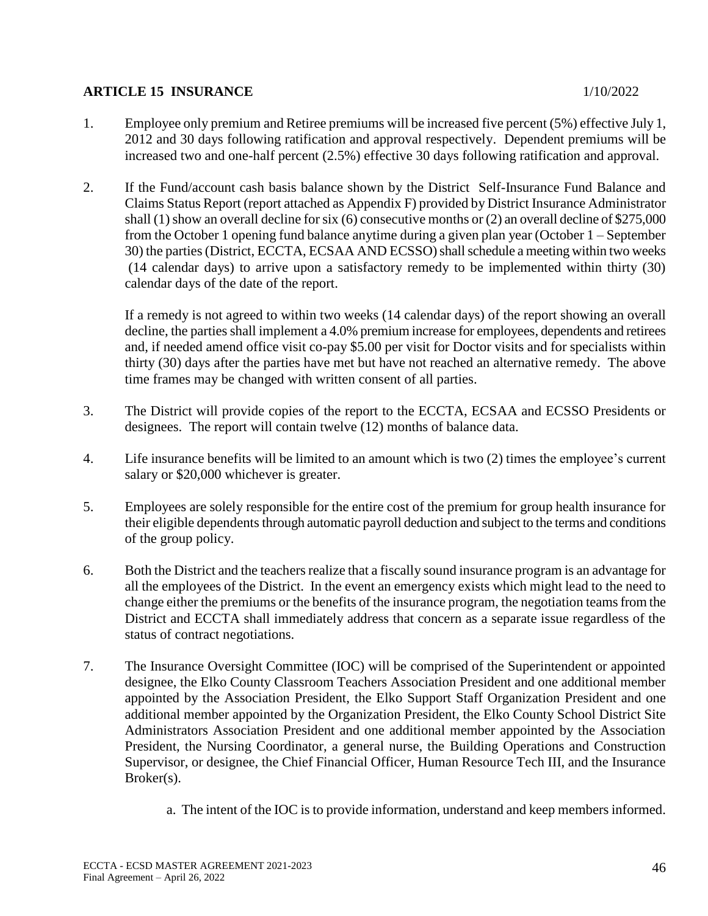## **ARTICLE 15 INSURANCE** 10 1/10/2022

- 1. Employee only premium and Retiree premiums will be increased five percent (5%) effective July 1, 2012 and 30 days following ratification and approval respectively. Dependent premiums will be increased two and one-half percent (2.5%) effective 30 days following ratification and approval.
- 2. If the Fund/account cash basis balance shown by the District Self-Insurance Fund Balance and Claims Status Report (report attached as Appendix F) provided by District Insurance Administrator shall (1) show an overall decline for six (6) consecutive months or (2) an overall decline of \$275,000 from the October 1 opening fund balance anytime during a given plan year (October 1 – September 30) the parties (District, ECCTA, ECSAA AND ECSSO) shall schedule a meeting within two weeks (14 calendar days) to arrive upon a satisfactory remedy to be implemented within thirty (30) calendar days of the date of the report.

If a remedy is not agreed to within two weeks (14 calendar days) of the report showing an overall decline, the parties shall implement a 4.0% premium increase for employees, dependents and retirees and, if needed amend office visit co-pay \$5.00 per visit for Doctor visits and for specialists within thirty (30) days after the parties have met but have not reached an alternative remedy. The above time frames may be changed with written consent of all parties.

- 3. The District will provide copies of the report to the ECCTA, ECSAA and ECSSO Presidents or designees. The report will contain twelve (12) months of balance data.
- 4. Life insurance benefits will be limited to an amount which is two (2) times the employee's current salary or \$20,000 whichever is greater.
- 5. Employees are solely responsible for the entire cost of the premium for group health insurance for their eligible dependents through automatic payroll deduction and subject to the terms and conditions of the group policy.
- 6. Both the District and the teachers realize that a fiscally sound insurance program is an advantage for all the employees of the District. In the event an emergency exists which might lead to the need to change either the premiums or the benefits of the insurance program, the negotiation teams from the District and ECCTA shall immediately address that concern as a separate issue regardless of the status of contract negotiations.
- 7. The Insurance Oversight Committee (IOC) will be comprised of the Superintendent or appointed designee, the Elko County Classroom Teachers Association President and one additional member appointed by the Association President, the Elko Support Staff Organization President and one additional member appointed by the Organization President, the Elko County School District Site Administrators Association President and one additional member appointed by the Association President, the Nursing Coordinator, a general nurse, the Building Operations and Construction Supervisor, or designee, the Chief Financial Officer, Human Resource Tech III, and the Insurance Broker(s).
	- a. The intent of the IOC is to provide information, understand and keep members informed.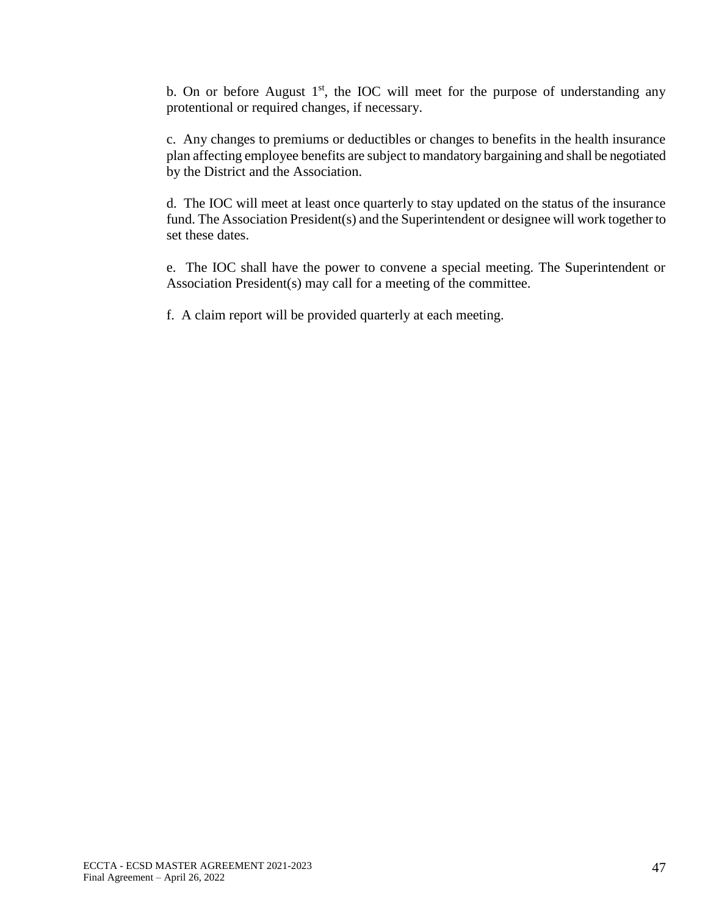b. On or before August  $1<sup>st</sup>$ , the IOC will meet for the purpose of understanding any protentional or required changes, if necessary.

c. Any changes to premiums or deductibles or changes to benefits in the health insurance plan affecting employee benefits are subject to mandatory bargaining and shall be negotiated by the District and the Association.

d. The IOC will meet at least once quarterly to stay updated on the status of the insurance fund. The Association President(s) and the Superintendent or designee will work together to set these dates.

e. The IOC shall have the power to convene a special meeting. The Superintendent or Association President(s) may call for a meeting of the committee.

f. A claim report will be provided quarterly at each meeting.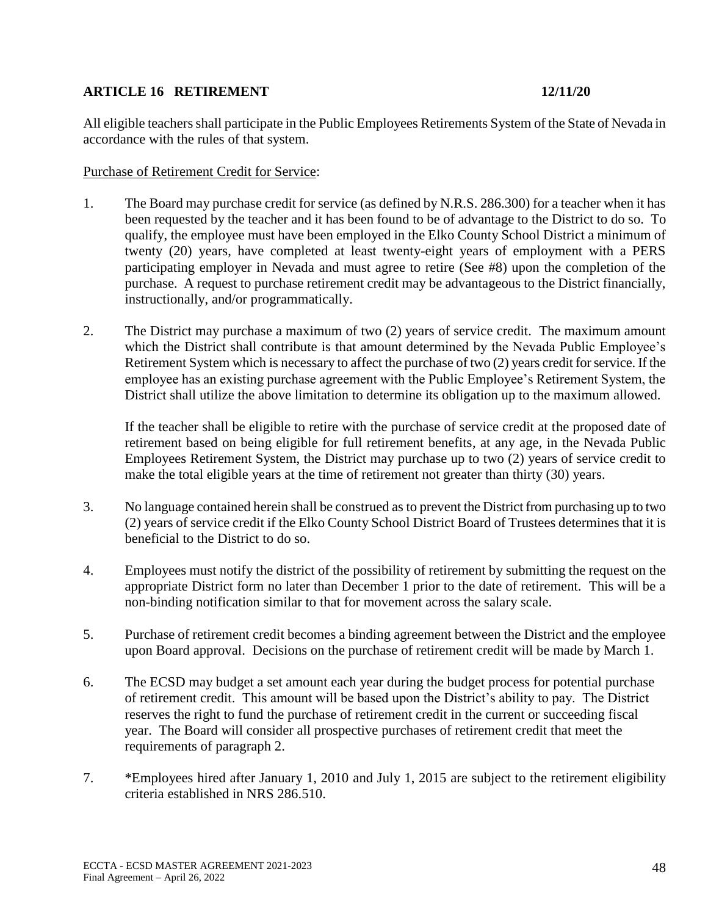## **ARTICLE 16 RETIREMENT 12/11/20**

All eligible teachers shall participate in the Public Employees Retirements System of the State of Nevada in accordance with the rules of that system.

#### Purchase of Retirement Credit for Service:

- 1. The Board may purchase credit for service (as defined by N.R.S. 286.300) for a teacher when it has been requested by the teacher and it has been found to be of advantage to the District to do so. To qualify, the employee must have been employed in the Elko County School District a minimum of twenty (20) years, have completed at least twenty-eight years of employment with a PERS participating employer in Nevada and must agree to retire (See #8) upon the completion of the purchase. A request to purchase retirement credit may be advantageous to the District financially, instructionally, and/or programmatically.
- 2. The District may purchase a maximum of two (2) years of service credit. The maximum amount which the District shall contribute is that amount determined by the Nevada Public Employee's Retirement System which is necessary to affect the purchase of two (2) years credit for service. If the employee has an existing purchase agreement with the Public Employee's Retirement System, the District shall utilize the above limitation to determine its obligation up to the maximum allowed.

If the teacher shall be eligible to retire with the purchase of service credit at the proposed date of retirement based on being eligible for full retirement benefits, at any age, in the Nevada Public Employees Retirement System, the District may purchase up to two (2) years of service credit to make the total eligible years at the time of retirement not greater than thirty (30) years.

- 3. No language contained herein shall be construed as to prevent the District from purchasing up to two (2) years of service credit if the Elko County School District Board of Trustees determines that it is beneficial to the District to do so.
- 4. Employees must notify the district of the possibility of retirement by submitting the request on the appropriate District form no later than December 1 prior to the date of retirement. This will be a non-binding notification similar to that for movement across the salary scale.
- 5. Purchase of retirement credit becomes a binding agreement between the District and the employee upon Board approval. Decisions on the purchase of retirement credit will be made by March 1.
- 6. The ECSD may budget a set amount each year during the budget process for potential purchase of retirement credit. This amount will be based upon the District's ability to pay. The District reserves the right to fund the purchase of retirement credit in the current or succeeding fiscal year. The Board will consider all prospective purchases of retirement credit that meet the requirements of paragraph 2.
- 7. \*Employees hired after January 1, 2010 and July 1, 2015 are subject to the retirement eligibility criteria established in NRS 286.510.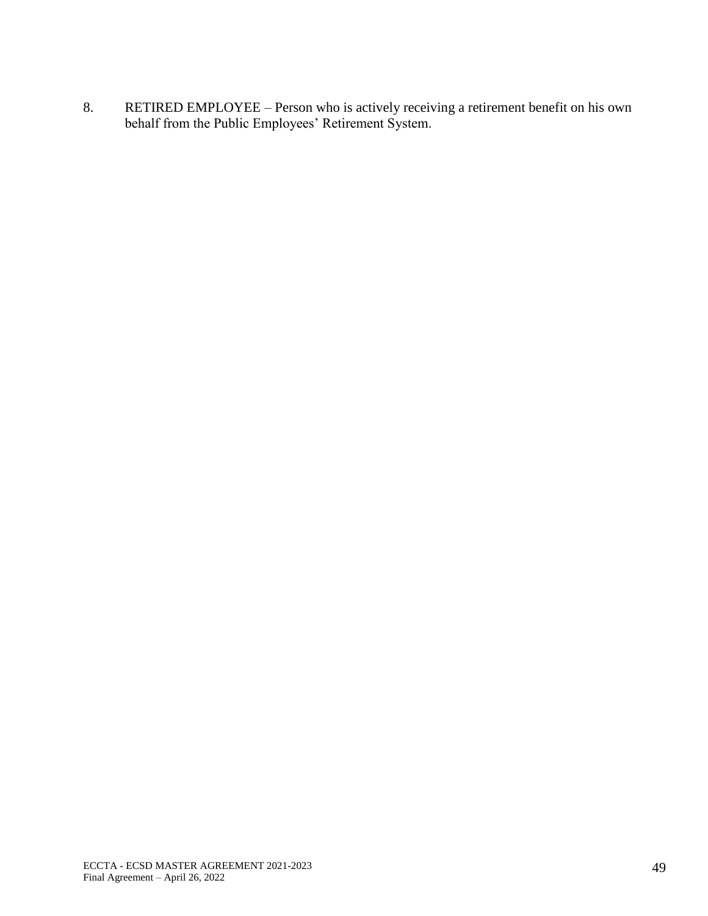8. RETIRED EMPLOYEE – Person who is actively receiving a retirement benefit on his own behalf from the Public Employees' Retirement System.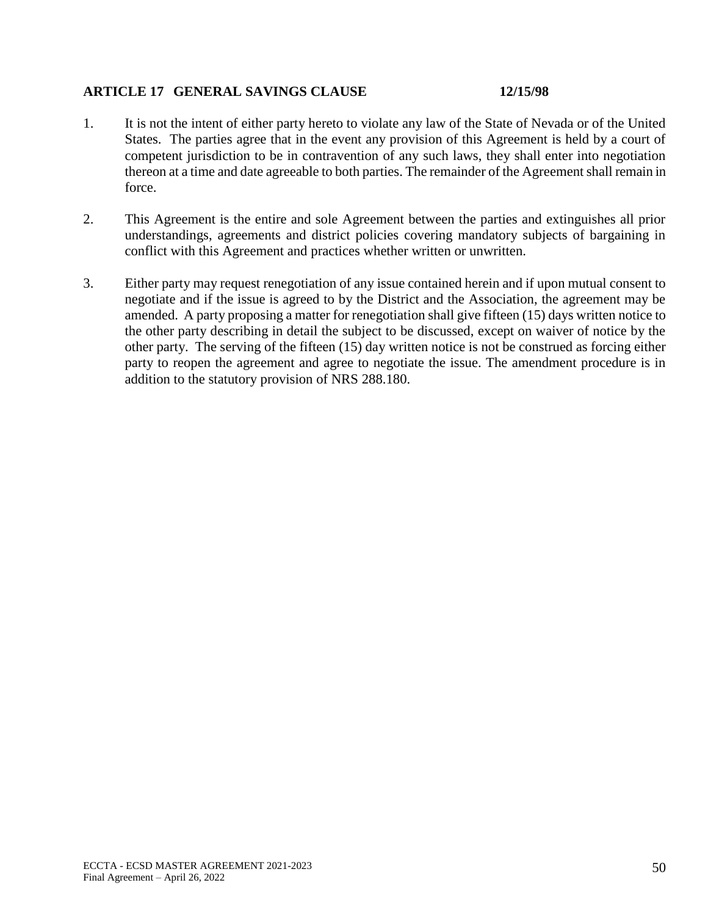### **ARTICLE 17 GENERAL SAVINGS CLAUSE 12/15/98**

- 1. It is not the intent of either party hereto to violate any law of the State of Nevada or of the United States. The parties agree that in the event any provision of this Agreement is held by a court of competent jurisdiction to be in contravention of any such laws, they shall enter into negotiation thereon at a time and date agreeable to both parties. The remainder of the Agreement shall remain in force.
- 2. This Agreement is the entire and sole Agreement between the parties and extinguishes all prior understandings, agreements and district policies covering mandatory subjects of bargaining in conflict with this Agreement and practices whether written or unwritten.
- 3. Either party may request renegotiation of any issue contained herein and if upon mutual consent to negotiate and if the issue is agreed to by the District and the Association, the agreement may be amended. A party proposing a matter for renegotiation shall give fifteen (15) days written notice to the other party describing in detail the subject to be discussed, except on waiver of notice by the other party. The serving of the fifteen (15) day written notice is not be construed as forcing either party to reopen the agreement and agree to negotiate the issue. The amendment procedure is in addition to the statutory provision of NRS 288.180.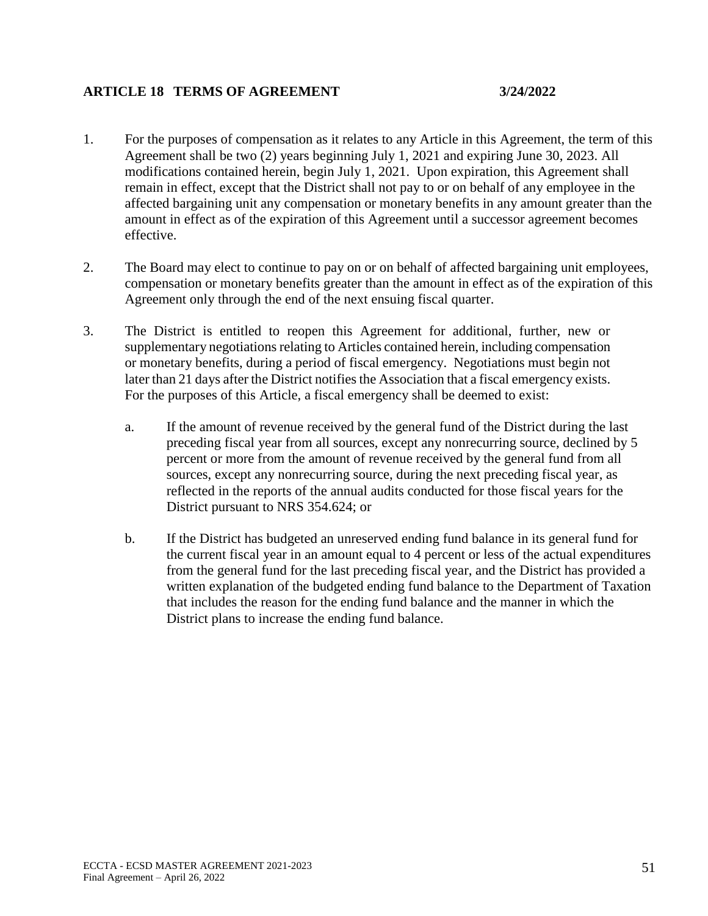### **ARTICLE 18 TERMS OF AGREEMENT 3/24/2022**

- 1. For the purposes of compensation as it relates to any Article in this Agreement, the term of this Agreement shall be two (2) years beginning July 1, 2021 and expiring June 30, 2023. All modifications contained herein, begin July 1, 2021. Upon expiration, this Agreement shall remain in effect, except that the District shall not pay to or on behalf of any employee in the affected bargaining unit any compensation or monetary benefits in any amount greater than the amount in effect as of the expiration of this Agreement until a successor agreement becomes effective.
- 2. The Board may elect to continue to pay on or on behalf of affected bargaining unit employees, compensation or monetary benefits greater than the amount in effect as of the expiration of this Agreement only through the end of the next ensuing fiscal quarter.
- 3. The District is entitled to reopen this Agreement for additional, further, new or supplementary negotiations relating to Articles contained herein, including compensation or monetary benefits, during a period of fiscal emergency. Negotiations must begin not later than 21 days after the District notifies the Association that a fiscal emergency exists. For the purposes of this Article, a fiscal emergency shall be deemed to exist:
	- a. If the amount of revenue received by the general fund of the District during the last preceding fiscal year from all sources, except any nonrecurring source, declined by 5 percent or more from the amount of revenue received by the general fund from all sources, except any nonrecurring source, during the next preceding fiscal year, as reflected in the reports of the annual audits conducted for those fiscal years for the District pursuant to NRS 354.624; or
	- b. If the District has budgeted an unreserved ending fund balance in its general fund for the current fiscal year in an amount equal to 4 percent or less of the actual expenditures from the general fund for the last preceding fiscal year, and the District has provided a written explanation of the budgeted ending fund balance to the Department of Taxation that includes the reason for the ending fund balance and the manner in which the District plans to increase the ending fund balance.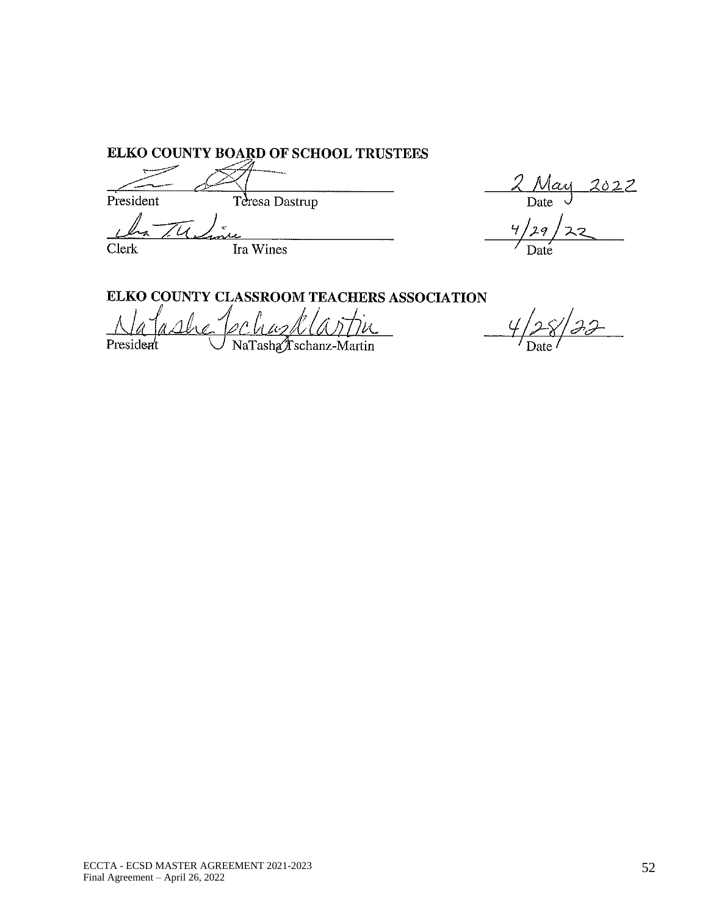ELKO COUNTY BOARD OF SCHOOL TRUSTEES

Teresa Dastrup President

Clerk

Ira Wines

 $2022$  $\frac{Max}{Date}$  $\overline{Y}_I$  $29$ 

ELKO COUNTY CLASSROOM TEACHERS ASSOCIATION

ochazkla President NaTasha*f* schanz-Martin

ECCTA - ECSD MASTER AGREEMENT 2021 -2023 Final Agreement – April 26, 2022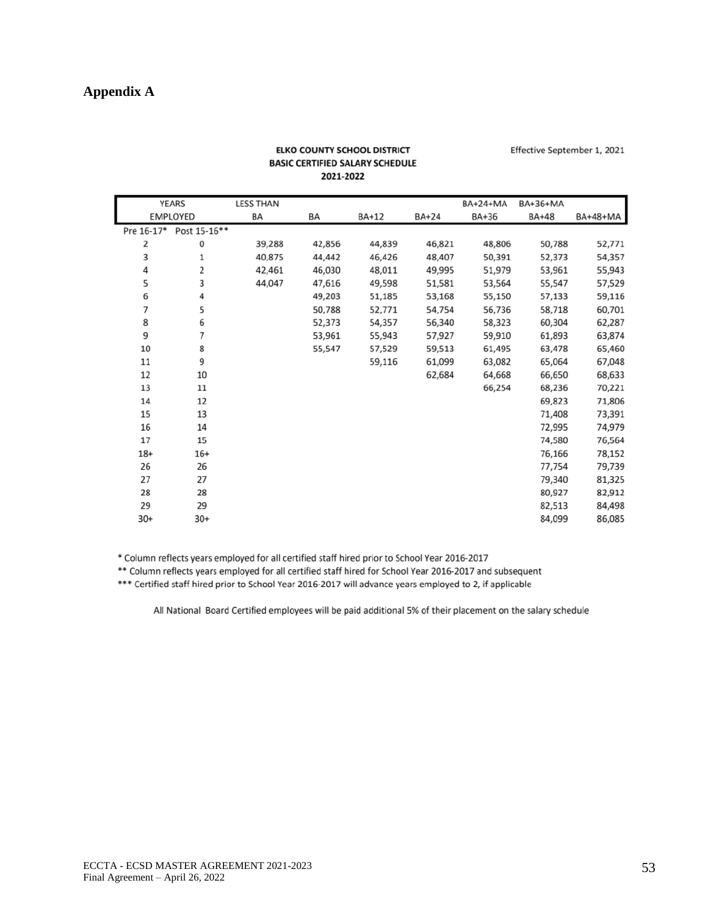# **Appendix A**

|            | YEARS           | <b>LESS THAN</b> |        |        |              | BA+24+MA | BA+36+MA     |                 |
|------------|-----------------|------------------|--------|--------|--------------|----------|--------------|-----------------|
|            | <b>EMPLOYED</b> | BA               | BA     | BA+12  | <b>BA+24</b> | BA+36    | <b>BA+48</b> | <b>BA+48+MA</b> |
| Pre 16-17* | Post 15-16**    |                  |        |        |              |          |              |                 |
| 2          | 0               | 39,288           | 42,856 | 44,839 | 46,821       | 48,806   | 50,788       | 52,771          |
| 3          | 1               | 40,875           | 44,442 | 46,426 | 48,407       | 50,391   | 52,373       | 54,357          |
| 4          | 2               | 42,461           | 46,030 | 48,011 | 49,995       | 51,979   | 53,961       | 55,943          |
| 5          | 3               | 44,047           | 47,616 | 49,598 | 51,581       | 53,564   | 55,547       | 57,529          |
| 6          | 4               |                  | 49,203 | 51,185 | 53,168       | 55,150   | 57,133       | 59,116          |
| 7          | 5               |                  | 50,788 | 52,771 | 54,754       | 56,736   | 58,718       | 60,701          |
| 8          | 6               |                  | 52,373 | 54,357 | 56,340       | 58,323   | 60,304       | 62,287          |
| 9          | 7               |                  | 53,961 | 55,943 | 57,927       | 59,910   | 61,893       | 63,874          |
| 10         | 8               |                  | 55,547 | 57,529 | 59,513       | 61,495   | 63,478       | 65,460          |
| 11         | 9               |                  |        | 59,116 | 61,099       | 63,082   | 65,064       | 67,048          |
| 12         | 10              |                  |        |        | 62,684       | 64,668   | 66,650       | 68,633          |
| 13         | 11              |                  |        |        |              | 66,254   | 68,236       | 70,221          |
| 14         | 12              |                  |        |        |              |          | 69,823       | 71,806          |
| 15         | 13              |                  |        |        |              |          | 71,408       | 73,391          |
| 16         | 14              |                  |        |        |              |          | 72,995       | 74,979          |
| 17         | 15              |                  |        |        |              |          | 74,580       | 76,564          |
| $18+$      | $16+$           |                  |        |        |              |          | 76,166       | 78,152          |
| 26         | 26              |                  |        |        |              |          | 77,754       | 79,739          |
| 27         | 27              |                  |        |        |              |          | 79,340       | 81,325          |
| 28         | 28              |                  |        |        |              |          | 80,927       | 82,912          |
| 29         | 29              |                  |        |        |              |          | 82,513       | 84,498          |
| $30+$      | $30+$           |                  |        |        |              |          | 84,099       | 86,085          |

#### **ELKO COUNTY SCHOOL DISTRICT BASIC CERTIFIED SALARY SCHEDULE** 2021-2022

Effective September 1, 2021

\* Column reflects years employed for all certified staff hired prior to School Year 2016-2017

\*\* Column reflects years employed for all certified staff hired for School Year 2016-2017 and subsequent

\*\*\* Certified staff hired prior to School Year 2016-2017 will advance years employed to 2, if applicable

All National Board Certified employees will be paid additional 5% of their placement on the salary schedule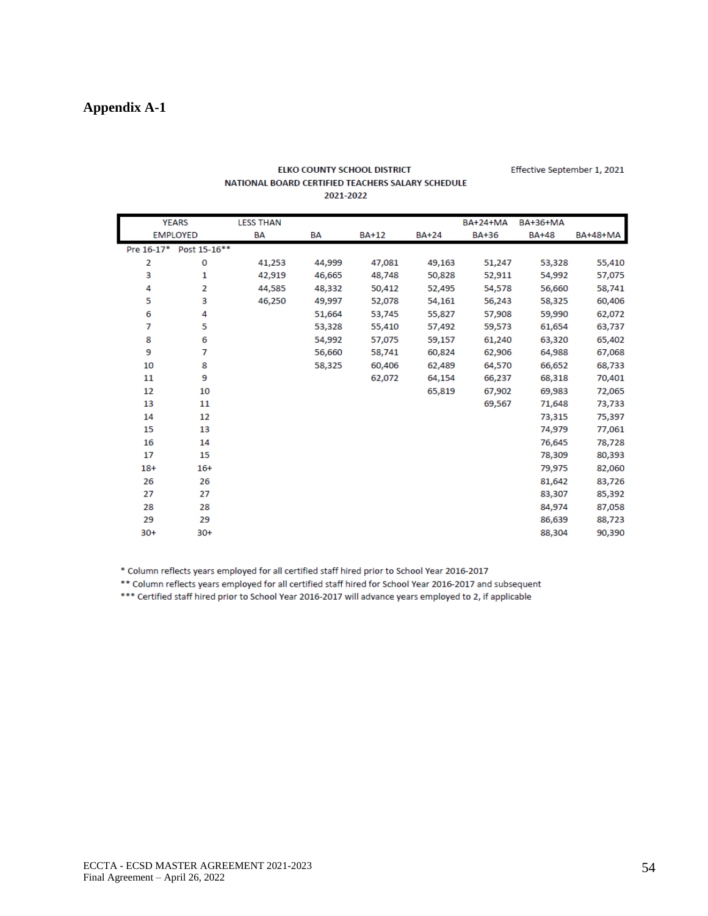## **Appendix A-1**

|       | <b>YEARS</b>            | <b>LESS THAN</b> |        |              |              | <b>BA+24+MA</b> | <b>BA+36+MA</b> |                 |
|-------|-------------------------|------------------|--------|--------------|--------------|-----------------|-----------------|-----------------|
|       | <b>EMPLOYED</b>         | BA               | BA     | <b>BA+12</b> | <b>BA+24</b> | <b>BA+36</b>    | <b>BA+48</b>    | <b>BA+48+MA</b> |
|       | Pre 16-17* Post 15-16** |                  |        |              |              |                 |                 |                 |
| 2     | 0                       | 41,253           | 44,999 | 47,081       | 49,163       | 51,247          | 53,328          | 55,410          |
| 3     | 1                       | 42,919           | 46,665 | 48,748       | 50,828       | 52,911          | 54,992          | 57,075          |
| 4     | 2                       | 44,585           | 48,332 | 50,412       | 52,495       | 54,578          | 56,660          | 58,741          |
| 5     | 3                       | 46,250           | 49,997 | 52,078       | 54,161       | 56,243          | 58,325          | 60,406          |
| 6     | 4                       |                  | 51,664 | 53,745       | 55,827       | 57,908          | 59,990          | 62,072          |
| 7     | 5                       |                  | 53,328 | 55,410       | 57,492       | 59,573          | 61,654          | 63,737          |
| 8     | 6                       |                  | 54,992 | 57,075       | 59,157       | 61,240          | 63,320          | 65,402          |
| 9     | 7                       |                  | 56,660 | 58,741       | 60,824       | 62,906          | 64,988          | 67,068          |
| 10    | 8                       |                  | 58,325 | 60,406       | 62,489       | 64,570          | 66,652          | 68,733          |
| 11    | 9                       |                  |        | 62,072       | 64,154       | 66,237          | 68,318          | 70,401          |
| 12    | 10                      |                  |        |              | 65,819       | 67,902          | 69,983          | 72,065          |
| 13    | 11                      |                  |        |              |              | 69,567          | 71,648          | 73,733          |
| 14    | 12                      |                  |        |              |              |                 | 73,315          | 75,397          |
| 15    | 13                      |                  |        |              |              |                 | 74,979          | 77,061          |
| 16    | 14                      |                  |        |              |              |                 | 76,645          | 78,728          |
| 17    | 15                      |                  |        |              |              |                 | 78,309          | 80,393          |
| $18+$ | $16+$                   |                  |        |              |              |                 | 79,975          | 82,060          |
| 26    | 26                      |                  |        |              |              |                 | 81,642          | 83,726          |
| 27    | 27                      |                  |        |              |              |                 | 83,307          | 85,392          |
| 28    | 28                      |                  |        |              |              |                 | 84,974          | 87,058          |
| 29    | 29                      |                  |        |              |              |                 | 86,639          | 88,723          |
| $30+$ | $30+$                   |                  |        |              |              |                 | 88,304          | 90,390          |

#### ELKO COUNTY SCHOOL DISTRICT NATIONAL BOARD CERTIFIED TEACHERS SALARY SCHEDULE 2021-2022

\* Column reflects years employed for all certified staff hired prior to School Year 2016-2017

\*\* Column reflects years employed for all certified staff hired for School Year 2016-2017 and subsequent

\*\*\* Certified staff hired prior to School Year 2016-2017 will advance years employed to 2, if applicable

Effective September 1, 2021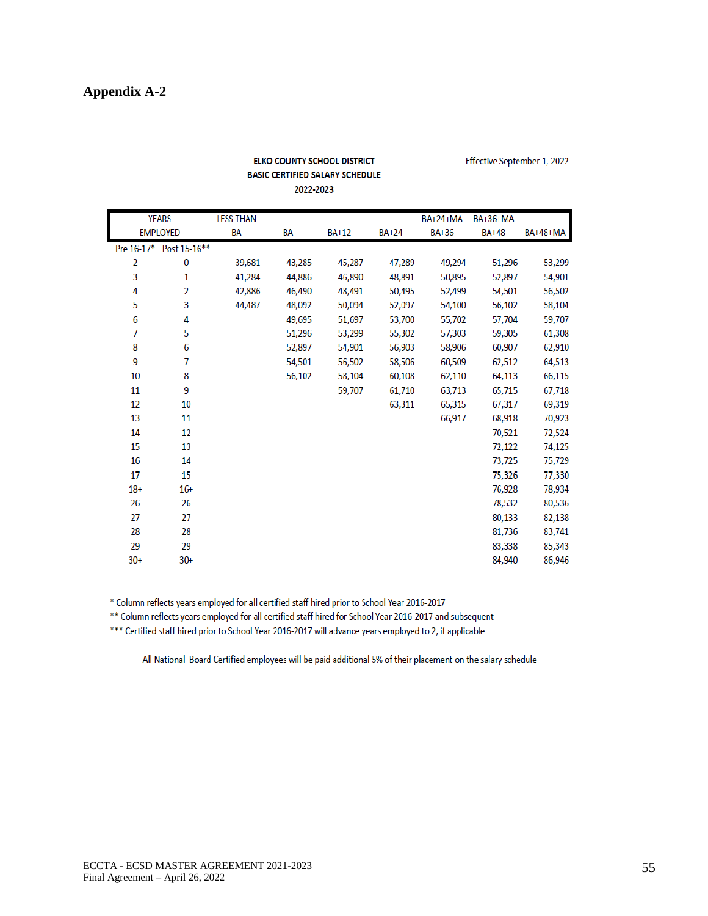# **Appendix A-2**

|       |                         |                  | 2022-2023 |              |              |                 |                 |                 |
|-------|-------------------------|------------------|-----------|--------------|--------------|-----------------|-----------------|-----------------|
|       | <b>YEARS</b>            | <b>LESS THAN</b> |           |              |              | <b>BA+24+MA</b> | <b>BA+36+MA</b> |                 |
|       | <b>EMPLOYED</b>         | BA               | BA        | <b>BA+12</b> | <b>BA+24</b> | <b>BA+36</b>    | <b>BA+48</b>    | <b>BA+48+MA</b> |
|       | Pre 16-17* Post 15-16** |                  |           |              |              |                 |                 |                 |
| 2     | 0                       | 39,681           | 43,285    | 45,287       | 47,289       | 49,294          | 51,296          | 53,299          |
| 3     | 1                       | 41,284           | 44,886    | 46,890       | 48,891       | 50,895          | 52,897          | 54,901          |
| 4     | 2                       | 42,886           | 46,490    | 48,491       | 50,495       | 52,499          | 54,501          | 56,502          |
| 5     | 3                       | 44,487           | 48,092    | 50,094       | 52,097       | 54,100          | 56,102          | 58,104          |
| 6     | 4                       |                  | 49,695    | 51,697       | 53,700       | 55,702          | 57,704          | 59,707          |
| 7     | 5                       |                  | 51,296    | 53,299       | 55,302       | 57,303          | 59,305          | 61,308          |
| 8     | 6                       |                  | 52,897    | 54,901       | 56,903       | 58,906          | 60,907          | 62,910          |
| 9     | 7                       |                  | 54,501    | 56,502       | 58,506       | 60,509          | 62,512          | 64,513          |
| 10    | 8                       |                  | 56,102    | 58,104       | 60,108       | 62,110          | 64,113          | 66,115          |
| 11    | 9                       |                  |           | 59,707       | 61,710       | 63,713          | 65,715          | 67,718          |
| 12    | 10                      |                  |           |              | 63,311       | 65,315          | 67,317          | 69,319          |
| 13    | 11                      |                  |           |              |              | 66,917          | 68,918          | 70,923          |
| 14    | 12                      |                  |           |              |              |                 | 70,521          | 72,524          |
| 15    | 13                      |                  |           |              |              |                 | 72,122          | 74,125          |
| 16    | 14                      |                  |           |              |              |                 | 73,725          | 75,729          |
| 17    | 15                      |                  |           |              |              |                 | 75,326          | 77,330          |
| $18+$ | $16+$                   |                  |           |              |              |                 | 76,928          | 78,934          |
| 26    | 26                      |                  |           |              |              |                 | 78,532          | 80,536          |
| 27    | 27                      |                  |           |              |              |                 | 80,133          | 82,138          |
| 28    | 28                      |                  |           |              |              |                 | 81,736          | 83,741          |
| 29    | 29                      |                  |           |              |              |                 | 83,338          | 85,343          |
| $30+$ | $30+$                   |                  |           |              |              |                 | 84,940          | 86,946          |

# ELKO COUNTY SCHOOL DISTRICT **BASIC CERTIFIED SALARY SCHEDULE**

Effective September 1, 2022

\* Column reflects years employed for all certified staff hired prior to School Year 2016-2017

\*\* Column reflects years employed for all certified staff hired for School Year 2016-2017 and subsequent

\*\*\* Certified staff hired prior to School Year 2016-2017 will advance years employed to 2, if applicable

All National Board Certified employees will be paid additional 5% of their placement on the salary schedule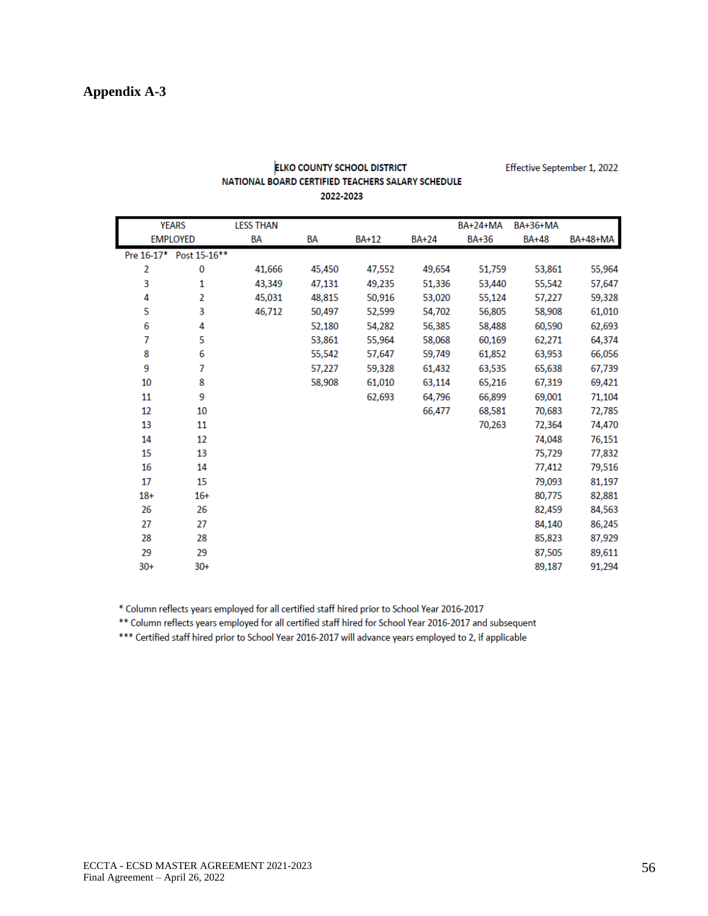|       | <b>YEARS</b>            | <b>LESS THAN</b> |        |              |              | <b>BA+24+MA</b> | <b>BA+36+MA</b> |                 |
|-------|-------------------------|------------------|--------|--------------|--------------|-----------------|-----------------|-----------------|
|       | <b>EMPLOYED</b>         | BA               | BA     | <b>BA+12</b> | <b>BA+24</b> | <b>BA+36</b>    | <b>BA+48</b>    | <b>BA+48+MA</b> |
|       | Pre 16-17* Post 15-16** |                  |        |              |              |                 |                 |                 |
| 2     | 0                       | 41,666           | 45,450 | 47,552       | 49,654       | 51,759          | 53,861          | 55,964          |
| 3     | 1                       | 43,349           | 47,131 | 49,235       | 51,336       | 53,440          | 55,542          | 57,647          |
| 4     | $\overline{2}$          | 45,031           | 48,815 | 50,916       | 53,020       | 55,124          | 57,227          | 59,328          |
| 5     | 3                       | 46,712           | 50,497 | 52,599       | 54,702       | 56,805          | 58,908          | 61,010          |
| 6     | 4                       |                  | 52,180 | 54,282       | 56,385       | 58,488          | 60,590          | 62,693          |
| 7     | 5                       |                  | 53,861 | 55,964       | 58,068       | 60,169          | 62,271          | 64,374          |
| 8     | 6                       |                  | 55,542 | 57,647       | 59,749       | 61,852          | 63,953          | 66,056          |
| 9     | 7                       |                  | 57,227 | 59,328       | 61,432       | 63,535          | 65,638          | 67,739          |
| 10    | 8                       |                  | 58,908 | 61,010       | 63,114       | 65,216          | 67,319          | 69,421          |
| 11    | 9                       |                  |        | 62,693       | 64,796       | 66,899          | 69,001          | 71,104          |
| 12    | 10                      |                  |        |              | 66,477       | 68,581          | 70,683          | 72,785          |
| 13    | 11                      |                  |        |              |              | 70,263          | 72,364          | 74,470          |
| 14    | 12                      |                  |        |              |              |                 | 74,048          | 76,151          |
| 15    | 13                      |                  |        |              |              |                 | 75,729          | 77,832          |
| 16    | 14                      |                  |        |              |              |                 | 77,412          | 79,516          |
| 17    | 15                      |                  |        |              |              |                 | 79,093          | 81,197          |
| $18+$ | $16+$                   |                  |        |              |              |                 | 80,775          | 82,881          |
| 26    | 26                      |                  |        |              |              |                 | 82,459          | 84,563          |
| 27    | 27                      |                  |        |              |              |                 | 84,140          | 86,245          |
| 28    | 28                      |                  |        |              |              |                 | 85,823          | 87,929          |
| 29    | 29                      |                  |        |              |              |                 | 87,505          | 89,611          |
| $30+$ | $30+$                   |                  |        |              |              |                 | 89,187          | 91,294          |

#### **ELKO COUNTY SCHOOL DISTRICT** NATIONAL BOARD CERTIFIED TEACHERS SALARY SCHEDULE 2022-2023

Effective September 1, 2022

\* Column reflects years employed for all certified staff hired prior to School Year 2016-2017

\*\* Column reflects years employed for all certified staff hired for School Year 2016-2017 and subsequent

\*\*\* Certified staff hired prior to School Year 2016-2017 will advance years employed to 2, if applicable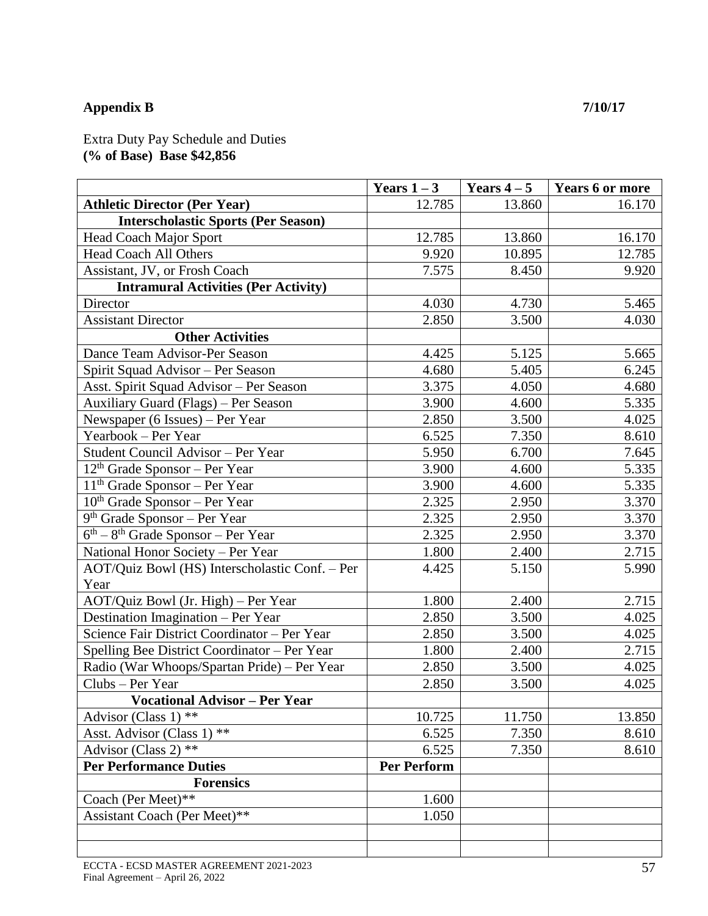# **Appendix B 7/10/17**

Extra Duty Pay Schedule and Duties **(% of Base) Base \$42,856**

|                                                | Years $1-3$        | Years $4-5$ | <b>Years 6 or more</b> |
|------------------------------------------------|--------------------|-------------|------------------------|
| <b>Athletic Director (Per Year)</b>            | 12.785             | 13.860      | 16.170                 |
| <b>Interscholastic Sports (Per Season)</b>     |                    |             |                        |
| <b>Head Coach Major Sport</b>                  | 12.785             | 13.860      | 16.170                 |
| Head Coach All Others                          | 9.920              | 10.895      | 12.785                 |
| Assistant, JV, or Frosh Coach                  | 7.575              | 8.450       | 9.920                  |
| <b>Intramural Activities (Per Activity)</b>    |                    |             |                        |
| Director                                       | 4.030              | 4.730       | 5.465                  |
| <b>Assistant Director</b>                      | 2.850              | 3.500       | 4.030                  |
| <b>Other Activities</b>                        |                    |             |                        |
| Dance Team Advisor-Per Season                  | 4.425              | 5.125       | 5.665                  |
| Spirit Squad Advisor - Per Season              | 4.680              | 5.405       | 6.245                  |
| Asst. Spirit Squad Advisor - Per Season        | 3.375              | 4.050       | 4.680                  |
| Auxiliary Guard (Flags) - Per Season           | 3.900              | 4.600       | 5.335                  |
| Newspaper (6 Issues) – Per Year                | 2.850              | 3.500       | 4.025                  |
| Yearbook - Per Year                            | 6.525              | 7.350       | 8.610                  |
| Student Council Advisor - Per Year             | 5.950              | 6.700       | 7.645                  |
| $12th$ Grade Sponsor – Per Year                | 3.900              | 4.600       | 5.335                  |
| $11th$ Grade Sponsor – Per Year                | 3.900              | 4.600       | 5.335                  |
| $10th$ Grade Sponsor – Per Year                | 2.325              | 2.950       | 3.370                  |
| $9th$ Grade Sponsor – Per Year                 | 2.325              | 2.950       | 3.370                  |
| $6th - 8th$ Grade Sponsor – Per Year           | 2.325              | 2.950       | 3.370                  |
| National Honor Society - Per Year              | 1.800              | 2.400       | 2.715                  |
| AOT/Quiz Bowl (HS) Interscholastic Conf. - Per | 4.425              | 5.150       | 5.990                  |
| Year                                           |                    |             |                        |
| AOT/Quiz Bowl (Jr. High) - Per Year            | 1.800              | 2.400       | 2.715                  |
| Destination Imagination - Per Year             | 2.850              | 3.500       | 4.025                  |
| Science Fair District Coordinator - Per Year   | 2.850              | 3.500       | 4.025                  |
| Spelling Bee District Coordinator - Per Year   | 1.800              | 2.400       | 2.715                  |
| Radio (War Whoops/Spartan Pride) - Per Year    | 2.850              | 3.500       | 4.025                  |
| Clubs - Per Year                               | 2.850              | 3.500       | 4.025                  |
| <b>Vocational Advisor - Per Year</b>           |                    |             |                        |
| Advisor (Class 1) $**$                         | 10.725             | 11.750      | 13.850                 |
| Asst. Advisor (Class 1) **                     | 6.525              | 7.350       | 8.610                  |
| Advisor (Class 2) **                           | 6.525              | 7.350       | 8.610                  |
| <b>Per Performance Duties</b>                  | <b>Per Perform</b> |             |                        |
| <b>Forensics</b>                               |                    |             |                        |
| Coach (Per Meet)**                             | 1.600              |             |                        |
| Assistant Coach (Per Meet)**                   | 1.050              |             |                        |
|                                                |                    |             |                        |
|                                                |                    |             |                        |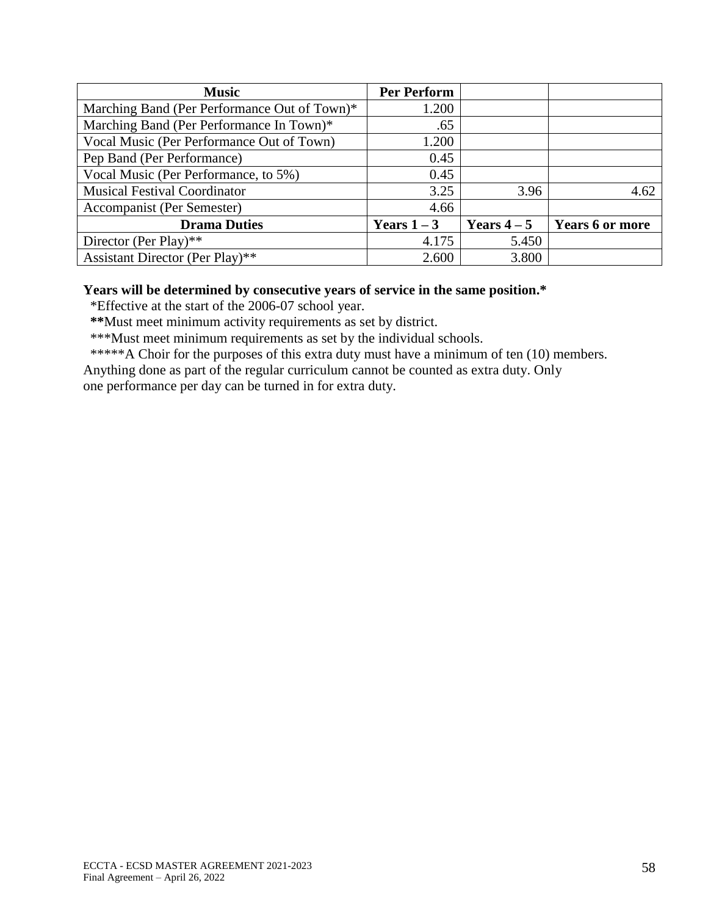| <b>Music</b>                                 | <b>Per Perform</b> |             |                        |
|----------------------------------------------|--------------------|-------------|------------------------|
| Marching Band (Per Performance Out of Town)* | 1.200              |             |                        |
| Marching Band (Per Performance In Town)*     | .65                |             |                        |
| Vocal Music (Per Performance Out of Town)    | 1.200              |             |                        |
| Pep Band (Per Performance)                   | 0.45               |             |                        |
| Vocal Music (Per Performance, to 5%)         | 0.45               |             |                        |
| <b>Musical Festival Coordinator</b>          | 3.25               | 3.96        | 4.62                   |
| Accompanist (Per Semester)                   | 4.66               |             |                        |
| <b>Drama Duties</b>                          | Years $1-3$        | Years $4-5$ | <b>Years 6 or more</b> |
| Director (Per Play)**                        | 4.175              | 5.450       |                        |
| Assistant Director (Per Play)**              | 2.600              | 3.800       |                        |

### **Years will be determined by consecutive years of service in the same position.\***

\*Effective at the start of the 2006-07 school year.

 **\*\***Must meet minimum activity requirements as set by district.

\*\*\*Must meet minimum requirements as set by the individual schools.

\*\*\*\*\*A Choir for the purposes of this extra duty must have a minimum of ten (10) members.

Anything done as part of the regular curriculum cannot be counted as extra duty. Only

one performance per day can be turned in for extra duty.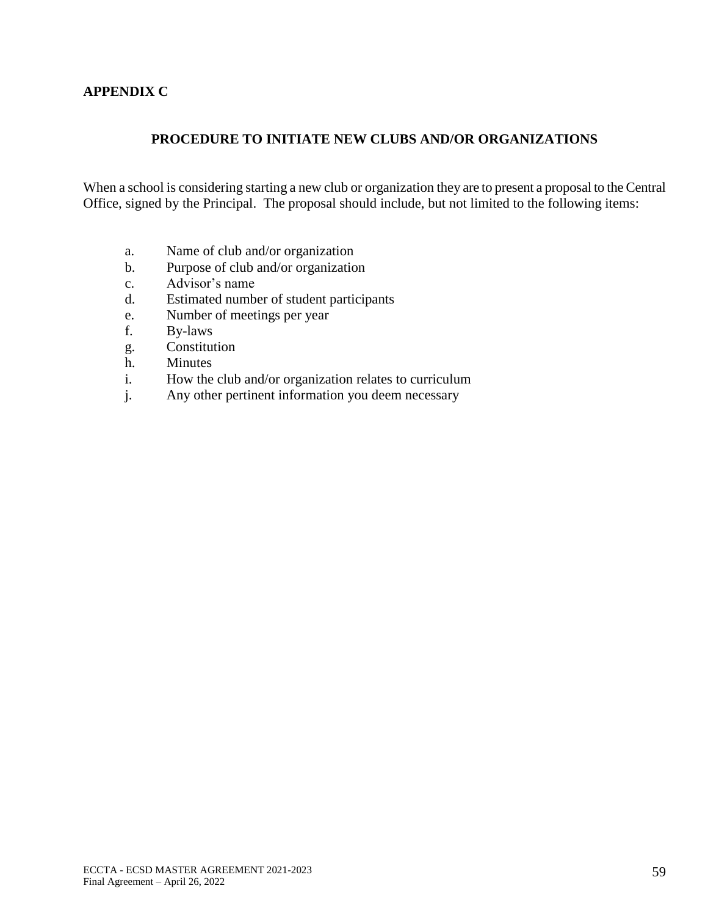## **APPENDIX C**

## **PROCEDURE TO INITIATE NEW CLUBS AND/OR ORGANIZATIONS**

When a school is considering starting a new club or organization they are to present a proposal to the Central Office, signed by the Principal. The proposal should include, but not limited to the following items:

- a. Name of club and/or organization
- b. Purpose of club and/or organization
- c. Advisor's name
- d. Estimated number of student participants
- e. Number of meetings per year
- f. By-laws
- g. Constitution
- h. Minutes
- i. How the club and/or organization relates to curriculum
- j. Any other pertinent information you deem necessary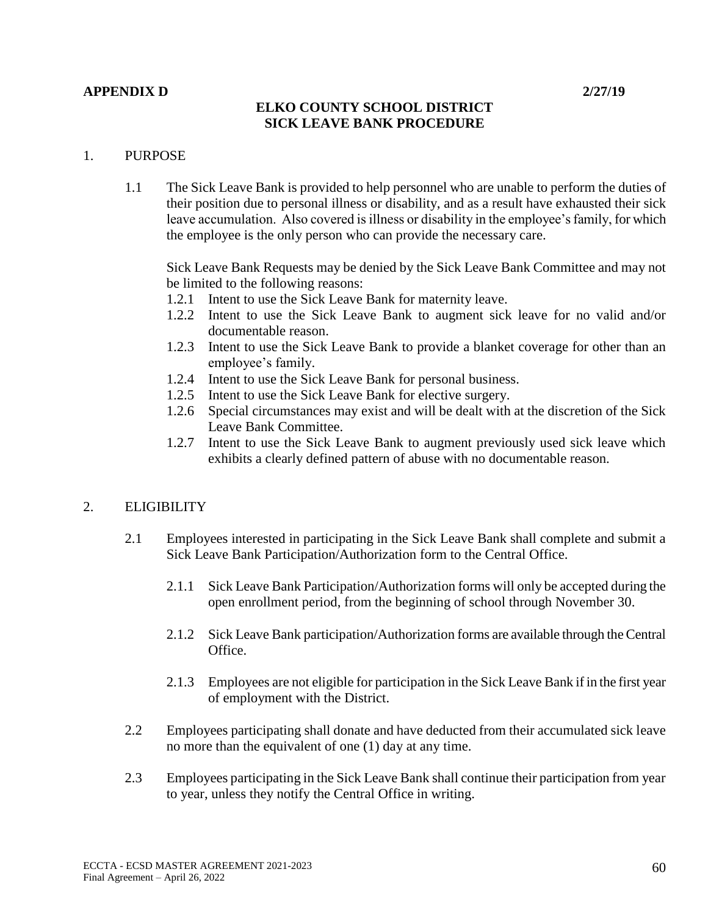#### **APPENDIX D 2/27/19**

## **ELKO COUNTY SCHOOL DISTRICT SICK LEAVE BANK PROCEDURE**

### 1. PURPOSE

1.1 The Sick Leave Bank is provided to help personnel who are unable to perform the duties of their position due to personal illness or disability, and as a result have exhausted their sick leave accumulation. Also covered is illness or disability in the employee's family, for which the employee is the only person who can provide the necessary care.

Sick Leave Bank Requests may be denied by the Sick Leave Bank Committee and may not be limited to the following reasons:

- 1.2.1 Intent to use the Sick Leave Bank for maternity leave.
- 1.2.2 Intent to use the Sick Leave Bank to augment sick leave for no valid and/or documentable reason.
- 1.2.3 Intent to use the Sick Leave Bank to provide a blanket coverage for other than an employee's family.
- 1.2.4 Intent to use the Sick Leave Bank for personal business.
- 1.2.5 Intent to use the Sick Leave Bank for elective surgery.
- 1.2.6 Special circumstances may exist and will be dealt with at the discretion of the Sick Leave Bank Committee.
- 1.2.7 Intent to use the Sick Leave Bank to augment previously used sick leave which exhibits a clearly defined pattern of abuse with no documentable reason.

## 2. ELIGIBILITY

- 2.1 Employees interested in participating in the Sick Leave Bank shall complete and submit a Sick Leave Bank Participation/Authorization form to the Central Office.
	- 2.1.1 Sick Leave Bank Participation/Authorization forms will only be accepted during the open enrollment period, from the beginning of school through November 30.
	- 2.1.2 Sick Leave Bank participation/Authorization forms are available through the Central Office.
	- 2.1.3 Employees are not eligible for participation in the Sick Leave Bank if in the first year of employment with the District.
- 2.2 Employees participating shall donate and have deducted from their accumulated sick leave no more than the equivalent of one (1) day at any time.
- 2.3 Employees participating in the Sick Leave Bank shall continue their participation from year to year, unless they notify the Central Office in writing.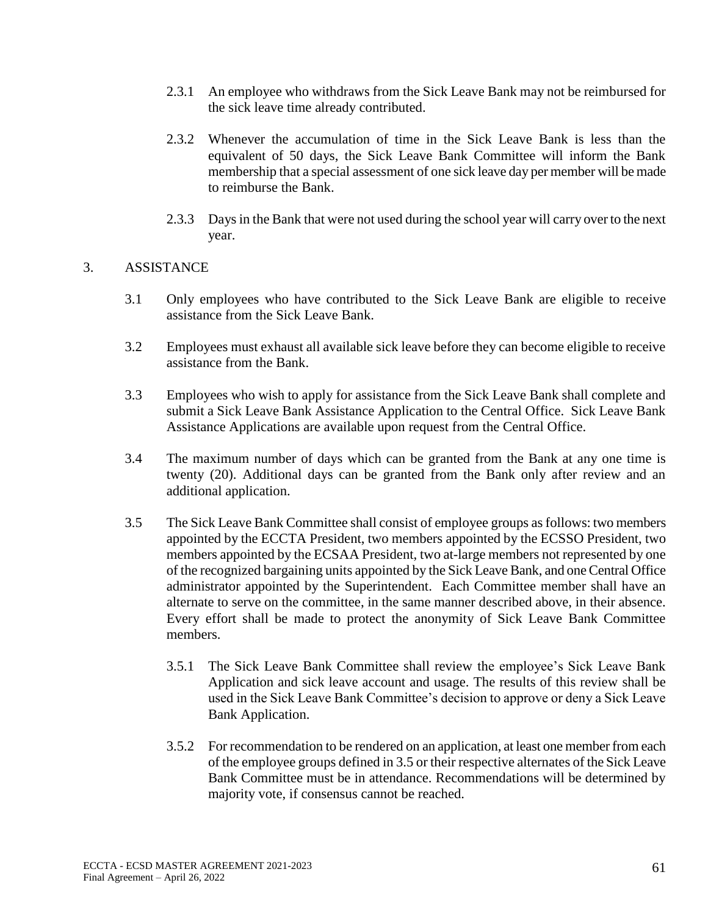- 2.3.1 An employee who withdraws from the Sick Leave Bank may not be reimbursed for the sick leave time already contributed.
- 2.3.2 Whenever the accumulation of time in the Sick Leave Bank is less than the equivalent of 50 days, the Sick Leave Bank Committee will inform the Bank membership that a special assessment of one sick leave day per member will be made to reimburse the Bank.
- 2.3.3 Days in the Bank that were not used during the school year will carry over to the next year.

### 3. ASSISTANCE

- 3.1 Only employees who have contributed to the Sick Leave Bank are eligible to receive assistance from the Sick Leave Bank.
- 3.2 Employees must exhaust all available sick leave before they can become eligible to receive assistance from the Bank.
- 3.3 Employees who wish to apply for assistance from the Sick Leave Bank shall complete and submit a Sick Leave Bank Assistance Application to the Central Office. Sick Leave Bank Assistance Applications are available upon request from the Central Office.
- 3.4 The maximum number of days which can be granted from the Bank at any one time is twenty (20). Additional days can be granted from the Bank only after review and an additional application.
- 3.5 The Sick Leave Bank Committee shall consist of employee groups as follows: two members appointed by the ECCTA President, two members appointed by the ECSSO President, two members appointed by the ECSAA President, two at-large members not represented by one of the recognized bargaining units appointed by the Sick Leave Bank, and one Central Office administrator appointed by the Superintendent. Each Committee member shall have an alternate to serve on the committee, in the same manner described above, in their absence. Every effort shall be made to protect the anonymity of Sick Leave Bank Committee members.
	- 3.5.1 The Sick Leave Bank Committee shall review the employee's Sick Leave Bank Application and sick leave account and usage. The results of this review shall be used in the Sick Leave Bank Committee's decision to approve or deny a Sick Leave Bank Application.
	- 3.5.2 For recommendation to be rendered on an application, at least one member from each of the employee groups defined in 3.5 or their respective alternates of the Sick Leave Bank Committee must be in attendance. Recommendations will be determined by majority vote, if consensus cannot be reached.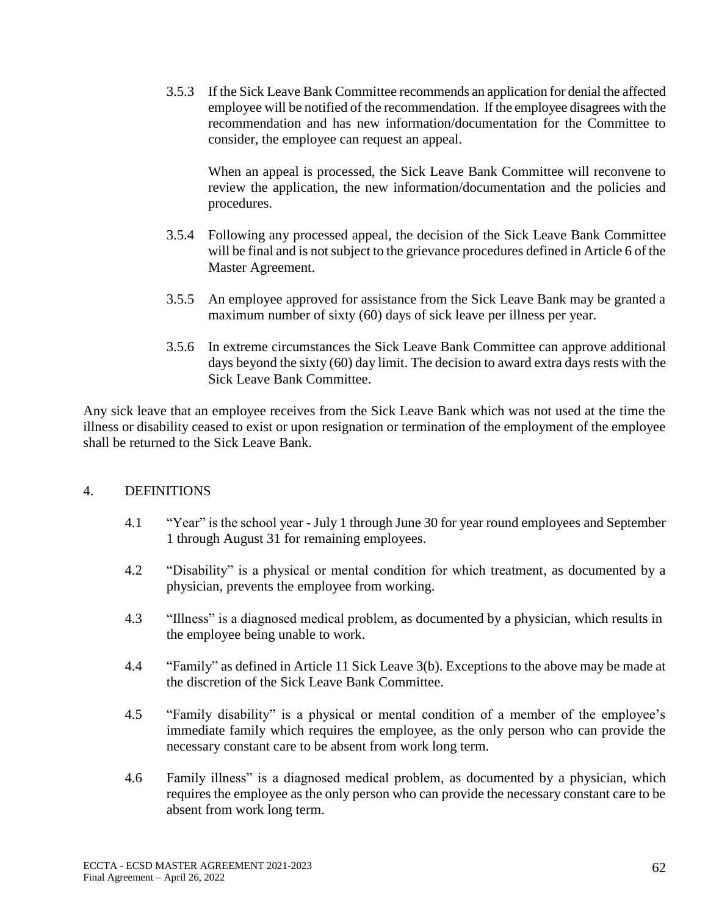3.5.3 If the Sick Leave Bank Committee recommends an application for denial the affected employee will be notified of the recommendation. If the employee disagrees with the recommendation and has new information/documentation for the Committee to consider, the employee can request an appeal.

When an appeal is processed, the Sick Leave Bank Committee will reconvene to review the application, the new information/documentation and the policies and procedures.

- 3.5.4 Following any processed appeal, the decision of the Sick Leave Bank Committee will be final and is not subject to the grievance procedures defined in Article 6 of the Master Agreement.
- 3.5.5 An employee approved for assistance from the Sick Leave Bank may be granted a maximum number of sixty (60) days of sick leave per illness per year.
- 3.5.6 In extreme circumstances the Sick Leave Bank Committee can approve additional days beyond the sixty (60) day limit. The decision to award extra days rests with the Sick Leave Bank Committee.

Any sick leave that an employee receives from the Sick Leave Bank which was not used at the time the illness or disability ceased to exist or upon resignation or termination of the employment of the employee shall be returned to the Sick Leave Bank.

## 4. DEFINITIONS

- 4.1 "Year" is the school year July 1 through June 30 for year round employees and September 1 through August 31 for remaining employees.
- 4.2 "Disability" is a physical or mental condition for which treatment, as documented by a physician, prevents the employee from working.
- 4.3 "Illness" is a diagnosed medical problem, as documented by a physician, which results in the employee being unable to work.
- 4.4 "Family" as defined in Article 11 Sick Leave 3(b). Exceptions to the above may be made at the discretion of the Sick Leave Bank Committee.
- 4.5 "Family disability" is a physical or mental condition of a member of the employee's immediate family which requires the employee, as the only person who can provide the necessary constant care to be absent from work long term.
- 4.6 Family illness" is a diagnosed medical problem, as documented by a physician, which requires the employee as the only person who can provide the necessary constant care to be absent from work long term.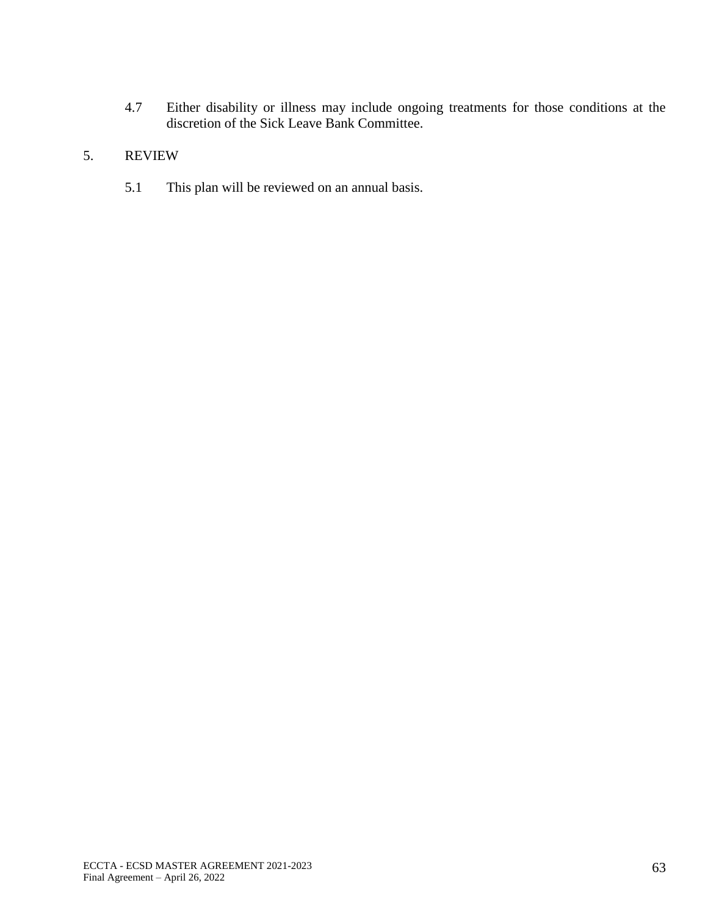4.7 Either disability or illness may include ongoing treatments for those conditions at the discretion of the Sick Leave Bank Committee.

# 5. REVIEW

5.1 This plan will be reviewed on an annual basis.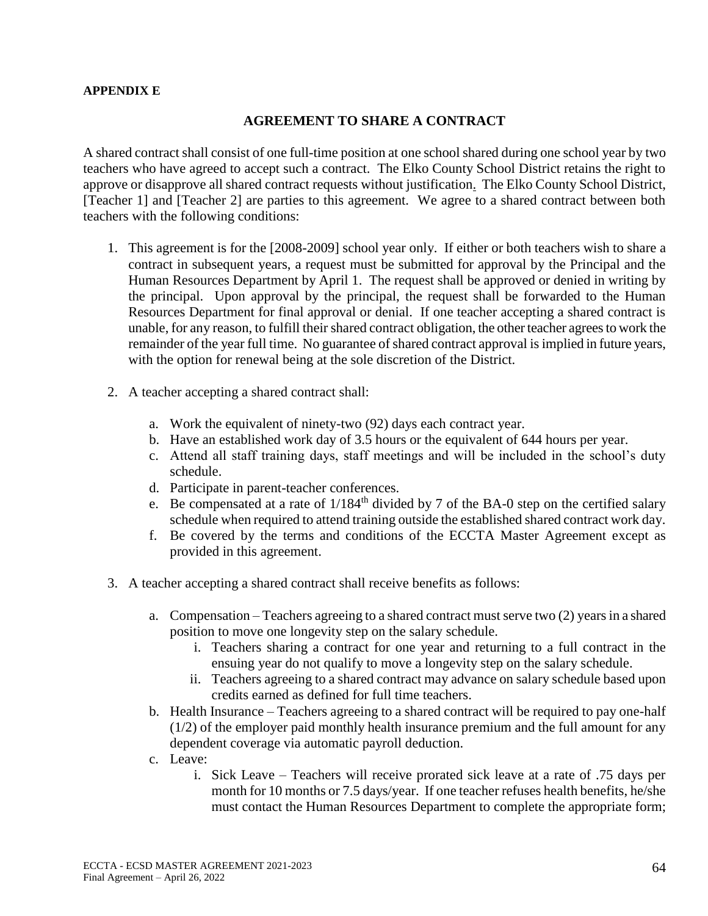#### **APPENDIX E**

#### **AGREEMENT TO SHARE A CONTRACT**

A shared contract shall consist of one full-time position at one school shared during one school year by two teachers who have agreed to accept such a contract. The Elko County School District retains the right to approve or disapprove all shared contract requests without justification. The Elko County School District, [Teacher 1] and [Teacher 2] are parties to this agreement. We agree to a shared contract between both teachers with the following conditions:

- 1. This agreement is for the [2008-2009] school year only. If either or both teachers wish to share a contract in subsequent years, a request must be submitted for approval by the Principal and the Human Resources Department by April 1. The request shall be approved or denied in writing by the principal. Upon approval by the principal, the request shall be forwarded to the Human Resources Department for final approval or denial. If one teacher accepting a shared contract is unable, for any reason, to fulfill their shared contract obligation, the other teacher agrees to work the remainder of the year full time. No guarantee of shared contract approval is implied in future years, with the option for renewal being at the sole discretion of the District.
- 2. A teacher accepting a shared contract shall:
	- a. Work the equivalent of ninety-two (92) days each contract year.
	- b. Have an established work day of 3.5 hours or the equivalent of 644 hours per year.
	- c. Attend all staff training days, staff meetings and will be included in the school's duty schedule.
	- d. Participate in parent-teacher conferences.
	- e. Be compensated at a rate of  $1/184<sup>th</sup>$  divided by 7 of the BA-0 step on the certified salary schedule when required to attend training outside the established shared contract work day.
	- f. Be covered by the terms and conditions of the ECCTA Master Agreement except as provided in this agreement.
- 3. A teacher accepting a shared contract shall receive benefits as follows:
	- a. Compensation Teachers agreeing to a shared contract must serve two (2) years in a shared position to move one longevity step on the salary schedule.
		- i. Teachers sharing a contract for one year and returning to a full contract in the ensuing year do not qualify to move a longevity step on the salary schedule.
		- ii. Teachers agreeing to a shared contract may advance on salary schedule based upon credits earned as defined for full time teachers.
	- b. Health Insurance Teachers agreeing to a shared contract will be required to pay one-half (1/2) of the employer paid monthly health insurance premium and the full amount for any dependent coverage via automatic payroll deduction.
	- c. Leave:
		- i. Sick Leave Teachers will receive prorated sick leave at a rate of .75 days per month for 10 months or 7.5 days/year. If one teacher refuses health benefits, he/she must contact the Human Resources Department to complete the appropriate form;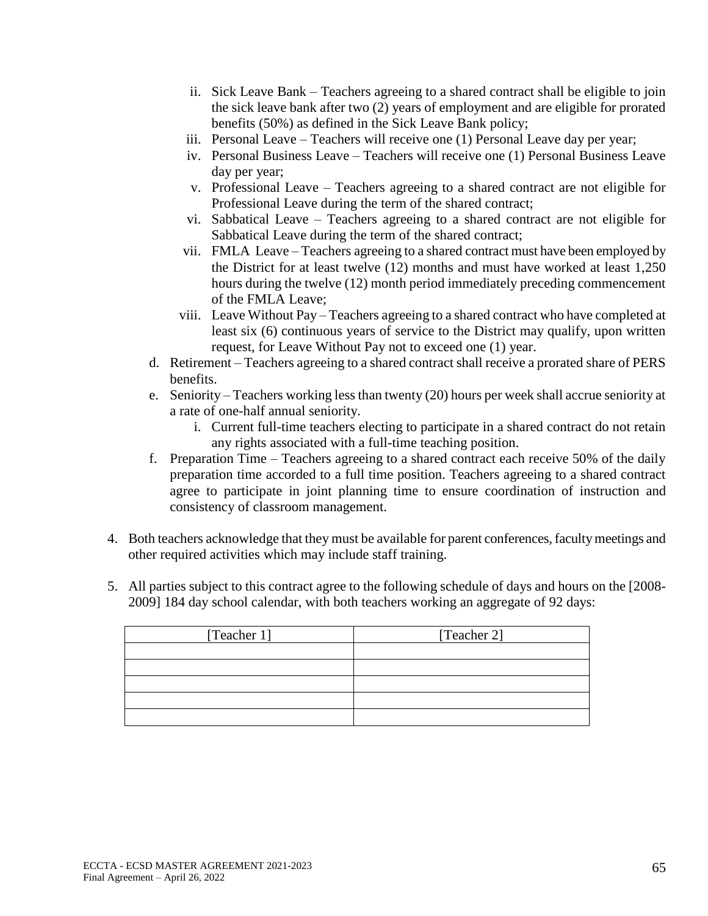- ii. Sick Leave Bank Teachers agreeing to a shared contract shall be eligible to join the sick leave bank after two (2) years of employment and are eligible for prorated benefits (50%) as defined in the Sick Leave Bank policy;
- iii. Personal Leave Teachers will receive one (1) Personal Leave day per year;
- iv. Personal Business Leave Teachers will receive one (1) Personal Business Leave day per year;
- v. Professional Leave Teachers agreeing to a shared contract are not eligible for Professional Leave during the term of the shared contract;
- vi. Sabbatical Leave Teachers agreeing to a shared contract are not eligible for Sabbatical Leave during the term of the shared contract;
- vii. FMLA Leave Teachers agreeing to a shared contract must have been employed by the District for at least twelve (12) months and must have worked at least 1,250 hours during the twelve (12) month period immediately preceding commencement of the FMLA Leave;
- viii. Leave Without Pay Teachers agreeing to a shared contract who have completed at least six (6) continuous years of service to the District may qualify, upon written request, for Leave Without Pay not to exceed one (1) year.
- d. Retirement Teachers agreeing to a shared contract shall receive a prorated share of PERS benefits.
- e. Seniority Teachers working less than twenty (20) hours per week shall accrue seniority at a rate of one-half annual seniority.
	- i. Current full-time teachers electing to participate in a shared contract do not retain any rights associated with a full-time teaching position.
- f. Preparation Time Teachers agreeing to a shared contract each receive 50% of the daily preparation time accorded to a full time position. Teachers agreeing to a shared contract agree to participate in joint planning time to ensure coordination of instruction and consistency of classroom management.
- 4. Both teachers acknowledge that they must be available for parent conferences, faculty meetings and other required activities which may include staff training.
- 5. All parties subject to this contract agree to the following schedule of days and hours on the [2008- 2009] 184 day school calendar, with both teachers working an aggregate of 92 days:

| [Teacher 1] | [Teacher 2] |
|-------------|-------------|
|             |             |
|             |             |
|             |             |
|             |             |
|             |             |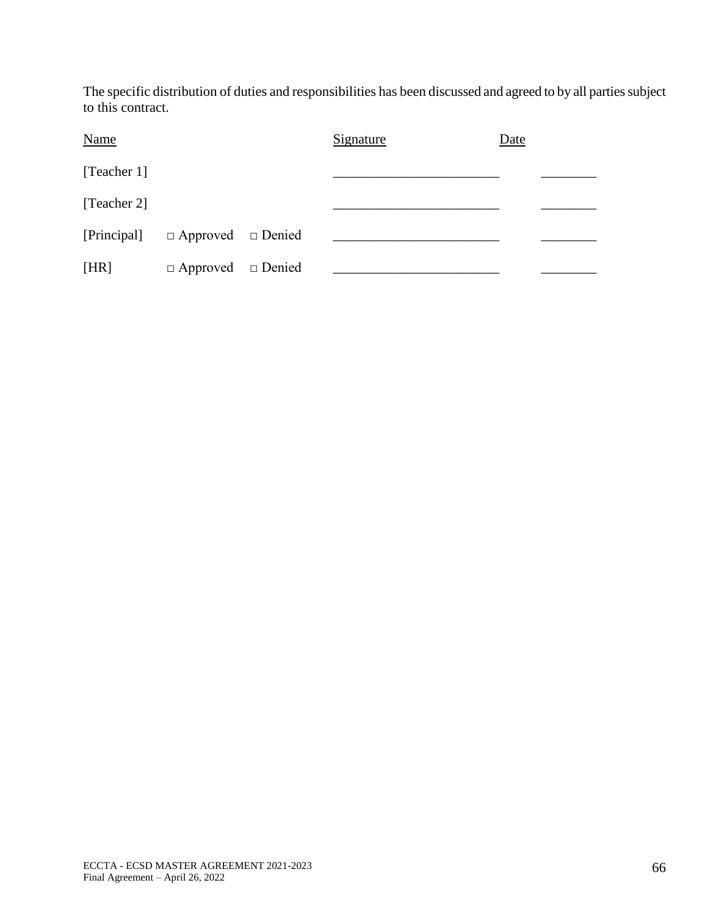The specific distribution of duties and responsibilities has been discussed and agreed to by all parties subject to this contract.

| <b>Name</b> |                               | Signature | Date |  |
|-------------|-------------------------------|-----------|------|--|
| [Teacher 1] |                               |           |      |  |
| [Teacher 2] |                               |           |      |  |
| [Principal] | $\Box$ Approved $\Box$ Denied |           |      |  |
| [HR]        | $\Box$ Approved $\Box$ Denied |           |      |  |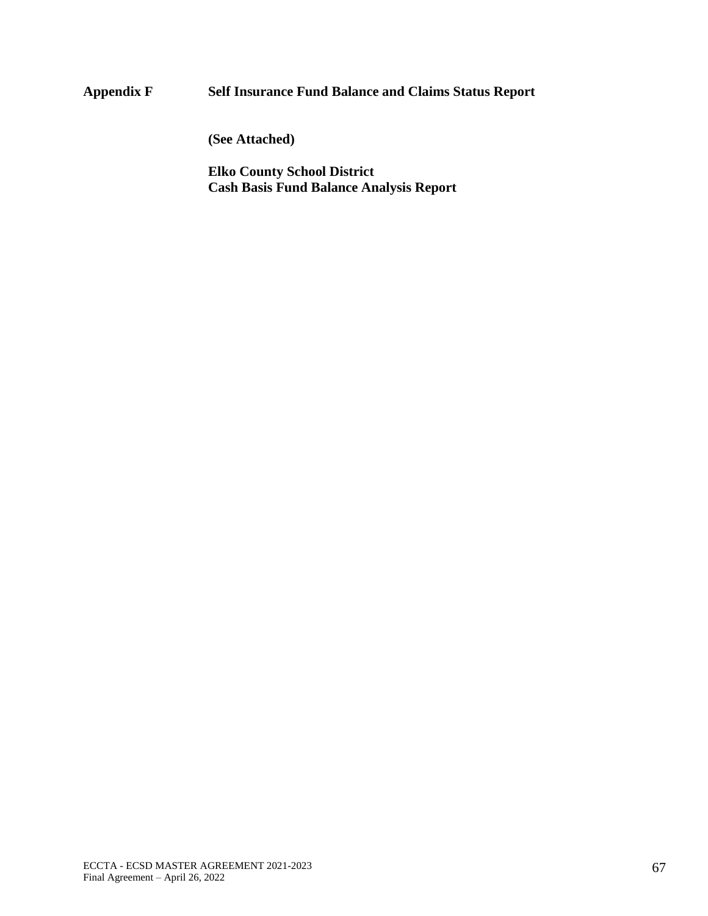# **Appendix F Self Insurance Fund Balance and Claims Status Report**

**(See Attached)** 

**Elko County School District Cash Basis Fund Balance Analysis Report**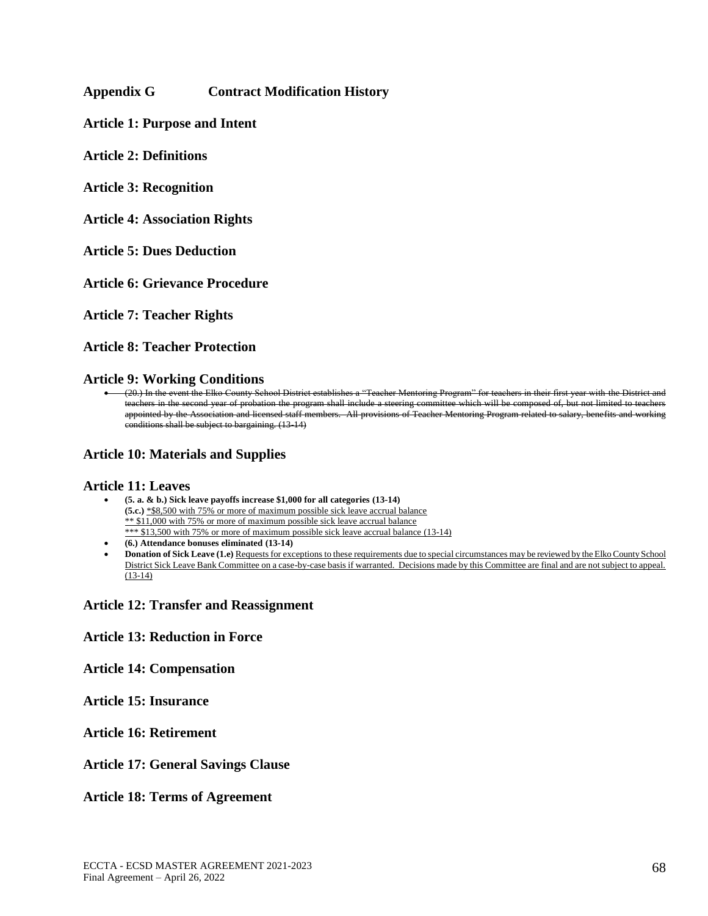#### **Appendix G Contract Modification History**

**Article 1: Purpose and Intent**

**Article 2: Definitions**

**Article 3: Recognition**

**Article 4: Association Rights**

**Article 5: Dues Deduction**

**Article 6: Grievance Procedure**

**Article 7: Teacher Rights**

**Article 8: Teacher Protection**

**Article 9: Working Conditions**

• (20.) In the event the Elko County School District establishes a "Teacher Mentoring Program" for teachers in their first year with the District and teachers in the second year of probation the program shall include a steering committee which will be composed of, but not limited to teachers appointed by the Association and licensed staff members. All provisions of Teacher Mentoring Program related to salary, benefits and working conditions shall be subject to bargaining. (13-14)

#### **Article 10: Materials and Supplies**

#### **Article 11: Leaves**

- **(5. a. & b.) Sick leave payoffs increase \$1,000 for all categories (13-14) (5.c.)** \*\$8,500 with 75% or more of maximum possible sick leave accrual balance \*\* \$11,000 with 75% or more of maximum possible sick leave accrual balance \*\*\* \$13,500 with 75% or more of maximum possible sick leave accrual balance (13-14)
- **(6.) Attendance bonuses eliminated (13-14)**
- **Donation of Sick Leave (1.e)** Requests for exceptions to these requirements due to special circumstances may be reviewed by the Elko County School District Sick Leave Bank Committee on a case-by-case basis if warranted. Decisions made by this Committee are final and are not subject to appeal. (13-14)

#### **Article 12: Transfer and Reassignment**

#### **Article 13: Reduction in Force**

**Article 14: Compensation**

**Article 15: Insurance**

#### **Article 16: Retirement**

#### **Article 17: General Savings Clause**

#### **Article 18: Terms of Agreement**